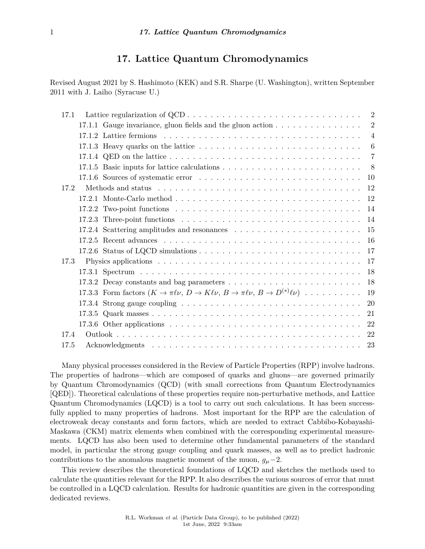# **17. Lattice Quantum Chromodynamics**

Revised August 2021 by S. Hashimoto (KEK) and S.R. Sharpe (U. Washington), written September 2011 with J. Laiho (Syracuse U.)

| 17.1 |                                                                                                                    | $\overline{2}$ |
|------|--------------------------------------------------------------------------------------------------------------------|----------------|
|      | 17.1.1 Gauge invariance, gluon fields and the gluon action                                                         | $\overline{2}$ |
|      |                                                                                                                    | $\overline{4}$ |
|      |                                                                                                                    | 6              |
|      | 17.1.4 QED on the lattice $\ldots \ldots \ldots \ldots \ldots \ldots \ldots \ldots \ldots \ldots \ldots \ldots$    | $\overline{7}$ |
|      | 8                                                                                                                  |                |
|      | 10                                                                                                                 |                |
| 17.2 | 12                                                                                                                 |                |
|      | 12                                                                                                                 |                |
|      | 14                                                                                                                 |                |
|      | 14<br>17.2.3 Three-point functions $\ldots \ldots \ldots \ldots \ldots \ldots \ldots \ldots \ldots \ldots \ldots$  |                |
|      | 15                                                                                                                 |                |
|      | 16                                                                                                                 |                |
|      | 17                                                                                                                 |                |
| 17.3 | 17                                                                                                                 |                |
|      | 18                                                                                                                 |                |
|      | 18                                                                                                                 |                |
|      | 17.3.3 Form factors $(K \to \pi \ell \nu, D \to K \ell \nu, B \to \pi \ell \nu, B \to D^{(*)} \ell \nu)$<br>19     |                |
|      | 20                                                                                                                 |                |
|      | 21                                                                                                                 |                |
|      | 17.3.6 Other applications $\ldots \ldots \ldots \ldots \ldots \ldots \ldots \ldots \ldots \ldots \ldots \ldots 22$ |                |
| 17.4 |                                                                                                                    |                |
| 17.5 |                                                                                                                    |                |

Many physical processes considered in the Review of Particle Properties (RPP) involve hadrons. The properties of hadrons—which are composed of quarks and gluons—are governed primarily by Quantum Chromodynamics (QCD) (with small corrections from Quantum Electrodynamics [QED]). Theoretical calculations of these properties require non-perturbative methods, and Lattice Quantum Chromodynamics (LQCD) is a tool to carry out such calculations. It has been successfully applied to many properties of hadrons. Most important for the RPP are the calculation of electroweak decay constants and form factors, which are needed to extract Cabbibo-Kobayashi-Maskawa (CKM) matrix elements when combined with the corresponding experimental measurements. LQCD has also been used to determine other fundamental parameters of the standard model, in particular the strong gauge coupling and quark masses, as well as to predict hadronic contributions to the anomalous magnetic moment of the muon,  $g_\mu-2$ .

This review describes the theoretical foundations of LQCD and sketches the methods used to calculate the quantities relevant for the RPP. It also describes the various sources of error that must be controlled in a LQCD calculation. Results for hadronic quantities are given in the corresponding dedicated reviews.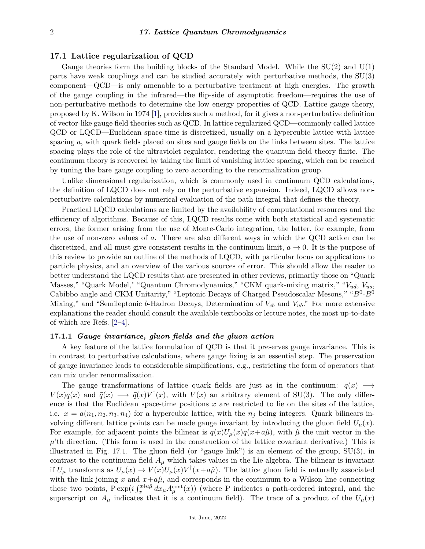# <span id="page-1-0"></span>**17.1 Lattice regularization of QCD**

Gauge theories form the building blocks of the Standard Model. While the  $SU(2)$  and  $U(1)$ parts have weak couplings and can be studied accurately with perturbative methods, the SU(3) component—QCD—is only amenable to a perturbative treatment at high energies. The growth of the gauge coupling in the infrared—the flip-side of asymptotic freedom—requires the use of non-perturbative methods to determine the low energy properties of QCD. Lattice gauge theory, proposed by K. Wilson in 1974 [\[1\]](#page-22-1), provides such a method, for it gives a non-perturbative definition of vector-like gauge field theories such as QCD. In lattice regularized QCD—commonly called lattice QCD or LQCD—Euclidean space-time is discretized, usually on a hypercubic lattice with lattice spacing *a*, with quark fields placed on sites and gauge fields on the links between sites. The lattice spacing plays the role of the ultraviolet regulator, rendering the quantum field theory finite. The continuum theory is recovered by taking the limit of vanishing lattice spacing, which can be reached by tuning the bare gauge coupling to zero according to the renormalization group.

Unlike dimensional regularization, which is commonly used in continuum QCD calculations, the definition of LQCD does not rely on the perturbative expansion. Indeed, LQCD allows nonperturbative calculations by numerical evaluation of the path integral that defines the theory.

Practical LQCD calculations are limited by the availability of computational resources and the efficiency of algorithms. Because of this, LQCD results come with both statistical and systematic errors, the former arising from the use of Monte-Carlo integration, the latter, for example, from the use of non-zero values of *a*. There are also different ways in which the QCD action can be discretized, and all must give consistent results in the continuum limit,  $a \to 0$ . It is the purpose of this review to provide an outline of the methods of LQCD, with particular focus on applications to particle physics, and an overview of the various sources of error. This should allow the reader to better understand the LQCD results that are presented in other reviews, primarily those on "Quark Masses," "Quark Model," "Quantum Chromodynamics," "CKM quark-mixing matrix," "*Vud*, *Vus*, Cabibbo angle and CKM Unitarity," "Leptonic Decays of Charged Pseudoscalar Mesons," " $B^0$ - $\bar{B}^0$ Mixing," and "Semileptonic *b*-Hadron Decays, Determination of *Vcb* and *Vub*." For more extensive explanations the reader should consult the available textbooks or lecture notes, the most up-to-date of which are Refs. [\[2–](#page-22-2)[4\]](#page-22-3).

#### <span id="page-1-1"></span>**17.1.1** *Gauge invariance, gluon fields and the gluon action*

A key feature of the lattice formulation of QCD is that it preserves gauge invariance. This is in contrast to perturbative calculations, where gauge fixing is an essential step. The preservation of gauge invariance leads to considerable simplifications, e.g., restricting the form of operators that can mix under renormalization.

The gauge transformations of lattice quark fields are just as in the continuum:  $q(x) \rightarrow$  $V(x)q(x)$  and  $\bar{q}(x) \longrightarrow \bar{q}(x)V^{\dagger}(x)$ , with  $V(x)$  an arbitrary element of SU(3). The only difference is that the Euclidean space-time positions x are restricted to lie on the sites of the lattice, i.e.  $x = a(n_1, n_2, n_3, n_4)$  for a hypercubic lattice, with the  $n_j$  being integers. Quark bilinears involving different lattice points can be made gauge invariant by introducing the gluon field  $U_{\mu}(x)$ . For example, for adjacent points the bilinear is  $\bar{q}(x)U_{\mu}(x)q(x+a\hat{\mu})$ , with  $\hat{\mu}$  the unit vector in the  $\mu$ 'th direction. (This form is used in the construction of the lattice covariant derivative.) This is illustrated in Fig. 17.1. The gluon field (or "gauge link") is an element of the group,  $SU(3)$ , in contrast to the continuum field  $A_\mu$  which takes values in the Lie algebra. The bilinear is invariant if  $U_{\mu}$  transforms as  $U_{\mu}(x) \to V(x)U_{\mu}(x)V^{\dagger}(x+a\hat{\mu})$ . The lattice gluon field is naturally associated with the link joining  $x$  and  $x + a\hat{\mu}$ , and corresponds in the continuum to a Wilson line connecting these two points,  $P \exp(i \int_x^{x+a\hat{\mu}} dx_\mu A_\mu^{\text{cont}}(x))$  (where P indicates a path-ordered integral, and the superscript on  $A_\mu$  indicates that it is a continuum field). The trace of a product of the  $U_\mu(x)$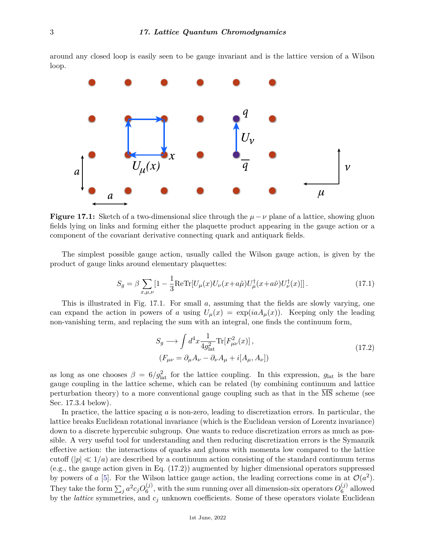around any closed loop is easily seen to be gauge invariant and is the lattice version of a Wilson loop.



**Figure 17.1:** Sketch of a two-dimensional slice through the  $\mu - \nu$  plane of a lattice, showing gluon fields lying on links and forming either the plaquette product appearing in the gauge action or a component of the covariant derivative connecting quark and antiquark fields.

The simplest possible gauge action, usually called the Wilson gauge action, is given by the product of gauge links around elementary plaquettes:

$$
S_g = \beta \sum_{x,\mu,\nu} \left[ 1 - \frac{1}{3} \text{Re} \text{Tr} [U_\mu(x) U_\nu(x + a\hat{\mu}) U_\mu^\dagger(x + a\hat{\nu}) U_\nu^\dagger(x)] \right]. \tag{17.1}
$$

This is illustrated in Fig. 17.1. For small *a*, assuming that the fields are slowly varying, one can expand the action in powers of *a* using  $U_{\mu}(x) = \exp(iaA_{\mu}(x))$ . Keeping only the leading non-vanishing term, and replacing the sum with an integral, one finds the continuum form,

$$
S_g \longrightarrow \int d^4x \frac{1}{4g_{\text{lat}}^2} \text{Tr}[F_{\mu\nu}^2(x)],
$$
  
\n
$$
(F_{\mu\nu} = \partial_\mu A_\nu - \partial_\nu A_\mu + i[A_\mu, A_\nu])
$$
\n(17.2)

as long as one chooses  $\beta = 6/g_{\text{lat}}^2$  for the lattice coupling. In this expression,  $g_{\text{lat}}$  is the bare gauge coupling in the lattice scheme, which can be related (by combining continuum and lattice perturbation theory) to a more conventional gauge coupling such as that in the MS scheme (see Sec. 17.3.4 below).

In practice, the lattice spacing *a* is non-zero, leading to discretization errors. In particular, the lattice breaks Euclidean rotational invariance (which is the Euclidean version of Lorentz invariance) down to a discrete hypercubic subgroup. One wants to reduce discretization errors as much as possible. A very useful tool for understanding and then reducing discretization errors is the Symanzik effective action: the interactions of quarks and gluons with momenta low compared to the lattice cutoff  $(|p| \ll 1/a)$  are described by a continuum action consisting of the standard continuum terms (e.g., the gauge action given in Eq. (17.2)) augmented by higher dimensional operators suppressed by powers of *a* [\[5\]](#page-22-4). For the Wilson lattice gauge action, the leading corrections come in at  $\mathcal{O}(a^2)$ . They take the form  $\sum_{j} a^2 c_j O_6^{(j)}$  $\binom{(j)}{6}$ , with the sum running over all dimension-six operators  $O_6^{(j)}$  $_6^{(J)}$  allowed by the *lattice* symmetries, and *c<sup>j</sup>* unknown coefficients. Some of these operators violate Euclidean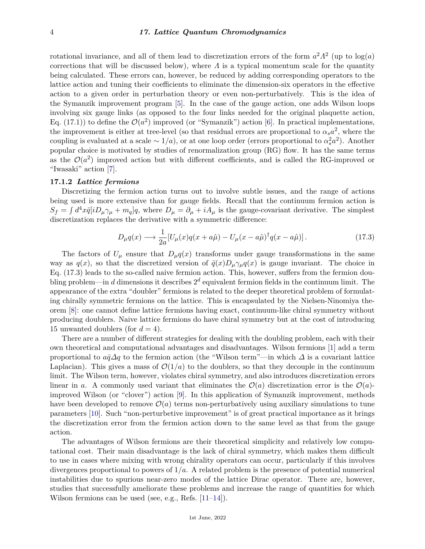rotational invariance, and all of them lead to discretization errors of the form  $a^2\Lambda^2$  (up to  $\log(a)$ ) corrections that will be discussed below), where  $\Lambda$  is a typical momentum scale for the quantity being calculated. These errors can, however, be reduced by adding corresponding operators to the lattice action and tuning their coefficients to eliminate the dimension-six operators in the effective action to a given order in perturbation theory or even non-perturbatively. This is the idea of the Symanzik improvement program [\[5\]](#page-22-4). In the case of the gauge action, one adds Wilson loops involving six gauge links (as opposed to the four links needed for the original plaquette action, Eq. (17.1)) to define the  $\mathcal{O}(a^2)$  improved (or "Symanzik") action [\[6\]](#page-22-5). In practical implementations, the improvement is either at tree-level (so that residual errors are proportional to  $\alpha_s a^2$ , where the coupling is evaluated at a scale  $\sim 1/a$ ), or at one loop order (errors proportional to  $\alpha_s^2 a^2$ ). Another popular choice is motivated by studies of renormalization group (RG) flow. It has the same terms as the  $\mathcal{O}(a^2)$  improved action but with different coefficients, and is called the RG-improved or "Iwasaki" action [\[7\]](#page-22-6).

# <span id="page-3-0"></span>**17.1.2** *Lattice fermions*

Discretizing the fermion action turns out to involve subtle issues, and the range of actions being used is more extensive than for gauge fields. Recall that the continuum fermion action is  $S_f = \int d^4x \bar{q} [iD_\mu \gamma_\mu + m_q]q$ , where  $D_\mu = \partial_\mu + iA_\mu$  is the gauge-covariant derivative. The simplest discretization replaces the derivative with a symmetric difference:

$$
D_{\mu}q(x) \longrightarrow \frac{1}{2a} [U_{\mu}(x)q(x+a\hat{\mu}) - U_{\mu}(x-a\hat{\mu})^{\dagger}q(x-a\hat{\mu})]. \tag{17.3}
$$

The factors of  $U_{\mu}$  ensure that  $D_{\mu}q(x)$  transforms under gauge transformations in the same way as  $q(x)$ , so that the discretized version of  $\bar{q}(x)D_{\mu}\gamma_{\mu}q(x)$  is gauge invariant. The choice in Eq. (17.3) leads to the so-called naive fermion action. This, however, suffers from the fermion doubling problem—in *d* dimensions it describes 2 *d* equivalent fermion fields in the continuum limit. The appearance of the extra "doubler" fermions is related to the deeper theoretical problem of formulating chirally symmetric fermions on the lattice. This is encapsulated by the Nielsen-Ninomiya theorem [\[8\]](#page-22-7): one cannot define lattice fermions having exact, continuum-like chiral symmetry without producing doublers. Naive lattice fermions do have chiral symmetry but at the cost of introducing 15 unwanted doublers (for  $d = 4$ ).

There are a number of different strategies for dealing with the doubling problem, each with their own theoretical and computational advantages and disadvantages. Wilson fermions [\[1\]](#page-22-1) add a term proportional to  $a\bar{q}\Delta q$  to the fermion action (the "Wilson term"—in which  $\Delta$  is a covariant lattice Laplacian). This gives a mass of  $\mathcal{O}(1/a)$  to the doublers, so that they decouple in the continuum limit. The Wilson term, however, violates chiral symmetry, and also introduces discretization errors linear in *a*. A commonly used variant that eliminates the  $\mathcal{O}(a)$  discretization error is the  $\mathcal{O}(a)$ improved Wilson (or "clover") action [\[9\]](#page-22-8). In this application of Symanzik improvement, methods have been developed to remove  $\mathcal{O}(a)$  terms non-perturbatively using auxiliary simulations to tune parameters [\[10\]](#page-22-9). Such "non-perturbetive improvement" is of great practical importance as it brings the discretization error from the fermion action down to the same level as that from the gauge action.

The advantages of Wilson fermions are their theoretical simplicity and relatively low computational cost. Their main disadvantage is the lack of chiral symmetry, which makes them difficult to use in cases where mixing with wrong chirality operators can occur, particularly if this involves divergences proportional to powers of 1*/a*. A related problem is the presence of potential numerical instabilities due to spurious near-zero modes of the lattice Dirac operator. There are, however, studies that successfully ameliorate these problems and increase the range of quantities for which Wilson fermions can be used (see, e.g., Refs. [\[11–](#page-22-10)[14\]](#page-22-11)).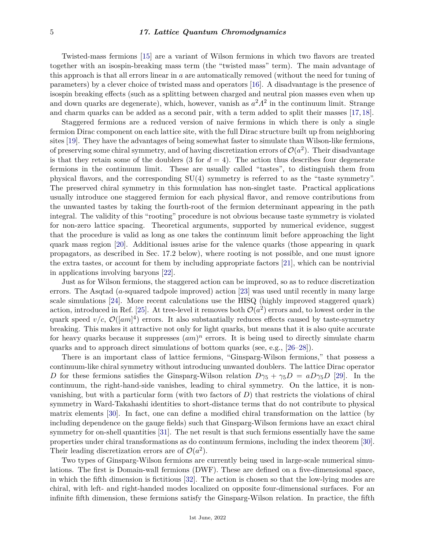#### 5 *17. Lattice Quantum Chromodynamics*

Twisted-mass fermions [\[15\]](#page-22-12) are a variant of Wilson fermions in which two flavors are treated together with an isospin-breaking mass term (the "twisted mass" term). The main advantage of this approach is that all errors linear in *a* are automatically removed (without the need for tuning of parameters) by a clever choice of twisted mass and operators [\[16\]](#page-22-13). A disadvantage is the presence of isospin breaking effects (such as a splitting between charged and neutral pion masses even when up and down quarks are degenerate), which, however, vanish as  $a^2\Lambda^2$  in the continuum limit. Strange and charm quarks can be added as a second pair, with a term added to split their masses [\[17,](#page-22-14) [18\]](#page-22-15).

Staggered fermions are a reduced version of naive fermions in which there is only a single fermion Dirac component on each lattice site, with the full Dirac structure built up from neighboring sites [\[19\]](#page-22-16). They have the advantages of being somewhat faster to simulate than Wilson-like fermions, of preserving some chiral symmetry, and of having discretization errors of  $\mathcal{O}(a^2)$ . Their disadvantage is that they retain some of the doublers  $(3 \text{ for } d = 4)$ . The action thus describes four degenerate fermions in the continuum limit. These are usually called "tastes", to distinguish them from physical flavors, and the corresponding SU(4) symmetry is referred to as the "taste symmetry". The preserved chiral symmetry in this formulation has non-singlet taste. Practical applications usually introduce one staggered fermion for each physical flavor, and remove contributions from the unwanted tastes by taking the fourth-root of the fermion determinant appearing in the path integral. The validity of this "rooting" procedure is not obvious because taste symmetry is violated for non-zero lattice spacing. Theoretical arguments, supported by numerical evidence, suggest that the procedure is valid as long as one takes the continuum limit before approaching the light quark mass region [\[20\]](#page-22-17). Additional issues arise for the valence quarks (those appearing in quark propagators, as described in Sec. 17.2 below), where rooting is not possible, and one must ignore the extra tastes, or account for them by including appropriate factors [\[21\]](#page-22-18), which can be nontrivial in applications involving baryons [\[22\]](#page-22-19).

Just as for Wilson fermions, the staggered action can be improved, so as to reduce discretization errors. The Asqtad (*a*-squared tadpole improved) action [\[23\]](#page-22-20) was used until recently in many large scale simulations [\[24\]](#page-22-21). More recent calculations use the HISQ (highly improved staggered quark) action, introduced in Ref. [\[25\]](#page-22-22). At tree-level it removes both  $\mathcal{O}(a^2)$  errors and, to lowest order in the quark speed  $v/c$ ,  $\mathcal{O}([am]^4)$  errors. It also substantially reduces effects caused by taste-symmetry breaking. This makes it attractive not only for light quarks, but means that it is also quite accurate for heavy quarks because it suppresses  $(am)^n$  errors. It is being used to directly simulate charm quarks and to approach direct simulations of bottom quarks (see, e.g., [\[26–](#page-23-0)[28\]](#page-23-1)).

There is an important class of lattice fermions, "Ginsparg-Wilson fermions," that possess a continuum-like chiral symmetry without introducing unwanted doublers. The lattice Dirac operator *D* for these fermions satisfies the Ginsparg-Wilson relation  $D\gamma_5 + \gamma_5 D = aD\gamma_5 D$  [\[29\]](#page-23-2). In the continuum, the right-hand-side vanishes, leading to chiral symmetry. On the lattice, it is nonvanishing, but with a particular form (with two factors of *D*) that restricts the violations of chiral symmetry in Ward-Takahashi identities to short-distance terms that do not contribute to physical matrix elements [\[30\]](#page-23-3). In fact, one can define a modified chiral transformation on the lattice (by including dependence on the gauge fields) such that Ginsparg-Wilson fermions have an exact chiral symmetry for on-shell quantities [\[31\]](#page-23-4). The net result is that such fermions essentially have the same properties under chiral transformations as do continuum fermions, including the index theorem [\[30\]](#page-23-3). Their leading discretization errors are of  $\mathcal{O}(a^2)$ .

Two types of Ginsparg-Wilson fermions are currently being used in large-scale numerical simulations. The first is Domain-wall fermions (DWF). These are defined on a five-dimensional space, in which the fifth dimension is fictitious [\[32\]](#page-23-5). The action is chosen so that the low-lying modes are chiral, with left- and right-handed modes localized on opposite four-dimensional surfaces. For an infinite fifth dimension, these fermions satisfy the Ginsparg-Wilson relation. In practice, the fifth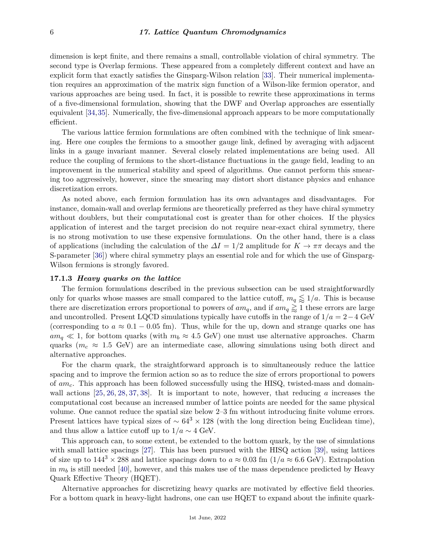dimension is kept finite, and there remains a small, controllable violation of chiral symmetry. The second type is Overlap fermions. These appeared from a completely different context and have an explicit form that exactly satisfies the Ginsparg-Wilson relation [\[33\]](#page-23-6). Their numerical implementation requires an approximation of the matrix sign function of a Wilson-like fermion operator, and various approaches are being used. In fact, it is possible to rewrite these approximations in terms of a five-dimensional formulation, showing that the DWF and Overlap approaches are essentially equivalent [\[34,](#page-23-7)[35\]](#page-23-8). Numerically, the five-dimensional approach appears to be more computationally efficient.

The various lattice fermion formulations are often combined with the technique of link smearing. Here one couples the fermions to a smoother gauge link, defined by averaging with adjacent links in a gauge invariant manner. Several closely related implementations are being used. All reduce the coupling of fermions to the short-distance fluctuations in the gauge field, leading to an improvement in the numerical stability and speed of algorithms. One cannot perform this smearing too aggressively, however, since the smearing may distort short distance physics and enhance discretization errors.

As noted above, each fermion formulation has its own advantages and disadvantages. For instance, domain-wall and overlap fermions are theoretically preferred as they have chiral symmetry without doublers, but their computational cost is greater than for other choices. If the physics application of interest and the target precision do not require near-exact chiral symmetry, there is no strong motivation to use these expensive formulations. On the other hand, there is a class of applications (including the calculation of the *∆I* = 1*/*2 amplitude for *K* → *ππ* decays and the S-parameter [\[36\]](#page-23-9)) where chiral symmetry plays an essential role and for which the use of Ginsparg-Wilson fermions is strongly favored.

### <span id="page-5-0"></span>**17.1.3** *Heavy quarks on the lattice*

The fermion formulations described in the previous subsection can be used straightforwardly only for quarks whose masses are small compared to the lattice cutoff,  $m_q \leq 1/a$ . This is because there are discretization errors proportional to powers of  $am_q$ , and if  $am_q \gtrsim 1$  these errors are large and uncontrolled. Present LQCD simulations typically have cutoffs in the range of 1*/a* = 2−4 GeV (corresponding to  $a \approx 0.1 - 0.05$  fm). Thus, while for the up, down and strange quarks one has  $am_q \ll 1$ , for bottom quarks (with  $m_b \approx 4.5$  GeV) one must use alternative approaches. Charm quarks ( $m_c \approx 1.5$  GeV) are an intermediate case, allowing simulations using both direct and alternative approaches.

For the charm quark, the straightforward approach is to simultaneously reduce the lattice spacing and to improve the fermion action so as to reduce the size of errors proportional to powers of *amc*. This approach has been followed successfully using the HISQ, twisted-mass and domainwall actions [\[25,](#page-22-22) [26,](#page-23-0) [28,](#page-23-1) [37,](#page-23-10) [38\]](#page-23-11). It is important to note, however, that reducing *a* increases the computational cost because an increased number of lattice points are needed for the same physical volume. One cannot reduce the spatial size below 2–3 fm without introducing finite volume errors. Present lattices have typical sizes of  $\sim 64^3 \times 128$  (with the long direction being Euclidean time), and thus allow a lattice cutoff up to  $1/a \sim 4$  GeV.

This approach can, to some extent, be extended to the bottom quark, by the use of simulations with small lattice spacings [\[27\]](#page-23-12). This has been pursued with the HISQ action [\[39\]](#page-23-13), using lattices of size up to  $144^3 \times 288$  and lattice spacings down to  $a \approx 0.03$  fm  $(1/a \approx 6.6$  GeV). Extrapolation in *m<sup>b</sup>* is still needed [\[40\]](#page-23-14), however, and this makes use of the mass dependence predicted by Heavy Quark Effective Theory (HQET).

Alternative approaches for discretizing heavy quarks are motivated by effective field theories. For a bottom quark in heavy-light hadrons, one can use HQET to expand about the infinite quark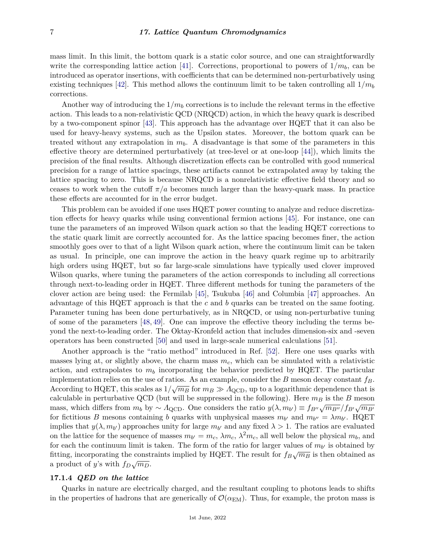mass limit. In this limit, the bottom quark is a static color source, and one can straightforwardly write the corresponding lattice action [\[41\]](#page-23-15). Corrections, proportional to powers of  $1/m_b$ , can be introduced as operator insertions, with coefficients that can be determined non-perturbatively using existing techniques [\[42\]](#page-23-16). This method allows the continuum limit to be taken controlling all  $1/m_b$ corrections.

Another way of introducing the  $1/m_b$  corrections is to include the relevant terms in the effective action. This leads to a non-relativistic QCD (NRQCD) action, in which the heavy quark is described by a two-component spinor [\[43\]](#page-23-17). This approach has the advantage over HQET that it can also be used for heavy-heavy systems, such as the Upsilon states. Moreover, the bottom quark can be treated without any extrapolation in  $m_b$ . A disadvantage is that some of the parameters in this effective theory are determined perturbatively (at tree-level or at one-loop [\[44\]](#page-23-18)), which limits the precision of the final results. Although discretization effects can be controlled with good numerical precision for a range of lattice spacings, these artifacts cannot be extrapolated away by taking the lattice spacing to zero. This is because NRQCD is a nonrelativistic effective field theory and so ceases to work when the cutoff  $\pi/a$  becomes much larger than the heavy-quark mass. In practice these effects are accounted for in the error budget.

This problem can be avoided if one uses HQET power counting to analyze and reduce discretization effects for heavy quarks while using conventional fermion actions [\[45\]](#page-23-19). For instance, one can tune the parameters of an improved Wilson quark action so that the leading HQET corrections to the static quark limit are correctly accounted for. As the lattice spacing becomes finer, the action smoothly goes over to that of a light Wilson quark action, where the continuum limit can be taken as usual. In principle, one can improve the action in the heavy quark regime up to arbitrarily high orders using HQET, but so far large-scale simulations have typically used clover improved Wilson quarks, where tuning the parameters of the action corresponds to including all corrections through next-to-leading order in HQET. Three different methods for tuning the parameters of the clover action are being used: the Fermilab [\[45\]](#page-23-19), Tsukuba [\[46\]](#page-23-20) and Columbia [\[47\]](#page-23-21) approaches. An advantage of this HQET approach is that the *c* and *b* quarks can be treated on the same footing. Parameter tuning has been done perturbatively, as in NRQCD, or using non-perturbative tuning of some of the parameters [\[48,](#page-23-22) [49\]](#page-23-23). One can improve the effective theory including the terms beyond the next-to-leading order. The Oktay-Kronfeld action that includes dimension-six and -seven operators has been constructed [\[50\]](#page-23-24) and used in large-scale numerical calculations [\[51\]](#page-23-25).

Another approach is the "ratio method" introduced in Ref. [\[52\]](#page-23-26). Here one uses quarks with masses lying at, or slightly above, the charm mass  $m<sub>c</sub>$ , which can be simulated with a relativistic action, and extrapolates to *m<sup>b</sup>* incorporating the behavior predicted by HQET. The particular implementation relies on the use of ratios. As an example, consider the *B* meson decay constant *fB*. According to HQET, this scales as  $1/\sqrt{m_B}$  for  $m_B \gg A_{\rm QCD}$ , up to a logarithmic dependence that is calculable in perturbative QCD (but will be suppressed in the following). Here  $m_B$  is the *B* meson mass, which differs from  $m_b$  by  $\sim A_{\rm QCD}$ . One considers the ratio  $y(\lambda, m_{b'}) \equiv f_{B''} \sqrt{m_{B''}}/f_{B'} \sqrt{m_{B'}}$ for fictitious *B* mesons containing *b* quarks with unphysical masses  $m_{b'}$  and  $m_{b''} = \lambda m_{b'}$ . HQET implies that  $y(\lambda, m_{b})$  approaches unity for large  $m_{b'}$  and any fixed  $\lambda > 1$ . The ratios are evaluated on the lattice for the sequence of masses  $m_{b'} = m_c, \lambda m_c, \lambda^2 m_c$ , all well below the physical  $m_b$ , and for each the continuum limit is taken. The form of the ratio for larger values of  $m_{b'}$  is obtained by fitting, incorporating the constraints implied by HQET. The result for  $f_B\sqrt{m_B}$  is then obtained as a product of *y*'s with  $f_D \sqrt{m_D}$ .

# <span id="page-6-0"></span>**17.1.4** *QED on the lattice*

Quarks in nature are electrically charged, and the resultant coupling to photons leads to shifts in the properties of hadrons that are generically of  $\mathcal{O}(\alpha_{EM})$ . Thus, for example, the proton mass is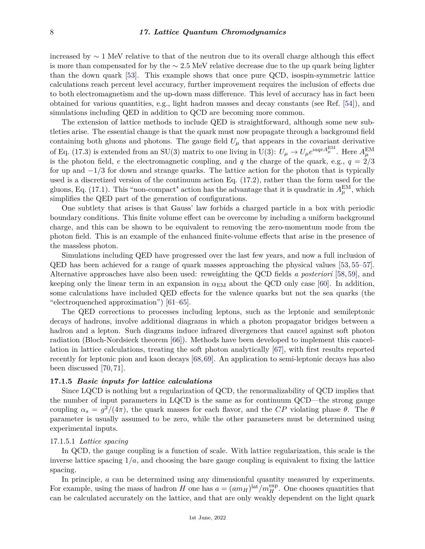increased by ∼ 1 MeV relative to that of the neutron due to its overall charge although this effect is more than compensated for by the ∼ 2*.*5 MeV relative decrease due to the up quark being lighter than the down quark [\[53\]](#page-23-27). This example shows that once pure QCD, isospin-symmetric lattice calculations reach percent level accuracy, further improvement requires the inclusion of effects due to both electromagnetism and the up-down mass difference. This level of accuracy has in fact been obtained for various quantities, e.g., light hadron masses and decay constants (see Ref. [\[54\]](#page-23-28)), and simulations including QED in addition to QCD are becoming more common.

The extension of lattice methods to include QED is straightforward, although some new subtleties arise. The essential change is that the quark must now propagate through a background field containing both gluons and photons. The gauge field  $U_{\mu}$  that appears in the covariant derivative of Eq. (17.3) is extended from an SU(3) matrix to one living in U(3):  $U_{\mu} \to U_{\mu} e^{i a q e A_{\mu}^{\text{EM}}}$ . Here  $A_{\mu}^{\text{EM}}$ is the photon field, *e* the electromagnetic coupling, and *q* the charge of the quark, e.g.,  $q = 2/3$ for up and −1*/*3 for down and strange quarks. The lattice action for the photon that is typically used is a discretized version of the continuum action Eq. (17.2), rather than the form used for the gluons, Eq. (17.1). This "non-compact" action has the advantage that it is quadratic in  $A_{\mu}^{\text{EM}}$ , which simplifies the QED part of the generation of configurations.

One subtlety that arises is that Gauss' law forbids a charged particle in a box with periodic boundary conditions. This finite volume effect can be overcome by including a uniform background charge, and this can be shown to be equivalent to removing the zero-momentum mode from the photon field. This is an example of the enhanced finite-volume effects that arise in the presence of the massless photon.

Simulations including QED have progressed over the last few years, and now a full inclusion of QED has been achieved for a range of quark masses approaching the physical values [\[53,](#page-23-27) [55–](#page-23-29)[57\]](#page-24-0). Alternative approaches have also been used: reweighting the QCD fields *a posteriori* [\[58,](#page-24-1) [59\]](#page-24-2), and keeping only the linear term in an expansion in  $\alpha_{\text{EM}}$  about the QCD only case [\[60\]](#page-24-3). In addition, some calculations have included QED effects for the valence quarks but not the sea quarks (the "electroquenched approximation") [\[61](#page-24-4)[–65\]](#page-24-5).

The QED corrections to processes including leptons, such as the leptonic and semileptonic decays of hadrons, involve additional diagrams in which a photon propagator bridges between a hadron and a lepton. Such diagrams induce infrared divergences that cancel against soft photon radiation (Bloch-Nordsieck theorem [\[66\]](#page-24-6)). Methods have been developed to implement this cancellation in lattice calculations, treating the soft photon analytically [\[67\]](#page-24-7), with first results reported recently for leptonic pion and kaon decays [\[68,](#page-24-8)[69\]](#page-24-9). An application to semi-leptonic decays has also been discussed [\[70,](#page-24-10) [71\]](#page-24-11).

# <span id="page-7-0"></span>**17.1.5** *Basic inputs for lattice calculations*

Since LQCD is nothing but a regularization of QCD, the renormalizability of QCD implies that the number of input parameters in LQCD is the same as for continuum QCD—the strong gauge coupling  $\alpha_s = g^2/(4\pi)$ , the quark masses for each flavor, and the *CP* violating phase  $\theta$ . The  $\theta$ parameter is usually assumed to be zero, while the other parameters must be determined using experimental inputs.

### 17.1.5.1 *Lattice spacing*

In QCD, the gauge coupling is a function of scale. With lattice regularization, this scale is the inverse lattice spacing  $1/a$ , and choosing the bare gauge coupling is equivalent to fixing the lattice spacing.

In principle, *a* can be determined using any dimensionful quantity measured by experiments. For example, using the mass of hadron *H* one has  $a = (am_H)^{\text{lat}}/m_H^{\text{exp}}$ . One chooses quantities that can be calculated accurately on the lattice, and that are only weakly dependent on the light quark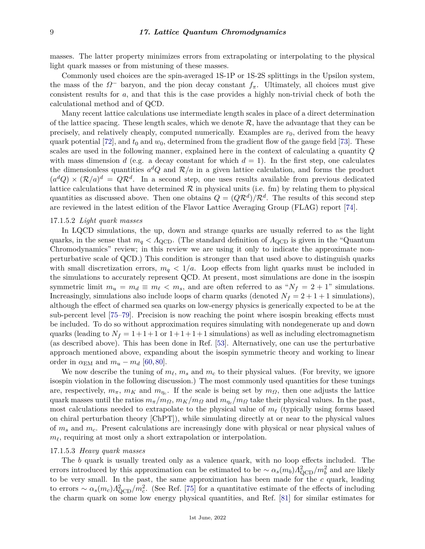masses. The latter property minimizes errors from extrapolating or interpolating to the physical light quark masses or from mistuning of these masses.

Commonly used choices are the spin-averaged 1S-1P or 1S-2S splittings in the Upsilon system, the mass of the  $\Omega^-$  baryon, and the pion decay constant  $f_\pi$ . Ultimately, all choices must give consistent results for *a*, and that this is the case provides a highly non-trivial check of both the calculational method and of QCD.

Many recent lattice calculations use intermediate length scales in place of a direct determination of the lattice spacing. These length scales, which we denote  $\mathcal{R}$ , have the advantage that they can be precisely, and relatively cheaply, computed numerically. Examples are  $r_0$ , derived from the heavy quark potential  $[72]$ , and  $t_0$  and  $w_0$ , determined from the gradient flow of the gauge field  $[73]$ . These scales are used in the following manner, explained here in the context of calculating a quantity *Q* with mass dimension *d* (e.g. a decay constant for which  $d = 1$ ). In the first step, one calculates the dimensionless quantities  $a^dQ$  and  $\mathcal{R}/a$  in a given lattice calculation, and forms the product  $(a^d Q) \times (\mathcal{R}/a)^d = Q\mathcal{R}^d$ . In a second step, one uses results available from previous dedicated lattice calculations that have determined  $R$  in physical units (i.e. fm) by relating them to physical quantities as discussed above. Then one obtains  $Q = (Q\mathcal{R}^d)/\mathcal{R}^d$ . The results of this second step are reviewed in the latest edition of the Flavor Lattice Averaging Group (FLAG) report [\[74\]](#page-24-14).

### 17.1.5.2 *Light quark masses*

In LQCD simulations, the up, down and strange quarks are usually referred to as the light quarks, in the sense that  $m_q < \Lambda_{\text{QCD}}$ . (The standard definition of  $\Lambda_{\text{QCD}}$  is given in the "Quantum" Chromodynamics" review; in this review we are using it only to indicate the approximate nonperturbative scale of QCD.) This condition is stronger than that used above to distinguish quarks with small discretization errors,  $m_q < 1/a$ . Loop effects from light quarks must be included in the simulations to accurately represent QCD. At present, most simulations are done in the isospin symmetric limit  $m_u = m_d \equiv m_\ell \langle m_s \rangle$ , and are often referred to as " $N_f = 2 + 1$ " simulations. Increasingly, simulations also include loops of charm quarks (denoted  $N_f = 2 + 1 + 1$  simulations), although the effect of charmed sea quarks on low-energy physics is generically expected to be at the sub-percent level [\[75–](#page-24-15)[79\]](#page-24-16). Precision is now reaching the point where isospin breaking effects must be included. To do so without approximation requires simulating with nondegenerate up and down quarks (leading to  $N_f = 1 + 1 + 1$  or  $1 + 1 + 1 + 1$  simulations) as well as including electromagnetism (as described above). This has been done in Ref. [\[53\]](#page-23-27). Alternatively, one can use the perturbative approach mentioned above, expanding about the isospin symmetric theory and working to linear order in  $\alpha_{EM}$  and  $m_u - m_d$  [\[60,](#page-24-3)[80\]](#page-24-17).

We now describe the tuning of  $m_\ell$ ,  $m_s$  and  $m_c$  to their physical values. (For brevity, we ignore isospin violation in the following discussion.) The most commonly used quantities for these tunings are, respectively,  $m_{\pi}$ ,  $m_K$  and  $m_{\eta_c}$ . If the scale is being set by  $m_{\Omega}$ , then one adjusts the lattice quark masses until the ratios  $m_{\pi}/m_{\Omega}$ ,  $m_K/m_{\Omega}$  and  $m_{\eta_c}/m_{\Omega}$  take their physical values. In the past, most calculations needed to extrapolate to the physical value of  $m_\ell$  (typically using forms based on chiral perturbation theory [ChPT]), while simulating directly at or near to the physical values of *m<sup>s</sup>* and *mc*. Present calculations are increasingly done with physical or near physical values of  $m_{\ell}$ , requiring at most only a short extrapolation or interpolation.

#### 17.1.5.3 *Heavy quark masses*

The *b* quark is usually treated only as a valence quark, with no loop effects included. The errors introduced by this approximation can be estimated to be  $\sim \alpha_s(m_b) \Lambda_{\rm QCD}^2/m_b^2$  and are likely to be very small. In the past, the same approximation has been made for the *c* quark, leading to errors  $\sim \alpha_s(m_c) \Lambda_{\text{QCD}}^2/m_c^2$ . (See Ref. [\[75\]](#page-24-15) for a quantitative estimate of the effects of including the charm quark on some low energy physical quantities, and Ref. [\[81\]](#page-24-18) for similar estimates for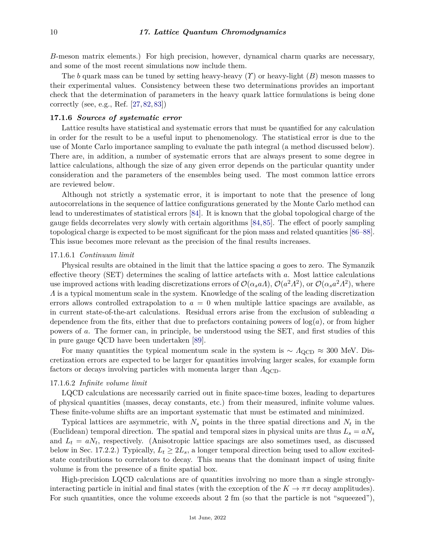*B*-meson matrix elements.) For high precision, however, dynamical charm quarks are necessary, and some of the most recent simulations now include them.

The *b* quark mass can be tuned by setting heavy-heavy (*Υ*) or heavy-light (*B*) meson masses to their experimental values. Consistency between these two determinations provides an important check that the determination of parameters in the heavy quark lattice formulations is being done correctly (see, e.g., Ref. [\[27,](#page-23-12) [82,](#page-24-19) [83\]](#page-24-20))

### <span id="page-9-0"></span>**17.1.6** *Sources of systematic error*

Lattice results have statistical and systematic errors that must be quantified for any calculation in order for the result to be a useful input to phenomenology. The statistical error is due to the use of Monte Carlo importance sampling to evaluate the path integral (a method discussed below). There are, in addition, a number of systematic errors that are always present to some degree in lattice calculations, although the size of any given error depends on the particular quantity under consideration and the parameters of the ensembles being used. The most common lattice errors are reviewed below.

Although not strictly a systematic error, it is important to note that the presence of long autocorrelations in the sequence of lattice configurations generated by the Monte Carlo method can lead to underestimates of statistical errors [\[84\]](#page-24-21). It is known that the global topological charge of the gauge fields decorrelates very slowly with certain algorithms [\[84,](#page-24-21)[85\]](#page-24-22). The effect of poorly sampling topological charge is expected to be most significant for the pion mass and related quantities [\[86–](#page-24-23)[88\]](#page-24-24). This issue becomes more relevant as the precision of the final results increases.

# 17.1.6.1 *Continuum limit*

Physical results are obtained in the limit that the lattice spacing *a* goes to zero. The Symanzik effective theory (SET) determines the scaling of lattice artefacts with *a*. Most lattice calculations use improved actions with leading discretizations errors of  $\mathcal{O}(\alpha_s aA)$ ,  $\mathcal{O}(a^2 A^2)$ , or  $\mathcal{O}(\alpha_s a^2 A^2)$ , where *Λ* is a typical momentum scale in the system. Knowledge of the scaling of the leading discretization errors allows controlled extrapolation to  $a = 0$  when multiple lattice spacings are available, as in current state-of-the-art calculations. Residual errors arise from the exclusion of subleading *a* dependence from the fits, either that due to prefactors containing powers of  $log(a)$ , or from higher powers of *a*. The former can, in principle, be understood using the SET, and first studies of this in pure gauge QCD have been undertaken [\[89\]](#page-24-25).

For many quantities the typical momentum scale in the system is  $\sim A_{\text{QCD}} \approx 300$  MeV. Discretization errors are expected to be larger for quantities involving larger scales, for example form factors or decays involving particles with momenta larger than  $Λ$ <sub>QCD</sub>.

#### 17.1.6.2 *Infinite volume limit*

LQCD calculations are necessarily carried out in finite space-time boxes, leading to departures of physical quantities (masses, decay constants, etc.) from their measured, infinite volume values. These finite-volume shifts are an important systematic that must be estimated and minimized.

Typical lattices are asymmetric, with  $N_s$  points in the three spatial directions and  $N_t$  in the (Euclidean) temporal direction. The spatial and temporal sizes in physical units are thus  $L_s = aN_s$ and  $L_t = aN_t$ , respectively. (Anisotropic lattice spacings are also sometimes used, as discussed below in Sec. 17.2.2.) Typically,  $L_t \geq 2L_s$ , a longer temporal direction being used to allow excitedstate contributions to correlators to decay. This means that the dominant impact of using finite volume is from the presence of a finite spatial box.

High-precision LQCD calculations are of quantities involving no more than a single stronglyinteracting particle in initial and final states (with the exception of the  $K \to \pi \pi$  decay amplitudes). For such quantities, once the volume exceeds about  $2 \text{ fm}$  (so that the particle is not "squeezed"),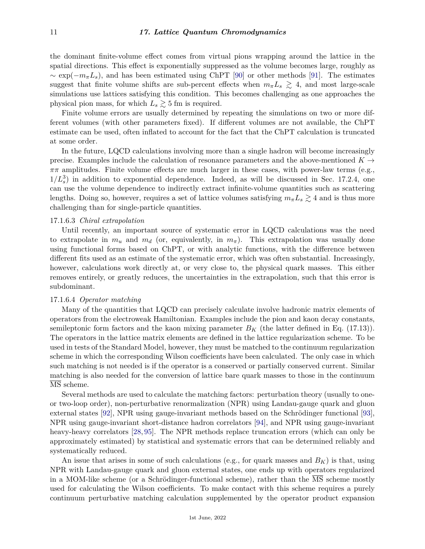the dominant finite-volume effect comes from virtual pions wrapping around the lattice in the spatial directions. This effect is exponentially suppressed as the volume becomes large, roughly as  $\sim \exp(-m_{\pi}L_s)$ , and has been estimated using ChPT [\[90\]](#page-24-26) or other methods [\[91\]](#page-24-27). The estimates suggest that finite volume shifts are sub-percent effects when  $m_{\pi}L_s \gtrsim 4$ , and most large-scale simulations use lattices satisfying this condition. This becomes challenging as one approaches the physical pion mass, for which  $L_s \gtrsim 5$  fm is required.

Finite volume errors are usually determined by repeating the simulations on two or more different volumes (with other parameters fixed). If different volumes are not available, the ChPT estimate can be used, often inflated to account for the fact that the ChPT calculation is truncated at some order.

In the future, LQCD calculations involving more than a single hadron will become increasingly precise. Examples include the calculation of resonance parameters and the above-mentioned  $K \rightarrow$  $\pi\pi$  amplitudes. Finite volume effects are much larger in these cases, with power-law terms (e.g.,  $1/L_s^3$ ) in addition to exponential dependence. Indeed, as will be discussed in Sec. 17.2.4, one can use the volume dependence to indirectly extract infinite-volume quantities such as scattering lengths. Doing so, however, requires a set of lattice volumes satisfying  $m_{\pi}L_s \gtrsim 4$  and is thus more challenging than for single-particle quantities.

#### 17.1.6.3 *Chiral extrapolation*

Until recently, an important source of systematic error in LQCD calculations was the need to extrapolate in  $m_u$  and  $m_d$  (or, equivalently, in  $m_\pi$ ). This extrapolation was usually done using functional forms based on ChPT, or with analytic functions, with the difference between different fits used as an estimate of the systematic error, which was often substantial. Increasingly, however, calculations work directly at, or very close to, the physical quark masses. This either removes entirely, or greatly reduces, the uncertainties in the extrapolation, such that this error is subdominant.

### 17.1.6.4 *Operator matching*

Many of the quantities that LQCD can precisely calculate involve hadronic matrix elements of operators from the electroweak Hamiltonian. Examples include the pion and kaon decay constants, semileptonic form factors and the kaon mixing parameter  $B_K$  (the latter defined in Eq. (17.13)). The operators in the lattice matrix elements are defined in the lattice regularization scheme. To be used in tests of the Standard Model, however, they must be matched to the continuum regularization scheme in which the corresponding Wilson coefficients have been calculated. The only case in which such matching is not needed is if the operator is a conserved or partially conserved current. Similar matching is also needed for the conversion of lattice bare quark masses to those in the continuum MS scheme.

Several methods are used to calculate the matching factors: perturbation theory (usually to oneor two-loop order), non-perturbative renormalization (NPR) using Landau-gauge quark and gluon external states [\[92\]](#page-25-0), NPR using gauge-invariant methods based on the Schrödinger functional [\[93\]](#page-25-1), NPR using gauge-invariant short-distance hadron correlators [\[94\]](#page-25-2), and NPR using gauge-invariant heavy-heavy correlators [\[28,](#page-23-1) [95\]](#page-25-3). The NPR methods replace truncation errors (which can only be approximately estimated) by statistical and systematic errors that can be determined reliably and systematically reduced.

An issue that arises in some of such calculations (e.g., for quark masses and *BK*) is that, using NPR with Landau-gauge quark and gluon external states, one ends up with operators regularized in a MOM-like scheme (or a Schrödinger-functional scheme), rather than the  $\overline{\text{MS}}$  scheme mostly used for calculating the Wilson coefficients. To make contact with this scheme requires a purely continuum perturbative matching calculation supplemented by the operator product expansion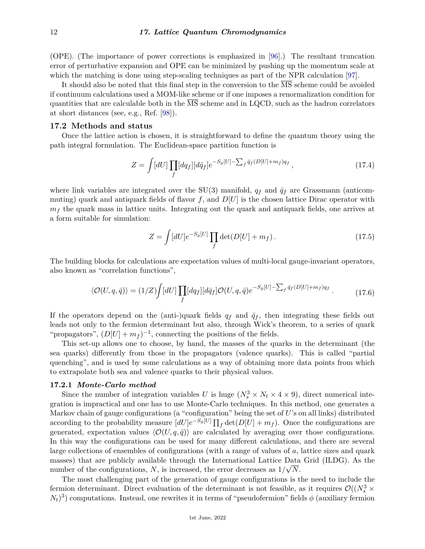(OPE). (The importance of power corrections is emphasized in [\[96\]](#page-25-4).) The resultant truncation error of perturbative expansion and OPE can be minimized by pushing up the momentum scale at which the matching is done using step-scaling techniques as part of the NPR calculation [\[97\]](#page-25-5).

It should also be noted that this final step in the conversion to the MS scheme could be avoided if continuum calculations used a MOM-like scheme or if one imposes a renormalization condition for quantities that are calculable both in the  $\overline{\text{MS}}$  scheme and in LQCD, such as the hadron correlators at short distances (see, e.g., Ref. [\[98\]](#page-25-6)).

# <span id="page-11-0"></span>**17.2 Methods and status**

Once the lattice action is chosen, it is straightforward to define the quantum theory using the path integral formulation. The Euclidean-space partition function is

$$
Z = \int [dU] \prod_{f} [dq_f][d\bar{q}_f] e^{-S_g[U] - \sum_{f} \bar{q}_f(D[U] + m_f)q_f}, \qquad (17.4)
$$

where link variables are integrated over the SU(3) manifold,  $q_f$  and  $\bar{q}_f$  are Grassmann (anticommuting) quark and antiquark fields of flavor  $f$ , and  $D[U]$  is the chosen lattice Dirac operator with *m<sup>f</sup>* the quark mass in lattice units. Integrating out the quark and antiquark fields, one arrives at a form suitable for simulation:

$$
Z = \int [dU]e^{-S_g[U]} \prod_f \det(D[U] + m_f).
$$
 (17.5)

The building blocks for calculations are expectation values of multi-local gauge-invariant operators, also known as "correlation functions",

$$
\langle \mathcal{O}(U, q, \bar{q}) \rangle = (1/Z) \int [dU] \prod_f [dq_f][d\bar{q}_f] \mathcal{O}(U, q, \bar{q}) e^{-S_g[U] - \sum_f \bar{q}_f(D[U] + m_f)q_f} \,. \tag{17.6}
$$

If the operators depend on the (anti-)quark fields  $q_f$  and  $\bar{q}_f$ , then integrating these fields out leads not only to the fermion determinant but also, through Wick's theorem, to a series of quark "propagators",  $(D[U] + m_f)^{-1}$ , connecting the positions of the fields.

This set-up allows one to choose, by hand, the masses of the quarks in the determinant (the sea quarks) differently from those in the propagators (valence quarks). This is called "partial quenching", and is used by some calculations as a way of obtaining more data points from which to extrapolate both sea and valence quarks to their physical values.

# <span id="page-11-1"></span>**17.2.1** *Monte-Carlo method*

Since the number of integration variables *U* is huge  $(N_s^3 \times N_t \times 4 \times 9)$ , direct numerical integration is impractical and one has to use Monte-Carlo techniques. In this method, one generates a Markov chain of gauge configurations (a "configuration" being the set of *U*'s on all links) distributed according to the probability measure  $[dU]e^{-S_g[U]} \prod_f \det(D[U] + m_f)$ . Once the configurations are generated, expectation values  $\langle \mathcal{O}(U, q, \bar{q}) \rangle$  are calculated by averaging over those configurations. In this way the configurations can be used for many different calculations, and there are several large collections of ensembles of configurations (with a range of values of *a*, lattice sizes and quark masses) that are publicly available through the International Lattice Data Grid (ILDG). As the number of the configurations,  $N$ , is increased, the error decreases as  $1/\sqrt{N}$ .

The most challenging part of the generation of gauge configurations is the need to include the fermion determinant. Direct evaluation of the determinant is not feasible, as it requires  $\mathcal{O}((N_s^3 \times$  $(N_t)^3$ ) computations. Instead, one rewrites it in terms of "pseudofermion" fields  $\phi$  (auxiliary fermion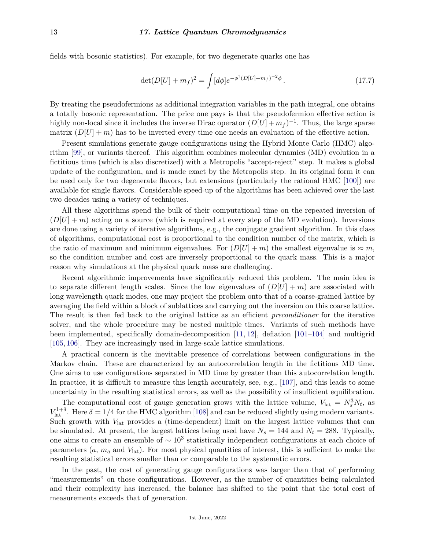fields with bosonic statistics). For example, for two degenerate quarks one has

$$
\det(D[U] + m_f)^2 = \int [d\phi] e^{-\phi^{\dagger}(D[U] + m_f)^{-2}\phi}.
$$
 (17.7)

By treating the pseudofermions as additional integration variables in the path integral, one obtains a totally bosonic representation. The price one pays is that the pseudofermion effective action is highly non-local since it includes the inverse Dirac operator  $(D[U] + m_f)^{-1}$ . Thus, the large sparse matrix  $(D|U| + m)$  has to be inverted every time one needs an evaluation of the effective action.

Present simulations generate gauge configurations using the Hybrid Monte Carlo (HMC) algorithm [\[99\]](#page-25-7), or variants thereof. This algorithm combines molecular dynamics (MD) evolution in a fictitious time (which is also discretized) with a Metropolis "accept-reject" step. It makes a global update of the configuration, and is made exact by the Metropolis step. In its original form it can be used only for two degenerate flavors, but extensions (particularly the rational HMC [\[100\]](#page-25-8)) are available for single flavors. Considerable speed-up of the algorithms has been achieved over the last two decades using a variety of techniques.

All these algorithms spend the bulk of their computational time on the repeated inversion of  $(D|U| + m)$  acting on a source (which is required at every step of the MD evolution). Inversions are done using a variety of iterative algorithms, e.g., the conjugate gradient algorithm. In this class of algorithms, computational cost is proportional to the condition number of the matrix, which is the ratio of maximum and minimum eigenvalues. For  $(D|U| + m)$  the smallest eigenvalue is  $\approx m$ , so the condition number and cost are inversely proportional to the quark mass. This is a major reason why simulations at the physical quark mass are challenging.

Recent algorithmic improvements have significantly reduced this problem. The main idea is to separate different length scales. Since the low eigenvalues of  $(D|U| + m)$  are associated with long wavelength quark modes, one may project the problem onto that of a coarse-grained lattice by averaging the field within a block of sublattices and carrying out the inversion on this coarse lattice. The result is then fed back to the original lattice as an efficient *preconditioner* for the iterative solver, and the whole procedure may be nested multiple times. Variants of such methods have been implemented, specifically domain-decomposition [\[11,](#page-22-10) [12\]](#page-22-23), deflation [\[101–](#page-25-9)[104\]](#page-25-10) and multigrid [\[105,](#page-25-11) [106\]](#page-25-12). They are increasingly used in large-scale lattice simulations.

A practical concern is the inevitable presence of correlations between configurations in the Markov chain. These are characterized by an autocorrelation length in the fictitious MD time. One aims to use configurations separated in MD time by greater than this autocorrelation length. In practice, it is difficult to measure this length accurately, see, e.g., [\[107\]](#page-25-13), and this leads to some uncertainty in the resulting statistical errors, as well as the possibility of insufficient equilibration.

The computational cost of gauge generation grows with the lattice volume,  $V_{\text{lat}} = N_s^3 N_t$ , as  $V_{\text{lat}}^{1+\delta}$ . Here  $\delta = 1/4$  for the HMC algorithm [\[108\]](#page-25-14) and can be reduced slightly using modern variants. Such growth with  $V_{\text{lat}}$  provides a (time-dependent) limit on the largest lattice volumes that can be simulated. At present, the largest lattices being used have  $N_s = 144$  and  $N_t = 288$ . Typically, one aims to create an ensemble of  $\sim 10^3$  statistically independent configurations at each choice of parameters  $(a, m_q \text{ and } V_{\text{lat}})$ . For most physical quantities of interest, this is sufficient to make the resulting statistical errors smaller than or comparable to the systematic errors.

In the past, the cost of generating gauge configurations was larger than that of performing "measurements" on those configurations. However, as the number of quantities being calculated and their complexity has increased, the balance has shifted to the point that the total cost of measurements exceeds that of generation.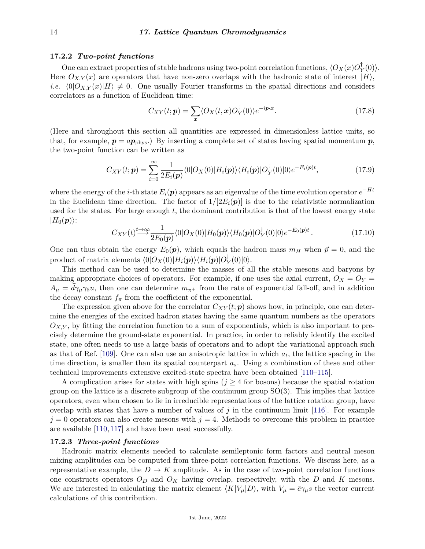### <span id="page-13-0"></span>**17.2.2** *Two-point functions*

One can extract properties of stable hadrons using two-point correlation functions,  $\langle O_X(x) O^\dagger_X$  $_Y^{\intercal}(0)\rangle.$ Here  $O_{X,Y}(x)$  are operators that have non-zero overlaps with the hadronic state of interest  $|H\rangle$ , *i.e.*  $\langle 0|O_{X,Y}(x)|H\rangle \neq 0$ . One usually Fourier transforms in the spatial directions and considers correlators as a function of Euclidean time:

$$
C_{XY}(t; \mathbf{p}) = \sum_{x} \langle O_X(t, x) O_Y^{\dagger}(0) \rangle e^{-i \mathbf{p} \cdot x}.
$$
 (17.8)

(Here and throughout this section all quantities are expressed in dimensionless lattice units, so that, for example,  $p = ap_{\text{phys}}$ .) By inserting a complete set of states having spatial momentum  $p$ , the two-point function can be written as

$$
C_{XY}(t; \mathbf{p}) = \sum_{i=0}^{\infty} \frac{1}{2E_i(\mathbf{p})} \langle 0|O_X(0)|H_i(\mathbf{p})\rangle \langle H_i(\mathbf{p})|O_Y^{\dagger}(0)|0\rangle e^{-E_i(\mathbf{p})t}, \qquad (17.9)
$$

where the energy of the *i*-th state  $E_i(\textbf{\textit{p}})$  appears as an eigenvalue of the time evolution operator  $e^{-Ht}$ in the Euclidean time direction. The factor of  $1/[2E_i(\boldsymbol{p})]$  is due to the relativistic normalization used for the states. For large enough *t*, the dominant contribution is that of the lowest energy state  $|H_0(\mathbf{p})\rangle$ :

$$
C_{XY}(t) \stackrel{t \to \infty}{\longrightarrow} \frac{1}{2E_0(\boldsymbol{p})} \langle 0|O_X(0)|H_0(\boldsymbol{p})\rangle \langle H_0(\boldsymbol{p})|O_Y^{\dagger}(0)|0\rangle e^{-E_0(\boldsymbol{p})t}.
$$
\n(17.10)

One can thus obtain the energy  $E_0(\mathbf{p})$ , which equals the hadron mass  $m_H$  when  $\vec{p} = 0$ , and the product of matrix elements  $\langle 0|O_X(0)|H_i(\boldsymbol{p})\rangle \langle H_i(\boldsymbol{p})|O_N^\dagger$  $\bar{Y}^{(0)}|0\rangle.$ 

This method can be used to determine the masses of all the stable mesons and baryons by making appropriate choices of operators. For example, if one uses the axial current,  $O_X = O_Y$  $A_{\mu} = d\gamma_{\mu}\gamma_5 u$ , then one can determine  $m_{\pi^+}$  from the rate of exponential fall-off, and in addition the decay constant  $f_{\pi}$  from the coefficient of the exponential.

The expression given above for the correlator  $C_{XY}(t; p)$  shows how, in principle, one can determine the energies of the excited hadron states having the same quantum numbers as the operators  $O_{X,Y}$ , by fitting the correlation function to a sum of exponentials, which is also important to precisely determine the ground-state exponential. In practice, in order to reliably identify the excited state, one often needs to use a large basis of operators and to adopt the variational approach such as that of Ref. [\[109\]](#page-25-15). One can also use an anisotropic lattice in which *a<sup>t</sup>* , the lattice spacing in the time direction, is smaller than its spatial counterpart *as*. Using a combination of these and other technical improvements extensive excited-state spectra have been obtained [\[110–](#page-25-16)[115\]](#page-25-17).

A complication arises for states with high spins  $(j \geq 4$  for bosons) because the spatial rotation group on the lattice is a discrete subgroup of the continuum group  $SO(3)$ . This implies that lattice operators, even when chosen to lie in irreducible representations of the lattice rotation group, have overlap with states that have a number of values of *j* in the continuum limit [\[116\]](#page-25-18). For example  $j = 0$  operators can also create mesons with  $j = 4$ . Methods to overcome this problem in practice are available [\[110,](#page-25-16) [117\]](#page-25-19) and have been used successfully.

# <span id="page-13-1"></span>**17.2.3** *Three-point functions*

Hadronic matrix elements needed to calculate semileptonic form factors and neutral meson mixing amplitudes can be computed from three-point correlation functions. We discuss here, as a representative example, the  $D \to K$  amplitude. As in the case of two-point correlation functions one constructs operators  $O<sub>D</sub>$  and  $O<sub>K</sub>$  having overlap, respectively, with the *D* and *K* mesons. We are interested in calculating the matrix element  $\langle K|V_\mu|D\rangle$ , with  $V_\mu = \bar{c}\gamma_\mu s$  the vector current calculations of this contribution.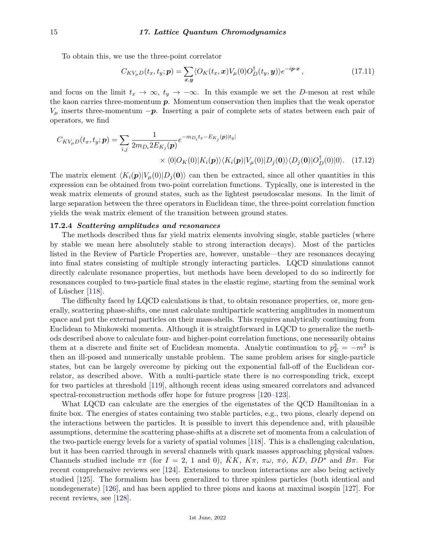To obtain this, we use the three-point correlator

$$
C_{KV_{\mu}D}(t_x, t_y; \mathbf{p}) = \sum_{x,y} \langle O_K(t_x, x) V_{\mu}(0) O_D^{\dagger}(t_y, y) \rangle e^{-ip \cdot x}, \qquad (17.11)
$$

and focus on the limit  $t_x \to \infty$ ,  $t_y \to -\infty$ . In this example we set the *D*-meson at rest while the kaon carries three-momentum *p*. Momentum conservation then implies that the weak operator *V*<sup>*µ*</sup> inserts three-momentum −*p*. Inserting a pair of complete sets of states between each pair of operators, we find

$$
C_{KV_{\mu}D}(t_x, t_y; \mathbf{p}) = \sum_{i,j} \frac{1}{2m_{D_i}2E_{K_j}(\mathbf{p})} e^{-m_{D_i}t_x - E_{K_j}(\mathbf{p})|t_y|}
$$

$$
\times \langle 0|O_K(0)|K_i(\mathbf{p})\rangle \langle K_i(\mathbf{p})|V_{\mu}(0)|D_j(\mathbf{0})\rangle \langle D_j(\mathbf{0})|O_D^{\dagger}(0)|0\rangle. \tag{17.12}
$$

The matrix element  $\langle K_i(\mathbf{p})|V_\mu(0)|D_i(0)\rangle$  can then be extracted, since all other quantities in this expression can be obtained from two-point correlation functions. Typically, one is interested in the weak matrix elements of ground states, such as the lightest pseudoscalar mesons. In the limit of large separation between the three operators in Euclidean time, the three-point correlation function yields the weak matrix element of the transition between ground states.

#### <span id="page-14-0"></span>**17.2.4** *Scattering amplitudes and resonances*

The methods described thus far yield matrix elements involving single, stable particles (where by stable we mean here absolutely stable to strong interaction decays). Most of the particles listed in the Review of Particle Properties are, however, unstable—they are resonances decaying into final states consisting of multiple strongly interacting particles. LQCD simulations cannot directly calculate resonance properties, but methods have been developed to do so indirectly for resonances coupled to two-particle final states in the elastic regime, starting from the seminal work of Lüscher [\[118\]](#page-25-20).

The difficulty faced by LQCD calculations is that, to obtain resonance properties, or, more generally, scattering phase-shifts, one must calculate multiparticle scattering amplitudes in momentum space and put the external particles on their mass-shells. This requires analytically continuing from Euclidean to Minkowski momenta. Although it is straightforward in LQCD to generalize the methods described above to calculate four- and higher-point correlation functions, one necessarily obtains them at a discrete and finite set of Euclidean momenta. Analytic continuation to  $p_E^2 = -m^2$  is then an ill-posed and numerically unstable problem. The same problem arises for single-particle states, but can be largely overcome by picking out the exponential fall-off of the Euclidean correlator, as described above. With a multi-particle state there is no corresponding trick, except for two particles at threshold [\[119\]](#page-25-21), although recent ideas using smeared correlators and advanced spectral-reconstruction methods offer hope for future progress [\[120–](#page-25-22)[123\]](#page-25-23).

What LQCD can calculate are the energies of the eigenstates of the QCD Hamiltonian in a finite box. The energies of states containing two stable particles, e.g., two pions, clearly depend on the interactions between the particles. It is possible to invert this dependence and, with plausible assumptions, determine the scattering phase-shifts at a discrete set of momenta from a calculation of the two-particle energy levels for a variety of spatial volumes [\[118\]](#page-25-20). This is a challenging calculation, but it has been carried through in several channels with quark masses approaching physical values. Channels studied include  $\pi \pi$  (for *I* = 2, 1 and 0), *KK*, *Kπ*,  $\pi \omega$ ,  $\pi \phi$ , *KD*, *DD*<sup>\*</sup> and *B*π. For recent comprehensive reviews see [\[124\]](#page-26-0). Extensions to nucleon interactions are also being actively studied [\[125\]](#page-26-1). The formalism has been generalized to three spinless particles (both identical and nondegenerate) [\[126\]](#page-26-2), and has been applied to three pions and kaons at maximal isospin [\[127\]](#page-26-3). For recent reviews, see [\[128\]](#page-26-4).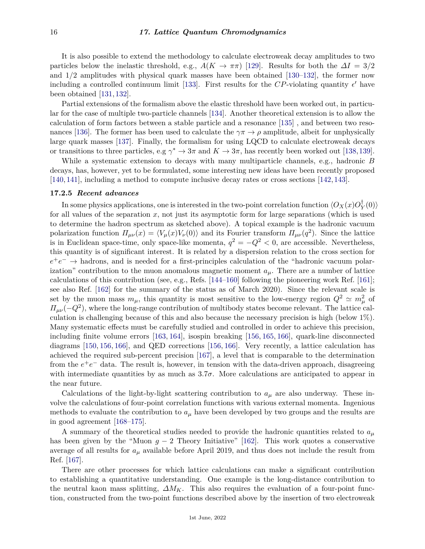It is also possible to extend the methodology to calculate electroweak decay amplitudes to two particles below the inelastic threshold, e.g.,  $A(K \to \pi \pi)$  [\[129\]](#page-26-5). Results for both the  $\Delta I = 3/2$ and 1*/*2 amplitudes with physical quark masses have been obtained [\[130–](#page-26-6)[132\]](#page-26-7), the former now including a controlled continuum limit [\[133\]](#page-26-8). First results for the  $CP$ -violating quantity  $\epsilon'$  have been obtained [\[131,](#page-26-9) [132\]](#page-26-7).

Partial extensions of the formalism above the elastic threshold have been worked out, in particular for the case of multiple two-particle channels [\[134\]](#page-26-10). Another theoretical extension is to allow the calculation of form factors between a stable particle and a resonance [\[135\]](#page-26-11) , and between two reso-nances [\[136\]](#page-26-12). The former has been used to calculate the  $\gamma \pi \to \rho$  amplitude, albeit for unphysically large quark masses [\[137\]](#page-26-13). Finally, the formalism for using LQCD to calculate electroweak decays or transitions to three particles, e.g  $\gamma^* \to 3\pi$  and  $K \to 3\pi$ , has recently been worked out [\[138,](#page-26-14)[139\]](#page-26-15).

While a systematic extension to decays with many multiparticle channels, e.g., hadronic *B* decays, has, however, yet to be formulated, some interesting new ideas have been recently proposed [\[140,](#page-26-16) [141\]](#page-26-17), including a method to compute inclusive decay rates or cross sections [\[142,](#page-26-18) [143\]](#page-26-19).

#### <span id="page-15-0"></span>**17.2.5** *Recent advances*

In some physics applications, one is interested in the two-point correlation function  $\langle O_X(x) O^\dagger_{\bf \lambda} \rangle$  $_Y^{\intercal}(0)\rangle$ for all values of the separation *x*, not just its asymptotic form for large separations (which is used to determine the hadron spectrum as sketched above). A topical example is the hadronic vacuum polarization function  $\Pi_{\mu\nu}(x) = \langle V_\mu(x)V_\nu(0) \rangle$  and its Fourier transform  $\Pi_{\mu\nu}(q^2)$ . Since the lattice is in Euclidean space-time, only space-like momenta,  $q^2 = -Q^2 < 0$ , are accessible. Nevertheless, this quantity is of significant interest. It is related by a dispersion relation to the cross section for  $e^+e^-$  → hadrons, and is needed for a first-principles calculation of the "hadronic vacuum polarization" contribution to the muon anomalous magnetic moment  $a_{\mu}$ . There are a number of lattice calculations of this contribution (see, e.g., Refs. [\[144–](#page-26-20)[160\]](#page-27-0) following the pioneering work Ref. [\[161\]](#page-27-1); see also Ref. [\[162\]](#page-27-2) for the summary of the status as of March 2020). Since the relevant scale is set by the muon mass  $m_{\mu}$ , this quantity is most sensitive to the low-energy region  $Q^2 \simeq m_{\mu}^2$  of  $\Pi_{\mu\nu}(-Q^2)$ , where the long-range contribution of multibody states become relevant. The lattice calculation is challenging because of this and also because the necessary precision is high (below  $1\%$ ). Many systematic effects must be carefully studied and controlled in order to achieve this precision, including finite volume errors [\[163,](#page-27-3) [164\]](#page-27-4), isospin breaking [\[156,](#page-27-5) [165,](#page-27-6) [166\]](#page-27-7), quark-line disconnected diagrams [\[150,](#page-27-8) [156,](#page-27-5) [166\]](#page-27-7), and QED corrections [\[156,](#page-27-5) [166\]](#page-27-7). Very recently, a lattice calculation has achieved the required sub-percent precision [\[167\]](#page-27-9), a level that is comparable to the determination from the  $e^+e^-$  data. The result is, however, in tension with the data-driven approach, disagreeing with intermediate quantities by as much as  $3.7\sigma$ . More calculations are anticipated to appear in the near future.

Calculations of the light-by-light scattering contribution to  $a_{\mu}$  are also underway. These involve the calculations of four-point correlation functions with various external momenta. Ingenious methods to evaluate the contribution to  $a_\mu$  have been developed by two groups and the results are in good agreement [\[168–](#page-27-10)[175\]](#page-27-11).

A summary of the theoretical studies needed to provide the hadronic quantities related to *a<sup>µ</sup>* has been given by the "Muon  $g - 2$  Theory Initiative" [\[162\]](#page-27-2). This work quotes a conservative average of all results for  $a_\mu$  available before April 2019, and thus does not include the result from Ref. [\[167\]](#page-27-9).

There are other processes for which lattice calculations can make a significant contribution to establishing a quantitative understanding. One example is the long-distance contribution to the neutral kaon mass splitting,  $\Delta M_K$ . This also requires the evaluation of a four-point function, constructed from the two-point functions described above by the insertion of two electroweak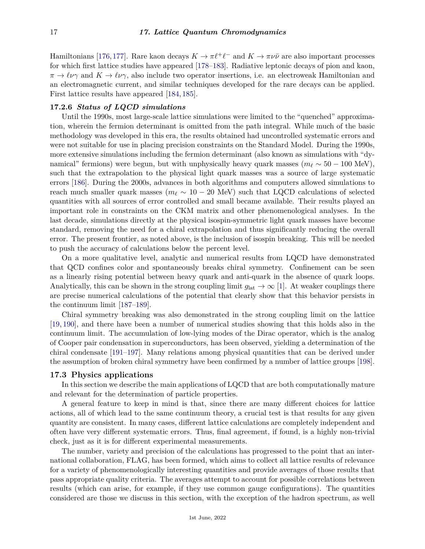Hamiltonians [\[176,](#page-27-12)[177\]](#page-27-13). Rare kaon decays  $K \to \pi \ell^+ \ell^-$  and  $K \to \pi \nu \bar{\nu}$  are also important processes for which first lattice studies have appeared [\[178–](#page-27-14)[183\]](#page-28-0). Radiative leptonic decays of pion and kaon,  $\pi \to \ell \nu \gamma$  and  $K \to \ell \nu \gamma$ , also include two operator insertions, i.e. an electroweak Hamiltonian and an electromagnetic current, and similar techniques developed for the rare decays can be applied. First lattice results have appeared [\[184,](#page-28-1) [185\]](#page-28-2).

#### <span id="page-16-0"></span>**17.2.6** *Status of LQCD simulations*

Until the 1990s, most large-scale lattice simulations were limited to the "quenched" approximation, wherein the fermion determinant is omitted from the path integral. While much of the basic methodology was developed in this era, the results obtained had uncontrolled systematic errors and were not suitable for use in placing precision constraints on the Standard Model. During the 1990s, more extensive simulations including the fermion determinant (also known as simulations with "dynamical" fermions) were begun, but with unphysically heavy quark masses  $(m_{\ell} \sim 50 - 100 \text{ MeV})$ , such that the extrapolation to the physical light quark masses was a source of large systematic errors [\[186\]](#page-28-3). During the 2000s, advances in both algorithms and computers allowed simulations to reach much smaller quark masses ( $m_\ell \sim 10 - 20$  MeV) such that LQCD calculations of selected quantities with all sources of error controlled and small became available. Their results played an important role in constraints on the CKM matrix and other phenomenological analyses. In the last decade, simulations directly at the physical isospin-symmetric light quark masses have become standard, removing the need for a chiral extrapolation and thus significantly reducing the overall error. The present frontier, as noted above, is the inclusion of isospin breaking. This will be needed to push the accuracy of calculations below the percent level.

On a more qualitative level, analytic and numerical results from LQCD have demonstrated that QCD confines color and spontaneously breaks chiral symmetry. Confinement can be seen as a linearly rising potential between heavy quark and anti-quark in the absence of quark loops. Analytically, this can be shown in the strong coupling limit  $g_{\text{lat}} \to \infty$  [\[1\]](#page-22-1). At weaker couplings there are precise numerical calculations of the potential that clearly show that this behavior persists in the continuum limit [\[187–](#page-28-4)[189\]](#page-28-5).

Chiral symmetry breaking was also demonstrated in the strong coupling limit on the lattice [\[19,](#page-22-16) [190\]](#page-28-6), and there have been a number of numerical studies showing that this holds also in the continuum limit. The accumulation of low-lying modes of the Dirac operator, which is the analog of Cooper pair condensation in superconductors, has been observed, yielding a determination of the chiral condensate [\[191–](#page-28-7)[197\]](#page-28-8). Many relations among physical quantities that can be derived under the assumption of broken chiral symmetry have been confirmed by a number of lattice groups [\[198\]](#page-28-9).

# <span id="page-16-1"></span>**17.3 Physics applications**

In this section we describe the main applications of LQCD that are both computationally mature and relevant for the determination of particle properties.

A general feature to keep in mind is that, since there are many different choices for lattice actions, all of which lead to the same continuum theory, a crucial test is that results for any given quantity are consistent. In many cases, different lattice calculations are completely independent and often have very different systematic errors. Thus, final agreement, if found, is a highly non-trivial check, just as it is for different experimental measurements.

The number, variety and precision of the calculations has progressed to the point that an international collaboration, FLAG, has been formed, which aims to collect all lattice results of relevance for a variety of phenomenologically interesting quantities and provide averages of those results that pass appropriate quality criteria. The averages attempt to account for possible correlations between results (which can arise, for example, if they use common gauge configurations). The quantities considered are those we discuss in this section, with the exception of the hadron spectrum, as well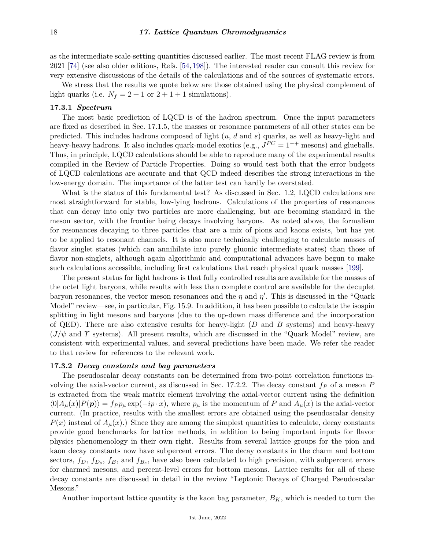as the intermediate scale-setting quantities discussed earlier. The most recent FLAG review is from 2021 [\[74\]](#page-24-14) (see also older editions, Refs. [\[54,](#page-23-28)[198\]](#page-28-9)). The interested reader can consult this review for very extensive discussions of the details of the calculations and of the sources of systematic errors.

We stress that the results we quote below are those obtained using the physical complement of light quarks (i.e.  $N_f = 2 + 1$  or  $2 + 1 + 1$  simulations).

#### <span id="page-17-0"></span>**17.3.1** *Spectrum*

The most basic prediction of LQCD is of the hadron spectrum. Once the input parameters are fixed as described in Sec. 17.1.5, the masses or resonance parameters of all other states can be predicted. This includes hadrons composed of light (*u*, *d* and *s*) quarks, as well as heavy-light and heavy-heavy hadrons. It also includes quark-model exotics (e.g.,  $J^{PC} = 1^{-+}$  mesons) and glueballs. Thus, in principle, LQCD calculations should be able to reproduce many of the experimental results compiled in the Review of Particle Properties. Doing so would test both that the error budgets of LQCD calculations are accurate and that QCD indeed describes the strong interactions in the low-energy domain. The importance of the latter test can hardly be overstated.

What is the status of this fundamental test? As discussed in Sec. 1.2, LQCD calculations are most straightforward for stable, low-lying hadrons. Calculations of the properties of resonances that can decay into only two particles are more challenging, but are becoming standard in the meson sector, with the frontier being decays involving baryons. As noted above, the formalism for resonances decaying to three particles that are a mix of pions and kaons exists, but has yet to be applied to resonant channels. It is also more technically challenging to calculate masses of flavor singlet states (which can annihilate into purely gluonic intermediate states) than those of flavor non-singlets, although again algorithmic and computational advances have begun to make such calculations accessible, including first calculations that reach physical quark masses [\[199\]](#page-28-10).

The present status for light hadrons is that fully controlled results are available for the masses of the octet light baryons, while results with less than complete control are available for the decuplet baryon resonances, the vector meson resonances and the  $\eta$  and  $\eta'$ . This is discussed in the "Quark" Model" review—see, in particular, Fig. 15.9. In addition, it has been possible to calculate the isospin splitting in light mesons and baryons (due to the up-down mass difference and the incorporation of QED). There are also extensive results for heavy-light (*D* and *B* systems) and heavy-heavy  $(J/\psi \text{ and } \Upsilon \text{ systems})$ . All present results, which are discussed in the "Quark Model" review, are consistent with experimental values, and several predictions have been made. We refer the reader to that review for references to the relevant work.

### <span id="page-17-1"></span>**17.3.2** *Decay constants and bag parameters*

The pseudoscalar decay constants can be determined from two-point correlation functions involving the axial-vector current, as discussed in Sec. 17.2.2. The decay constant *f<sup>P</sup>* of a meson *P* is extracted from the weak matrix element involving the axial-vector current using the definition  $\langle 0|A_\mu(x)|P(\bm{p})\rangle = f_P p_\mu \exp(-ip\cdot x)$ , where  $p_\mu$  is the momentum of *P* and  $A_\mu(x)$  is the axial-vector current. (In practice, results with the smallest errors are obtained using the pseudoscalar density  $P(x)$  instead of  $A_\mu(x)$ .) Since they are among the simplest quantities to calculate, decay constants provide good benchmarks for lattice methods, in addition to being important inputs for flavor physics phenomenology in their own right. Results from several lattice groups for the pion and kaon decay constants now have subpercent errors. The decay constants in the charm and bottom sectors,  $f_D$ ,  $f_{D_s}$ ,  $f_B$ , and  $f_{B_s}$ , have also been calculated to high precision, with subpercent errors for charmed mesons, and percent-level errors for bottom mesons. Lattice results for all of these decay constants are discussed in detail in the review "Leptonic Decays of Charged Pseudoscalar Mesons."

Another important lattice quantity is the kaon bag parameter, *BK*, which is needed to turn the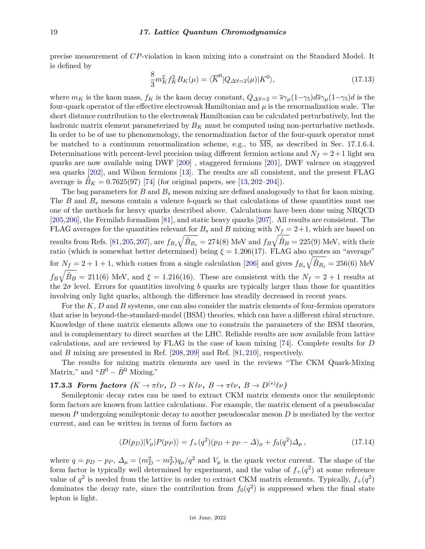precise measurement of *CP*-violation in kaon mixing into a constraint on the Standard Model. It is defined by

$$
\frac{8}{3}m_K^2 f_K^2 B_K(\mu) = \langle \overline{K}^0 | Q_{\Delta S = 2}(\mu) | K^0 \rangle, \tag{17.13}
$$

where  $m_K$  is the kaon mass,  $f_K$  is the kaon decay constant,  $Q_{\Delta S=2} = \overline{s}\gamma_\mu (1-\gamma_5)d\overline{s}\gamma_\mu (1-\gamma_5)d$  is the four-quark operator of the effective electroweak Hamiltonian and  $\mu$  is the renormalization scale. The short distance contribution to the electroweak Hamiltonian can be calculated perturbatively, but the hadronic matrix element parameterized by *B<sup>K</sup>* must be computed using non-perturbative methods. In order to be of use to phenomenology, the renormalization factor of the four-quark operator must be matched to a continuum renormalization scheme, e.g., to  $\overline{\text{MS}}$ , as described in Sec. 17.1.6.4. Determinations with percent-level precision using different fermion actions and  $N_f = 2+1$  light sea quarks are now available using DWF [\[200\]](#page-28-11) , staggered fermions [\[201\]](#page-28-12), DWF valence on staggered sea quarks [\[202\]](#page-28-13), and Wilson fermions [\[13\]](#page-22-24). The results are all consistent, and the present FLAG average is  $B_K = 0.7625(97)$  [\[74\]](#page-24-14) (for original papers, see [\[13,](#page-22-24) [202–](#page-28-13)[204\]](#page-28-14)).

The bag parameters for *B* and *B<sup>s</sup>* meson mixing are defined analogously to that for kaon mixing. The *B* and  $B_s$  mesons contain a valence *b*-quark so that calculations of these quantities must use one of the methods for heavy quarks described above. Calculations have been done using NRQCD [\[205,](#page-28-15)[206\]](#page-28-16), the Fermilab formalism [\[81\]](#page-24-18), and static heavy quarks [\[207\]](#page-28-17). All results are consistent. The FLAG averages for the quantities relevant for  $B_s$  and  $B$  mixing with  $N_f = 2+1$ , which are based on results from Refs. [\[81,](#page-24-18)[205,](#page-28-15)[207\]](#page-28-17), are  $f_{B_s}\sqrt{\hat{B}_{B_s}} = 274(8)$  MeV and  $f_B\sqrt{\hat{B}_B} = 225(9)$  MeV, with their ratio (which is somewhat better determined) being  $\xi = 1.206(17)$ . FLAG also quotes an "average" for  $N_f = 2 + 1 + 1$ , which comes from a single calculation [\[206\]](#page-28-16) and gives  $f_{B_s}\sqrt{\hat{B}_{B_s}} = 256(6)$  MeV  $f_B\sqrt{\hat{B}_B} = 211(6)$  MeV, and  $\xi = 1.216(16)$ . These are consistent with the  $N_f = 2 + 1$  results at the  $2\sigma$  level. Errors for quantities involving *b* quarks are typically larger than those for quantities involving only light quarks, although the difference has steadily decreased in recent years.

For the *K*, *D* and *B* systems, one can also consider the matrix elements of four-fermion operators that arise in beyond-the-standard-model (BSM) theories, which can have a different chiral structure. Knowledge of these matrix elements allows one to constrain the parameters of the BSM theories, and is complementary to direct searches at the LHC. Reliable results are now available from lattice calculations, and are reviewed by FLAG in the case of kaon mixing [\[74\]](#page-24-14). Complete results for *D* and *B* mixing are presented in Ref. [\[208,](#page-28-18) [209\]](#page-28-19) and Ref. [\[81,](#page-24-18) [210\]](#page-28-20), respectively.

The results for mixing matrix elements are used in the reviews "The CKM Quark-Mixing Matrix," and " $B^0 - \bar{B}^0$  Mixing."

# <span id="page-18-0"></span> $17.3.3$  *Form factors*  $(K \to \pi\ell\nu, \ D \to K\ell\nu, \ B \to \pi\ell\nu, \ B \to D^{(*)}\ell\nu)$

Semileptonic decay rates can be used to extract CKM matrix elements once the semileptonic form factors are known from lattice calculations. For example, the matrix element of a pseudoscalar meson *P* undergoing semileptonic decay to another pseudoscalar meson *D* is mediated by the vector current, and can be written in terms of form factors as

$$
\langle D(p_D) | V_{\mu} | P(p_P) \rangle = f_{+}(q^2)(p_D + p_P - \Delta)_{\mu} + f_0(q^2) \Delta_{\mu}, \qquad (17.14)
$$

where  $q = p_D - p_P$ ,  $\Delta_{\mu} = (m_D^2 - m_P^2)q_{\mu}/q^2$  and  $V_{\mu}$  is the quark vector current. The shape of the form factor is typically well determined by experiment, and the value of  $f_{+}(q^2)$  at some reference value of  $q^2$  is needed from the lattice in order to extract CKM matrix elements. Typically,  $f_+(q^2)$ dominates the decay rate, since the contribution from  $f_0(q^2)$  is suppressed when the final state lepton is light.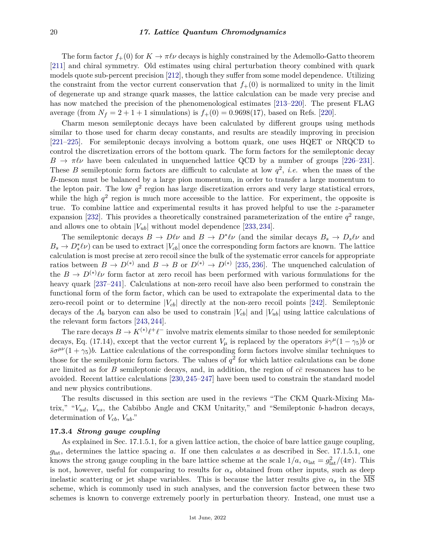The form factor  $f_+(0)$  for  $K \to \pi \ell \nu$  decays is highly constrained by the Ademollo-Gatto theorem [\[211\]](#page-28-21) and chiral symmetry. Old estimates using chiral perturbation theory combined with quark models quote sub-percent precision [\[212\]](#page-28-22), though they suffer from some model dependence. Utilizing the constraint from the vector current conservation that  $f_{+}(0)$  is normalized to unity in the limit of degenerate up and strange quark masses, the lattice calculation can be made very precise and has now matched the precision of the phenomenological estimates [\[213–](#page-28-23)[220\]](#page-29-0). The present FLAG average (from  $N_f = 2 + 1 + 1$  simulations) is  $f_+(0) = 0.9698(17)$ , based on Refs. [\[220\]](#page-29-0).

Charm meson semileptonic decays have been calculated by different groups using methods similar to those used for charm decay constants, and results are steadily improving in precision [\[221](#page-29-1)[–225\]](#page-29-2). For semileptonic decays involving a bottom quark, one uses HQET or NRQCD to control the discretization errors of the bottom quark. The form factors for the semileptonic decay  $B \to \pi \ell \nu$  have been calculated in unquenched lattice QCD by a number of groups [\[226–](#page-29-3)[231\]](#page-29-4). These *B* semileptonic form factors are difficult to calculate at low  $q^2$ , *i.e.* when the mass of the *B*-meson must be balanced by a large pion momentum, in order to transfer a large momentum to the lepton pair. The low  $q^2$  region has large discretization errors and very large statistical errors, while the high  $q^2$  region is much more accessible to the lattice. For experiment, the opposite is true. To combine lattice and experimental results it has proved helpful to use the *z*-parameter expansion [\[232\]](#page-29-5). This provides a theoretically constrained parameterization of the entire  $q^2$  range, and allows one to obtain  $|V_{ub}|$  without model dependence [\[233,](#page-29-6) [234\]](#page-29-7).

The semileptonic decays  $B \to D\ell\nu$  and  $B \to D^*\ell\nu$  (and the similar decays  $B_s \to D_s\ell\nu$  and  $B_s \to D_s^* \ell \nu$  can be used to extract  $|V_{cb}|$  once the corresponding form factors are known. The lattice calculation is most precise at zero recoil since the bulk of the systematic error cancels for appropriate ratios between  $B \to D^{(*)}$  and  $B \to B$  or  $D^{(*)} \to D^{(*)}$  [\[235,](#page-29-8) [236\]](#page-29-9). The unquenched calculation of the  $B \to D^{(*)}\ell\nu$  form factor at zero recoil has been performed with various formulations for the heavy quark [\[237](#page-29-10)[–241\]](#page-29-11). Calculations at non-zero recoil have also been performed to constrain the functional form of the form factor, which can be used to extrapolate the experimental data to the zero-recoil point or to determine  $|V_{cb}|$  directly at the non-zero recoil points [\[242\]](#page-29-12). Semileptonic decays of the  $\Lambda_b$  baryon can also be used to constrain  $|V_{cb}|$  and  $|V_{ub}|$  using lattice calculations of the relevant form factors [\[243,](#page-30-0) [244\]](#page-30-1).

The rare decays  $B \to K^{(*)}\ell^+\ell^-$  involve matrix elements similar to those needed for semileptonic decays, Eq. (17.14), except that the vector current  $V_\mu$  is replaced by the operators  $\bar{s}\gamma^\mu(1-\gamma_5)b$  or  $\bar{s}\sigma^{\mu\nu}(1 + \gamma_5)b$ . Lattice calculations of the corresponding form factors involve similar techniques to those for the semileptonic form factors. The values of  $q<sup>2</sup>$  for which lattice calculations can be done are limited as for  $B$  semileptonic decays, and, in addition, the region of  $c\bar{c}$  resonances has to be avoided. Recent lattice calculations [\[230,](#page-29-13)[245](#page-30-2)[–247\]](#page-30-3) have been used to constrain the standard model and new physics contributions.

The results discussed in this section are used in the reviews "The CKM Quark-Mixing Matrix," "*Vud*, *Vus*, the Cabibbo Angle and CKM Unitarity," and "Semileptonic *b*-hadron decays, determination of  $V_{cb}$ ,  $V_{ub}$ ."

# <span id="page-19-0"></span>**17.3.4** *Strong gauge coupling*

As explained in Sec. 17.1.5.1, for a given lattice action, the choice of bare lattice gauge coupling, *g*lat, determines the lattice spacing *a*. If one then calculates *a* as described in Sec. 17.1.5.1, one knows the strong gauge coupling in the bare lattice scheme at the scale  $1/a$ ,  $\alpha_{\text{lat}} = g_{\text{lat}}^2/(4\pi)$ . This is not, however, useful for comparing to results for  $\alpha_s$  obtained from other inputs, such as deep inelastic scattering or jet shape variables. This is because the latter results give  $\alpha_s$  in the  $\overline{\text{MS}}$ scheme, which is commonly used in such analyses, and the conversion factor between these two schemes is known to converge extremely poorly in perturbation theory. Instead, one must use a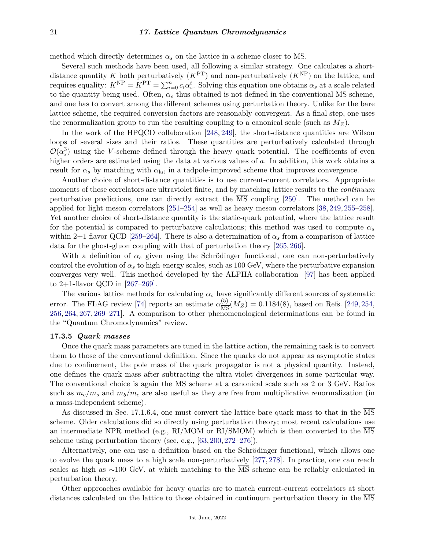method which directly determines  $\alpha_s$  on the lattice in a scheme closer to  $\overline{\text{MS}}$ .

Several such methods have been used, all following a similar strategy. One calculates a shortdistance quantity *K* both perturbatively  $(K^{PT})$  and non-perturbatively  $(K^{NP})$  on the lattice, and requires equality:  $K^{\text{NP}} = K^{\text{PT}} = \sum_{i=0}^{n} c_i \alpha_s^i$ . Solving this equation one obtains  $\alpha_s$  at a scale related to the quantity being used. Often,  $\alpha_s$  thus obtained is not defined in the conventional MS scheme, and one has to convert among the different schemes using perturbation theory. Unlike for the bare lattice scheme, the required conversion factors are reasonably convergent. As a final step, one uses the renormalization group to run the resulting coupling to a canonical scale (such as  $M_Z$ ).

In the work of the HPQCD collaboration [\[248,](#page-30-4) [249\]](#page-30-5), the short-distance quantities are Wilson loops of several sizes and their ratios. These quantities are perturbatively calculated through  $\mathcal{O}(\alpha_s^3)$  using the *V*-scheme defined through the heavy quark potential. The coefficients of even higher orders are estimated using the data at various values of a. In addition, this work obtains a result for  $\alpha_s$  by matching with  $\alpha_{\text{lat}}$  in a tadpole-improved scheme that improves convergence.

Another choice of short-distance quantities is to use current-current correlators. Appropriate moments of these correlators are ultraviolet finite, and by matching lattice results to the *continuum* perturbative predictions, one can directly extract the  $\overline{\text{MS}}$  coupling [\[250\]](#page-30-6). The method can be applied for light meson correlators [\[251](#page-30-7)[–254\]](#page-30-8) as well as heavy meson correlators [\[38,](#page-23-11) [249,](#page-30-5) [255–](#page-30-9)[258\]](#page-30-10). Yet another choice of short-distance quantity is the static-quark potential, where the lattice result for the potential is compared to perturbative calculations; this method was used to compute  $\alpha_s$ within 2+1 flavor QCD [\[259–](#page-30-11)[264\]](#page-30-12). There is also a determination of  $\alpha_s$  from a comparison of lattice data for the ghost-gluon coupling with that of perturbation theory [\[265,](#page-30-13) [266\]](#page-30-14).

With a definition of  $\alpha_s$  given using the Schrödinger functional, one can non-perturbatively control the evolution of  $\alpha_s$  to high-energy scales, such as 100 GeV, where the perturbative expansion converges very well. This method developed by the ALPHA collaboration [\[97\]](#page-25-5) has been applied to 2+1-flavor QCD in  $[267-269]$  $[267-269]$ .

The various lattice methods for calculating  $\alpha_s$  have significantly different sources of systematic error. The FLAG review [\[74\]](#page-24-14) reports an estimate  $\alpha_{\overline{MS}}^{(5)}(M_Z) = 0.1184(8)$ , based on Refs. [\[249,](#page-30-5) [254,](#page-30-8) [256,](#page-30-17) [264,](#page-30-12) [267,](#page-30-15) [269](#page-30-16)[–271\]](#page-30-18). A comparison to other phenomenological determinations can be found in the "Quantum Chromodynamics" review.

#### <span id="page-20-0"></span>**17.3.5** *Quark masses*

Once the quark mass parameters are tuned in the lattice action, the remaining task is to convert them to those of the conventional definition. Since the quarks do not appear as asymptotic states due to confinement, the pole mass of the quark propagator is not a physical quantity. Instead, one defines the quark mass after subtracting the ultra-violet divergences in some particular way. The conventional choice is again the MS scheme at a canonical scale such as 2 or 3 GeV. Ratios such as  $m_c/m_s$  and  $m_b/m_c$  are also useful as they are free from multiplicative renormalization (in a mass-independent scheme).

As discussed in Sec. 17.1.6.4, one must convert the lattice bare quark mass to that in the MS scheme. Older calculations did so directly using perturbation theory; most recent calculations use an intermediate NPR method (e.g.,  $\rm R I/MOM$  or  $\rm R I/SMOM$ ) which is then converted to the  $\overline{\rm MS}$ scheme using perturbation theory (see, e.g., [\[63,](#page-24-28) [200,](#page-28-11) [272–](#page-30-19)[276\]](#page-30-20)).

Alternatively, one can use a definition based on the Schrödinger functional, which allows one to evolve the quark mass to a high scale non-perturbatively [\[277,](#page-30-21) [278\]](#page-31-0). In practice, one can reach scales as high as ∼100 GeV, at which matching to the  $\overline{\text{MS}}$  scheme can be reliably calculated in perturbation theory.

Other approaches available for heavy quarks are to match current-current correlators at short distances calculated on the lattice to those obtained in continuum perturbation theory in the MS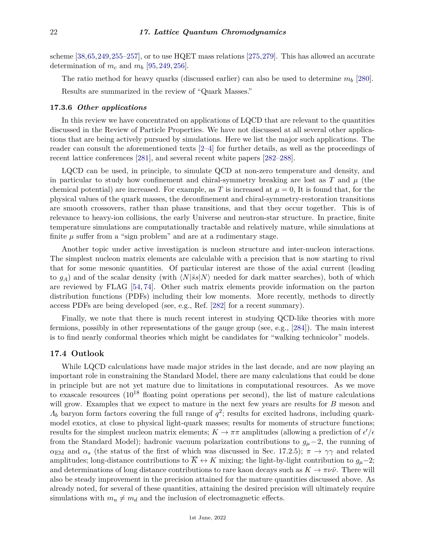scheme [\[38,](#page-23-11)[65,](#page-24-5)[249,](#page-30-5)[255–](#page-30-9)[257\]](#page-30-22), or to use HQET mass relations [\[275,](#page-30-23)[279\]](#page-31-1). This has allowed an accurate determination of  $m_c$  and  $m_b$  [\[95,](#page-25-3) [249,](#page-30-5) [256\]](#page-30-17).

The ratio method for heavy quarks (discussed earlier) can also be used to determine  $m_b$  [\[280\]](#page-31-2).

Results are summarized in the review of "Quark Masses."

#### <span id="page-21-0"></span>**17.3.6** *Other applications*

In this review we have concentrated on applications of LQCD that are relevant to the quantities discussed in the Review of Particle Properties. We have not discussed at all several other applications that are being actively pursued by simulations. Here we list the major such applications. The reader can consult the aforementioned texts [\[2](#page-22-2)[–4\]](#page-22-3) for further details, as well as the proceedings of recent lattice conferences [\[281\]](#page-31-3), and several recent white papers [\[282–](#page-31-4)[288\]](#page-31-5).

LQCD can be used, in principle, to simulate QCD at non-zero temperature and density, and in particular to study how confinement and chiral-symmetry breaking are lost as *T* and *µ* (the chemical potential) are increased. For example, as *T* is increased at  $\mu = 0$ , It is found that, for the physical values of the quark masses, the deconfinement and chiral-symmetry-restoration transitions are smooth crossovers, rather than phase transitions, and that they occur together. This is of relevance to heavy-ion collisions, the early Universe and neutron-star structure. In practice, finite temperature simulations are computationally tractable and relatively mature, while simulations at finite  $\mu$  suffer from a "sign problem" and are at a rudimentary stage.

Another topic under active investigation is nucleon structure and inter-nucleon interactions. The simplest nucleon matrix elements are calculable with a precision that is now starting to rival that for some mesonic quantities. Of particular interest are those of the axial current (leading to  $g_A$ ) and of the scalar density (with  $\langle N|\bar{s}s|N\rangle$  needed for dark matter searches), both of which are reviewed by FLAG [\[54,](#page-23-28) [74\]](#page-24-14). Other such matrix elements provide information on the parton distribution functions (PDFs) including their low moments. More recently, methods to directly access PDFs are being developed (see, e.g., Ref. [\[282\]](#page-31-4) for a recent summary).

Finally, we note that there is much recent interest in studying QCD-like theories with more fermions, possibly in other representations of the gauge group (see, e.g., [\[284\]](#page-31-6)). The main interest is to find nearly conformal theories which might be candidates for "walking technicolor" models.

# <span id="page-21-1"></span>**17.4 Outlook**

While LQCD calculations have made major strides in the last decade, and are now playing an important role in constraining the Standard Model, there are many calculations that could be done in principle but are not yet mature due to limitations in computational resources. As we move to exascale resources  $(10^{18}$  floating point operations per second), the list of mature calculations will grow. Examples that we expect to mature in the next few years are results for *B* meson and  $Λ$ <sup>*b*</sup> baryon form factors covering the full range of  $q^2$ ; results for excited hadrons, including quarkmodel exotics, at close to physical light-quark masses; results for moments of structure functions; results for the simplest nucleon matrix elements;  $K \to \pi\pi$  amplitudes (allowing a prediction of  $\epsilon'/\epsilon$ from the Standard Model); hadronic vacuum polarization contributions to  $g_{\mu}-2$ , the running of  $\alpha_{EM}$  and  $\alpha_s$  (the status of the first of which was discussed in Sec. 17.2.5);  $\pi \to \gamma \gamma$  and related amplitudes; long-distance contributions to  $\overline{K} \leftrightarrow K$  mixing; the light-by-light contribution to  $g_{\mu}-2$ ; and determinations of long distance contributions to rare kaon decays such as  $K \to \pi \nu \bar{\nu}$ . There will also be steady improvement in the precision attained for the mature quantities discussed above. As already noted, for several of these quantities, attaining the desired precision will ultimately require simulations with  $m_u \neq m_d$  and the inclusion of electromagnetic effects.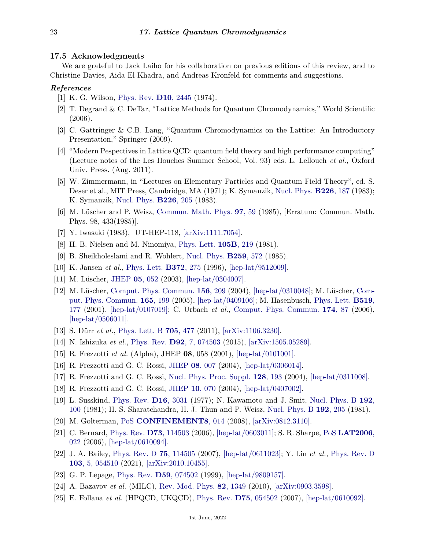# <span id="page-22-0"></span>**17.5 Acknowledgments**

We are grateful to Jack Laiho for his collaboration on previous editions of this review, and to Christine Davies, Aida El-Khadra, and Andreas Kronfeld for comments and suggestions.

# <span id="page-22-1"></span>*References*

- [1] K. G. Wilson, [Phys. Rev.](http://doi.org/10.1103/PhysRevD.10.2445) **D10**[, 2445](http://doi.org/10.1103/PhysRevD.10.2445) (1974).
- <span id="page-22-2"></span>[2] T. Degrand & C. DeTar, "Lattice Methods for Quantum Chromodynamics," World Scientific (2006).
- [3] C. Gattringer & C.B. Lang, "Quantum Chromodynamics on the Lattice: An Introductory Presentation," Springer (2009).
- <span id="page-22-3"></span>[4] "Modern Pespectives in Lattice QCD: quantum field theory and high performance computing" (Lecture notes of the Les Houches Summer School, Vol. 93) eds. L. Lellouch *et al.*, Oxford Univ. Press. (Aug. 2011).
- <span id="page-22-4"></span>[5] W. Zimmermann, in "Lectures on Elementary Particles and Quantum Field Theory", ed. S. Deser et al., MIT Press, Cambridge, MA (1971); K. Symanzik, [Nucl. Phys.](http://doi.org/10.1016/0550-3213(83)90468-6) **[B226](http://doi.org/10.1016/0550-3213(83)90468-6)**, 187 (1983); K. Symanzik, [Nucl. Phys.](http://doi.org/10.1016/0550-3213(83)90469-8) **[B226](http://doi.org/10.1016/0550-3213(83)90469-8)**, 205 (1983).
- <span id="page-22-5"></span>[6] M. Lüscher and P. Weisz, [Commun. Math. Phys.](http://doi.org/10.1007/BF01206178) **97**[, 59](http://doi.org/10.1007/BF01206178) (1985), [Erratum: Commun. Math. Phys. 98, 433(1985)].
- <span id="page-22-6"></span>[7] Y. Iwasaki (1983), UT-HEP-118, [\[arXiv:1111.7054\].](https://arxiv.org/abs/1111.7054)
- <span id="page-22-7"></span>[8] H. B. Nielsen and M. Ninomiya, [Phys. Lett.](http://doi.org/10.1016/0370-2693(81)91026-1) **[105B](http://doi.org/10.1016/0370-2693(81)91026-1)**, 219 (1981).
- <span id="page-22-8"></span>[9] B. Sheikholeslami and R. Wohlert, [Nucl. Phys.](http://doi.org/10.1016/0550-3213(85)90002-1) **[B259](http://doi.org/10.1016/0550-3213(85)90002-1)**, 572 (1985).
- <span id="page-22-9"></span>[10] K. Jansen *et al.*, [Phys. Lett.](http://doi.org/10.1016/0370-2693(96)00075-5) **[B372](http://doi.org/10.1016/0370-2693(96)00075-5)**, 275 (1996), [\[hep-lat/9512009\].](https://arxiv.org/abs/hep-lat/9512009)
- <span id="page-22-10"></span>[11] M. Lüscher, [JHEP](http://doi.org/10.1088/1126-6708/2003/05/052) **05**[, 052](http://doi.org/10.1088/1126-6708/2003/05/052) (2003), [\[hep-lat/0304007\].](https://arxiv.org/abs/hep-lat/0304007)
- <span id="page-22-23"></span>[12] M. Lüscher, [Comput. Phys. Commun.](http://doi.org/10.1016/S0010-4655(03)00486-7) **156**[, 209](http://doi.org/10.1016/S0010-4655(03)00486-7) (2004), [\[hep-lat/0310048\];](https://arxiv.org/abs/hep-lat/0310048) M. Lüscher, [Com](http://doi.org/10.1016/j.cpc.2004.10.004)[put. Phys. Commun.](http://doi.org/10.1016/j.cpc.2004.10.004) **165**[, 199](http://doi.org/10.1016/j.cpc.2004.10.004) (2005), [\[hep-lat/0409106\];](https://arxiv.org/abs/hep-lat/0409106) M. Hasenbusch, [Phys. Lett.](http://doi.org/10.1016/S0370-2693(01)01102-9) **[B519](http://doi.org/10.1016/S0370-2693(01)01102-9)**, [177](http://doi.org/10.1016/S0370-2693(01)01102-9) (2001), [\[hep-lat/0107019\];](https://arxiv.org/abs/hep-lat/0107019) C. Urbach *et al.*, [Comput. Phys. Commun.](http://doi.org/10.1016/j.cpc.2005.08.006) **[174](http://doi.org/10.1016/j.cpc.2005.08.006)**, 87 (2006), [\[hep-lat/0506011\].](https://arxiv.org/abs/hep-lat/0506011)
- <span id="page-22-24"></span>[13] S. Dürr *et al.*, [Phys. Lett. B](http://doi.org/10.1016/j.physletb.2011.10.043) **705**[, 477](http://doi.org/10.1016/j.physletb.2011.10.043) (2011), [\[arXiv:1106.3230\].](https://arxiv.org/abs/1106.3230)
- <span id="page-22-11"></span>[14] N. Ishizuka *et al.*, [Phys. Rev.](http://doi.org/10.1103/PhysRevD.92.074503) **D92**[, 7, 074503](http://doi.org/10.1103/PhysRevD.92.074503) (2015), [\[arXiv:1505.05289\].](https://arxiv.org/abs/1505.05289)
- <span id="page-22-12"></span>[15] R. Frezzotti *et al.* (Alpha), JHEP **08**, 058 (2001), [\[hep-lat/0101001\].](https://arxiv.org/abs/hep-lat/0101001)
- <span id="page-22-13"></span>[16] R. Frezzotti and G. C. Rossi, [JHEP](http://doi.org/10.1088/1126-6708/2004/08/007) **08**[, 007](http://doi.org/10.1088/1126-6708/2004/08/007) (2004), [\[hep-lat/0306014\].](https://arxiv.org/abs/hep-lat/0306014)
- <span id="page-22-14"></span>[17] R. Frezzotti and G. C. Rossi, [Nucl. Phys. Proc. Suppl.](http://doi.org/10.1016/S0920-5632(03)02477-0) **128**[, 193](http://doi.org/10.1016/S0920-5632(03)02477-0) (2004), [\[hep-lat/0311008\].](https://arxiv.org/abs/hep-lat/0311008)
- <span id="page-22-15"></span>[18] R. Frezzotti and G. C. Rossi, [JHEP](http://doi.org/10.1088/1126-6708/2004/10/070) **10**[, 070](http://doi.org/10.1088/1126-6708/2004/10/070) (2004), [\[hep-lat/0407002\].](https://arxiv.org/abs/hep-lat/0407002)
- <span id="page-22-16"></span>[19] L. Susskind, [Phys. Rev.](http://doi.org/10.1103/PhysRevD.16.3031) **D16**[, 3031](http://doi.org/10.1103/PhysRevD.16.3031) (1977); N. Kawamoto and J. Smit, [Nucl. Phys. B](http://doi.org/10.1016/0550-3213(81)90196-6) **[192](http://doi.org/10.1016/0550-3213(81)90196-6)**, [100](http://doi.org/10.1016/0550-3213(81)90196-6) (1981); H. S. Sharatchandra, H. J. Thun and P. Weisz, [Nucl. Phys. B](http://doi.org/10.1016/0550-3213(81)90200-5) **192**[, 205](http://doi.org/10.1016/0550-3213(81)90200-5) (1981).
- <span id="page-22-17"></span>[20] M. Golterman, [PoS](http://doi.org/10.22323/1.077.0014) **[CONFINEMENT8](http://doi.org/10.22323/1.077.0014)**, 014 (2008), [\[arXiv:0812.3110\].](https://arxiv.org/abs/0812.3110)
- <span id="page-22-18"></span>[21] C. Bernard, [Phys. Rev.](http://doi.org/10.1103/PhysRevD.73.114503) **D73**[, 114503](http://doi.org/10.1103/PhysRevD.73.114503) (2006), [\[hep-lat/0603011\];](https://arxiv.org/abs/hep-lat/0603011) S. R. Sharpe, [PoS](http://doi.org/10.22323/1.032.0022) **[LAT2006](http://doi.org/10.22323/1.032.0022)**, [022](http://doi.org/10.22323/1.032.0022) (2006), [\[hep-lat/0610094\].](https://arxiv.org/abs/hep-lat/0610094)
- <span id="page-22-19"></span>[22] J. A. Bailey, [Phys. Rev. D](http://doi.org/10.1103/PhysRevD.75.114505) **75**[, 114505](http://doi.org/10.1103/PhysRevD.75.114505) (2007), [\[hep-lat/0611023\];](https://arxiv.org/abs/hep-lat/0611023) Y. Lin *et al.*, [Phys. Rev. D](http://doi.org/10.1103/PhysRevD.103.054510) **103**[, 5, 054510](http://doi.org/10.1103/PhysRevD.103.054510) (2021), [\[arXiv:2010.10455\].](https://arxiv.org/abs/2010.10455)
- <span id="page-22-20"></span>[23] G. P. Lepage, [Phys. Rev.](http://doi.org/10.1103/PhysRevD.59.074502) **D59**[, 074502](http://doi.org/10.1103/PhysRevD.59.074502) (1999), [\[hep-lat/9809157\].](https://arxiv.org/abs/hep-lat/9809157)
- <span id="page-22-21"></span>[24] A. Bazavov *et al.* (MILC), [Rev. Mod. Phys.](http://doi.org/10.1103/RevModPhys.82.1349) **82**[, 1349](http://doi.org/10.1103/RevModPhys.82.1349) (2010), [\[arXiv:0903.3598\].](https://arxiv.org/abs/0903.3598)
- <span id="page-22-22"></span>[25] E. Follana *et al.* (HPQCD, UKQCD), [Phys. Rev.](http://doi.org/10.1103/PhysRevD.75.054502) **D75**[, 054502](http://doi.org/10.1103/PhysRevD.75.054502) (2007), [\[hep-lat/0610092\].](https://arxiv.org/abs/hep-lat/0610092)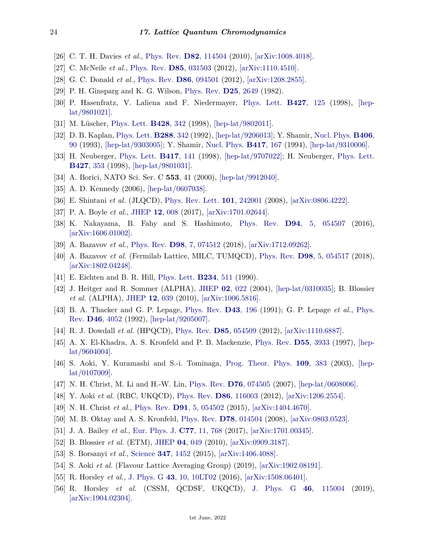- <span id="page-23-0"></span>[26] C. T. H. Davies *et al.*, [Phys. Rev.](http://doi.org/10.1103/PhysRevD.82.114504) **D82**[, 114504](http://doi.org/10.1103/PhysRevD.82.114504) (2010), [\[arXiv:1008.4018\].](https://arxiv.org/abs/1008.4018)
- <span id="page-23-12"></span>[27] C. McNeile *et al.*, [Phys. Rev.](http://doi.org/10.1103/PhysRevD.85.031503) **D85**[, 031503](http://doi.org/10.1103/PhysRevD.85.031503) (2012), [\[arXiv:1110.4510\].](https://arxiv.org/abs/1110.4510)
- <span id="page-23-1"></span>[28] G. C. Donald *et al.*, [Phys. Rev.](http://doi.org/10.1103/PhysRevD.86.094501) **D86**[, 094501](http://doi.org/10.1103/PhysRevD.86.094501) (2012), [\[arXiv:1208.2855\].](https://arxiv.org/abs/1208.2855)
- <span id="page-23-2"></span>[29] P. H. Ginsparg and K. G. Wilson, [Phys. Rev.](http://doi.org/10.1103/PhysRevD.25.2649) **D25**[, 2649](http://doi.org/10.1103/PhysRevD.25.2649) (1982).
- <span id="page-23-3"></span>[30] P. Hasenfratz, V. Laliena and F. Niedermayer, [Phys. Lett.](http://doi.org/10.1016/S0370-2693(98)00315-3) **[B427](http://doi.org/10.1016/S0370-2693(98)00315-3)**, 125 (1998), [\[hep](https://arxiv.org/abs/hep-lat/9801021)[lat/9801021\].](https://arxiv.org/abs/hep-lat/9801021)
- <span id="page-23-5"></span><span id="page-23-4"></span>[31] M. Lüscher, [Phys. Lett.](http://doi.org/10.1016/S0370-2693(98)00423-7) **[B428](http://doi.org/10.1016/S0370-2693(98)00423-7)**, 342 (1998), [\[hep-lat/9802011\].](https://arxiv.org/abs/hep-lat/9802011)
- [32] D. B. Kaplan, [Phys. Lett.](http://doi.org/10.1016/0370-2693(92)91112-M) **[B288](http://doi.org/10.1016/0370-2693(92)91112-M)**, 342 (1992), [\[hep-lat/9206013\];](https://arxiv.org/abs/hep-lat/9206013) Y. Shamir, [Nucl. Phys.](http://doi.org/10.1016/0550-3213(93)90162-I) **[B406](http://doi.org/10.1016/0550-3213(93)90162-I)**, [90](http://doi.org/10.1016/0550-3213(93)90162-I) (1993), [\[hep-lat/9303005\];](https://arxiv.org/abs/hep-lat/9303005) Y. Shamir, [Nucl. Phys.](http://doi.org/10.1016/0550-3213(94)90542-8) **[B417](http://doi.org/10.1016/0550-3213(94)90542-8)**, 167 (1994), [\[hep-lat/9310006\].](https://arxiv.org/abs/hep-lat/9310006)
- <span id="page-23-6"></span>[33] H. Neuberger, [Phys. Lett.](http://doi.org/10.1016/S0370-2693(97)01368-3) **[B417](http://doi.org/10.1016/S0370-2693(97)01368-3)**, 141 (1998), [\[hep-lat/9707022\];](https://arxiv.org/abs/hep-lat/9707022) H. Neuberger, [Phys. Lett.](http://doi.org/10.1016/S0370-2693(98)00355-4) **[B427](http://doi.org/10.1016/S0370-2693(98)00355-4)**, 353 (1998), [\[hep-lat/9801031\].](https://arxiv.org/abs/hep-lat/9801031)
- <span id="page-23-7"></span>[34] A. Borici, NATO Sci. Ser. C **553**, 41 (2000), [\[hep-lat/9912040\].](https://arxiv.org/abs/hep-lat/9912040)
- <span id="page-23-9"></span><span id="page-23-8"></span>[35] A. D. Kennedy (2006), [\[hep-lat/0607038\].](https://arxiv.org/abs/hep-lat/0607038)
- [36] E. Shintani *et al.* (JLQCD), [Phys. Rev. Lett.](http://doi.org/10.1103/PhysRevLett.101.242001) **101**[, 242001](http://doi.org/10.1103/PhysRevLett.101.242001) (2008), [\[arXiv:0806.4222\].](https://arxiv.org/abs/0806.4222)
- <span id="page-23-10"></span>[37] P. A. Boyle *et al.*, [JHEP](http://doi.org/10.1007/JHEP12(2017)008) **12**[, 008](http://doi.org/10.1007/JHEP12(2017)008) (2017), [\[arXiv:1701.02644\].](https://arxiv.org/abs/1701.02644)
- <span id="page-23-11"></span>[38] K. Nakayama, B. Fahy and S. Hashimoto, [Phys. Rev.](http://doi.org/10.1103/PhysRevD.94.054507) **D94**[, 5, 054507](http://doi.org/10.1103/PhysRevD.94.054507) (2016), [\[arXiv:1606.01002\].](https://arxiv.org/abs/1606.01002)
- <span id="page-23-13"></span>[39] A. Bazavov *et al.*, [Phys. Rev.](http://doi.org/10.1103/PhysRevD.98.074512) **D98**[, 7, 074512](http://doi.org/10.1103/PhysRevD.98.074512) (2018), [\[arXiv:1712.09262\].](https://arxiv.org/abs/1712.09262)
- <span id="page-23-14"></span>[40] A. Bazavov *et al.* (Fermilab Lattice, MILC, TUMQCD), [Phys. Rev.](http://doi.org/10.1103/PhysRevD.98.054517) **D98**[, 5, 054517](http://doi.org/10.1103/PhysRevD.98.054517) (2018), [\[arXiv:1802.04248\].](https://arxiv.org/abs/1802.04248)
- <span id="page-23-15"></span>[41] E. Eichten and B. R. Hill, [Phys. Lett.](http://doi.org/10.1016/0370-2693(90)92049-O) **[B234](http://doi.org/10.1016/0370-2693(90)92049-O)**, 511 (1990).
- <span id="page-23-16"></span>[42] J. Heitger and R. Sommer (ALPHA), [JHEP](http://doi.org/10.1088/1126-6708/2004/02/022) **02**[, 022](http://doi.org/10.1088/1126-6708/2004/02/022) (2004), [\[hep-lat/0310035\];](https://arxiv.org/abs/hep-lat/0310035) B. Blossier *et al.* (ALPHA), [JHEP](http://doi.org/10.1007/JHEP12(2010)039) **12**[, 039](http://doi.org/10.1007/JHEP12(2010)039) (2010), [\[arXiv:1006.5816\].](https://arxiv.org/abs/1006.5816)
- <span id="page-23-17"></span>[43] B. A. Thacker and G. P. Lepage, [Phys. Rev.](http://doi.org/10.1103/PhysRevD.43.196) **D43**[, 196](http://doi.org/10.1103/PhysRevD.43.196) (1991); G. P. Lepage *et al.*, [Phys.](http://doi.org/10.1103/PhysRevD.46.4052) [Rev.](http://doi.org/10.1103/PhysRevD.46.4052) **D46**[, 4052](http://doi.org/10.1103/PhysRevD.46.4052) (1992), [\[hep-lat/9205007\].](https://arxiv.org/abs/hep-lat/9205007)
- <span id="page-23-18"></span>[44] R. J. Dowdall *et al.* (HPQCD), [Phys. Rev.](http://doi.org/10.1103/PhysRevD.85.054509) **D85**[, 054509](http://doi.org/10.1103/PhysRevD.85.054509) (2012), [\[arXiv:1110.6887\].](https://arxiv.org/abs/1110.6887)
- <span id="page-23-19"></span>[45] A. X. El-Khadra, A. S. Kronfeld and P. B. Mackenzie, [Phys. Rev.](http://doi.org/10.1103/PhysRevD.55.3933) **D55**[, 3933](http://doi.org/10.1103/PhysRevD.55.3933) (1997), [\[hep](https://arxiv.org/abs/hep-lat/9604004)[lat/9604004\].](https://arxiv.org/abs/hep-lat/9604004)
- <span id="page-23-20"></span>[46] S. Aoki, Y. Kuramashi and S.-i. Tominaga, [Prog. Theor. Phys.](http://doi.org/10.1143/PTP.109.383) **109**[, 383](http://doi.org/10.1143/PTP.109.383) (2003), [\[hep](https://arxiv.org/abs/hep-lat/0107009)[lat/0107009\].](https://arxiv.org/abs/hep-lat/0107009)
- <span id="page-23-21"></span>[47] N. H. Christ, M. Li and H.-W. Lin, [Phys. Rev.](http://doi.org/10.1103/PhysRevD.76.074505) **D76**[, 074505](http://doi.org/10.1103/PhysRevD.76.074505) (2007), [\[hep-lat/0608006\].](https://arxiv.org/abs/hep-lat/0608006)
- <span id="page-23-22"></span>[48] Y. Aoki *et al.* (RBC, UKQCD), [Phys. Rev.](http://doi.org/10.1103/PhysRevD.86.116003) **D86**[, 116003](http://doi.org/10.1103/PhysRevD.86.116003) (2012), [\[arXiv:1206.2554\].](https://arxiv.org/abs/1206.2554)
- <span id="page-23-23"></span>[49] N. H. Christ *et al.*, [Phys. Rev.](http://doi.org/10.1103/PhysRevD.91.054502) **D91**[, 5, 054502](http://doi.org/10.1103/PhysRevD.91.054502) (2015), [\[arXiv:1404.4670\].](https://arxiv.org/abs/1404.4670)
- <span id="page-23-24"></span>[50] M. B. Oktay and A. S. Kronfeld, [Phys. Rev.](http://doi.org/10.1103/PhysRevD.78.014504) **D78**[, 014504](http://doi.org/10.1103/PhysRevD.78.014504) (2008), [\[arXiv:0803.0523\].](https://arxiv.org/abs/0803.0523)
- <span id="page-23-25"></span>[51] J. A. Bailey *et al.*, [Eur. Phys. J.](http://doi.org/10.1140/epjc/s10052-017-5266-y) **C77**[, 11, 768](http://doi.org/10.1140/epjc/s10052-017-5266-y) (2017), [\[arXiv:1701.00345\].](https://arxiv.org/abs/1701.00345)
- <span id="page-23-26"></span>[52] B. Blossier *et al.* (ETM), [JHEP](http://doi.org/10.1007/JHEP04(2010)049) **04**[, 049](http://doi.org/10.1007/JHEP04(2010)049) (2010), [\[arXiv:0909.3187\].](https://arxiv.org/abs/0909.3187)
- <span id="page-23-27"></span>[53] S. Borsanyi *et al.*, [Science](http://doi.org/10.1126/science.1257050) **347**[, 1452](http://doi.org/10.1126/science.1257050) (2015), [\[arXiv:1406.4088\].](https://arxiv.org/abs/1406.4088)
- <span id="page-23-28"></span>[54] S. Aoki *et al.* (Flavour Lattice Averaging Group) (2019), [\[arXiv:1902.08191\].](https://arxiv.org/abs/1902.08191)
- <span id="page-23-29"></span>[55] R. Horsley *et al.*, [J. Phys. G](http://doi.org/10.1088/0954-3899/43/10/10LT02) **43**[, 10, 10LT02](http://doi.org/10.1088/0954-3899/43/10/10LT02) (2016), [\[arXiv:1508.06401\].](https://arxiv.org/abs/1508.06401)
- [56] R. Horsley *et al.* (CSSM, QCDSF, UKQCD), [J. Phys. G](http://doi.org/10.1088/1361-6471/ab32c1) **46**[, 115004](http://doi.org/10.1088/1361-6471/ab32c1) (2019), [\[arXiv:1904.02304\].](https://arxiv.org/abs/1904.02304)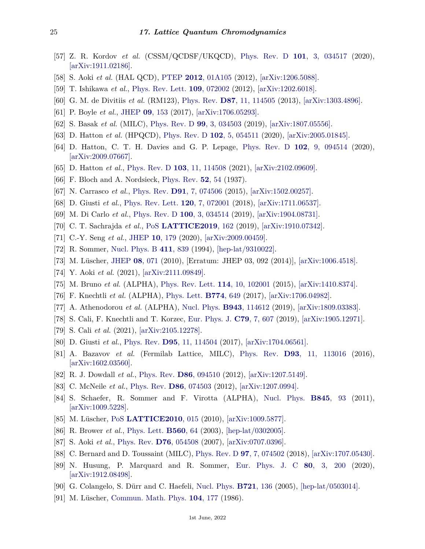- <span id="page-24-0"></span>[57] Z. R. Kordov *et al.* (CSSM/QCDSF/UKQCD), [Phys. Rev. D](http://doi.org/10.1103/PhysRevD.101.034517) **101**[, 3, 034517](http://doi.org/10.1103/PhysRevD.101.034517) (2020), [\[arXiv:1911.02186\].](https://arxiv.org/abs/1911.02186)
- <span id="page-24-1"></span>[58] S. Aoki *et al.* (HAL QCD), [PTEP](http://doi.org/10.1093/ptep/pts010) **2012**[, 01A105](http://doi.org/10.1093/ptep/pts010) (2012), [\[arXiv:1206.5088\].](https://arxiv.org/abs/1206.5088)
- <span id="page-24-2"></span>[59] T. Ishikawa *et al.*, [Phys. Rev. Lett.](http://doi.org/10.1103/PhysRevLett.109.072002) **109**[, 072002](http://doi.org/10.1103/PhysRevLett.109.072002) (2012), [\[arXiv:1202.6018\].](https://arxiv.org/abs/1202.6018)
- <span id="page-24-3"></span>[60] G. M. de Divitiis *et al.* (RM123), [Phys. Rev.](http://doi.org/10.1103/PhysRevD.87.114505) **D87**[, 11, 114505](http://doi.org/10.1103/PhysRevD.87.114505) (2013), [\[arXiv:1303.4896\].](https://arxiv.org/abs/1303.4896)
- <span id="page-24-4"></span>[61] P. Boyle *et al.*, [JHEP](http://doi.org/10.1007/JHEP09(2017)153) **09**[, 153](http://doi.org/10.1007/JHEP09(2017)153) (2017), [\[arXiv:1706.05293\].](https://arxiv.org/abs/1706.05293)
- [62] S. Basak *et al.* (MILC), [Phys. Rev. D](http://doi.org/10.1103/PhysRevD.99.034503) **99**[, 3, 034503](http://doi.org/10.1103/PhysRevD.99.034503) (2019), [\[arXiv:1807.05556\].](https://arxiv.org/abs/1807.05556)
- <span id="page-24-28"></span>[63] D. Hatton *et al.* (HPQCD), [Phys. Rev. D](http://doi.org/10.1103/PhysRevD.102.054511) **102**[, 5, 054511](http://doi.org/10.1103/PhysRevD.102.054511) (2020), [\[arXiv:2005.01845\].](https://arxiv.org/abs/2005.01845)
- [64] D. Hatton, C. T. H. Davies and G. P. Lepage, [Phys. Rev. D](http://doi.org/10.1103/PhysRevD.102.094514) **102**[, 9, 094514](http://doi.org/10.1103/PhysRevD.102.094514) (2020), [\[arXiv:2009.07667\].](https://arxiv.org/abs/2009.07667)
- <span id="page-24-5"></span>[65] D. Hatton *et al.*, [Phys. Rev. D](http://doi.org/10.1103/PhysRevD.103.114508) **103**[, 11, 114508](http://doi.org/10.1103/PhysRevD.103.114508) (2021), [\[arXiv:2102.09609\].](https://arxiv.org/abs/2102.09609)
- <span id="page-24-6"></span>[66] F. Bloch and A. Nordsieck, [Phys. Rev.](http://doi.org/10.1103/PhysRev.52.54) **52**[, 54](http://doi.org/10.1103/PhysRev.52.54) (1937).
- <span id="page-24-7"></span>[67] N. Carrasco *et al.*, [Phys. Rev.](http://doi.org/10.1103/PhysRevD.91.074506) **D91**[, 7, 074506](http://doi.org/10.1103/PhysRevD.91.074506) (2015), [\[arXiv:1502.00257\].](https://arxiv.org/abs/1502.00257)
- <span id="page-24-8"></span>[68] D. Giusti *et al.*, [Phys. Rev. Lett.](http://doi.org/10.1103/PhysRevLett.120.072001) **120**[, 7, 072001](http://doi.org/10.1103/PhysRevLett.120.072001) (2018), [\[arXiv:1711.06537\].](https://arxiv.org/abs/1711.06537)
- <span id="page-24-9"></span>[69] M. Di Carlo *et al.*, [Phys. Rev. D](http://doi.org/10.1103/PhysRevD.100.034514) **100**[, 3, 034514](http://doi.org/10.1103/PhysRevD.100.034514) (2019), [\[arXiv:1904.08731\].](https://arxiv.org/abs/1904.08731)
- <span id="page-24-10"></span>[70] C. T. Sachrajda *et al.*, [PoS](http://doi.org/10.22323/1.363.0162) **[LATTICE2019](http://doi.org/10.22323/1.363.0162)**, 162 (2019), [\[arXiv:1910.07342\].](https://arxiv.org/abs/1910.07342)
- <span id="page-24-11"></span>[71] C.-Y. Seng *et al.*, [JHEP](http://doi.org/10.1007/JHEP10(2020)179) **10**[, 179](http://doi.org/10.1007/JHEP10(2020)179) (2020), [\[arXiv:2009.00459\].](https://arxiv.org/abs/2009.00459)
- <span id="page-24-12"></span>[72] R. Sommer, [Nucl. Phys. B](http://doi.org/10.1016/0550-3213(94)90473-1) **411**[, 839](http://doi.org/10.1016/0550-3213(94)90473-1) (1994), [\[hep-lat/9310022\].](https://arxiv.org/abs/hep-lat/9310022)
- <span id="page-24-14"></span><span id="page-24-13"></span>[73] M. Lüscher, [JHEP](http://doi.org/10.1007/JHEP08(2010)071) **08**[, 071](http://doi.org/10.1007/JHEP08(2010)071) (2010), [Erratum: JHEP 03, 092 (2014)], [\[arXiv:1006.4518\].](https://arxiv.org/abs/1006.4518)
- [74] Y. Aoki *et al.* (2021), [\[arXiv:2111.09849\].](https://arxiv.org/abs/2111.09849)
- <span id="page-24-15"></span>[75] M. Bruno *et al.* (ALPHA), [Phys. Rev. Lett.](http://doi.org/10.1103/PhysRevLett.114.102001) **114**[, 10, 102001](http://doi.org/10.1103/PhysRevLett.114.102001) (2015), [\[arXiv:1410.8374\].](https://arxiv.org/abs/1410.8374)
- [76] F. Knechtli *et al.* (ALPHA), [Phys. Lett.](http://doi.org/10.1016/j.physletb.2017.10.025) **[B774](http://doi.org/10.1016/j.physletb.2017.10.025)**, 649 (2017), [\[arXiv:1706.04982\].](https://arxiv.org/abs/1706.04982)
- [77] A. Athenodorou *et al.* (ALPHA), [Nucl. Phys.](http://doi.org/10.1016/j.nuclphysb.2019.114612) **B943**[, 114612](http://doi.org/10.1016/j.nuclphysb.2019.114612) (2019), [\[arXiv:1809.03383\].](https://arxiv.org/abs/1809.03383)
- [78] S. Cali, F. Knechtli and T. Korzec, [Eur. Phys. J.](http://doi.org/10.1140/epjc/s10052-019-7108-6) **C79**[, 7, 607](http://doi.org/10.1140/epjc/s10052-019-7108-6) (2019), [\[arXiv:1905.12971\].](https://arxiv.org/abs/1905.12971)
- <span id="page-24-16"></span>[79] S. Cali *et al.* (2021), [\[arXiv:2105.12278\].](https://arxiv.org/abs/2105.12278)
- <span id="page-24-17"></span>[80] D. Giusti *et al.*, [Phys. Rev.](http://doi.org/10.1103/PhysRevD.95.114504) **D95**[, 11, 114504](http://doi.org/10.1103/PhysRevD.95.114504) (2017), [\[arXiv:1704.06561\].](https://arxiv.org/abs/1704.06561)
- <span id="page-24-18"></span>[81] A. Bazavov *et al.* (Fermilab Lattice, MILC), [Phys. Rev.](http://doi.org/10.1103/PhysRevD.93.113016) **D93**[, 11, 113016](http://doi.org/10.1103/PhysRevD.93.113016) (2016), [\[arXiv:1602.03560\].](https://arxiv.org/abs/1602.03560)
- <span id="page-24-19"></span>[82] R. J. Dowdall *et al.*, [Phys. Rev.](http://doi.org/10.1103/PhysRevD.86.094510) **D86**[, 094510](http://doi.org/10.1103/PhysRevD.86.094510) (2012), [\[arXiv:1207.5149\].](https://arxiv.org/abs/1207.5149)
- <span id="page-24-20"></span>[83] C. McNeile *et al.*, [Phys. Rev.](http://doi.org/10.1103/PhysRevD.86.074503) **D86**[, 074503](http://doi.org/10.1103/PhysRevD.86.074503) (2012), [\[arXiv:1207.0994\].](https://arxiv.org/abs/1207.0994)
- <span id="page-24-21"></span>[84] S. Schaefer, R. Sommer and F. Virotta (ALPHA), [Nucl. Phys.](http://doi.org/10.1016/j.nuclphysb.2010.11.020) **[B845](http://doi.org/10.1016/j.nuclphysb.2010.11.020)**, 93 (2011), [\[arXiv:1009.5228\].](https://arxiv.org/abs/1009.5228)
- <span id="page-24-22"></span>[85] M. Lüscher, [PoS](http://doi.org/10.22323/1.105.0015) **[LATTICE2010](http://doi.org/10.22323/1.105.0015)**, 015 (2010), [\[arXiv:1009.5877\].](https://arxiv.org/abs/1009.5877)
- <span id="page-24-23"></span>[86] R. Brower *et al.*, [Phys. Lett.](http://doi.org/10.1016/S0370-2693(03)00369-1) **[B560](http://doi.org/10.1016/S0370-2693(03)00369-1)**, 64 (2003), [\[hep-lat/0302005\].](https://arxiv.org/abs/hep-lat/0302005)
- [87] S. Aoki *et al.*, [Phys. Rev.](http://doi.org/10.1103/PhysRevD.76.054508) **D76**[, 054508](http://doi.org/10.1103/PhysRevD.76.054508) (2007), [\[arXiv:0707.0396\].](https://arxiv.org/abs/0707.0396)
- <span id="page-24-24"></span>[88] C. Bernard and D. Toussaint (MILC), [Phys. Rev. D](http://doi.org/10.1103/PhysRevD.97.074502) **97**[, 7, 074502](http://doi.org/10.1103/PhysRevD.97.074502) (2018), [\[arXiv:1707.05430\].](https://arxiv.org/abs/1707.05430)
- <span id="page-24-25"></span>[89] N. Husung, P. Marquard and R. Sommer, [Eur. Phys. J. C](http://doi.org/10.1140/epjc/s10052-020-7685-4) **80**[, 3, 200](http://doi.org/10.1140/epjc/s10052-020-7685-4) (2020), [\[arXiv:1912.08498\].](https://arxiv.org/abs/1912.08498)
- <span id="page-24-26"></span>[90] G. Colangelo, S. Dürr and C. Haefeli, [Nucl. Phys.](http://doi.org/10.1016/j.nuclphysb.2005.05.015) **[B721](http://doi.org/10.1016/j.nuclphysb.2005.05.015)**, 136 (2005), [\[hep-lat/0503014\].](https://arxiv.org/abs/hep-lat/0503014)
- <span id="page-24-27"></span>[91] M. Lüscher, [Commun. Math. Phys.](http://doi.org/10.1007/BF01211589) **104**[, 177](http://doi.org/10.1007/BF01211589) (1986).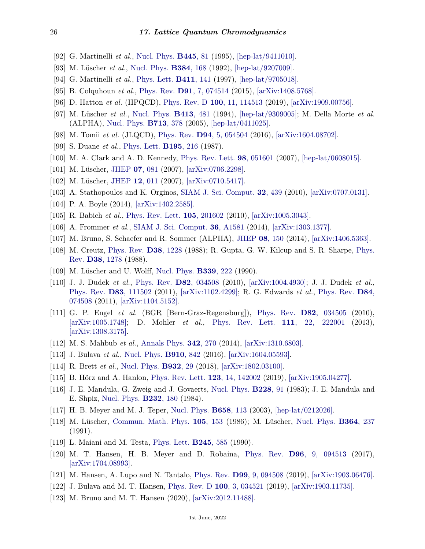- <span id="page-25-0"></span>[92] G. Martinelli *et al.*, [Nucl. Phys.](http://doi.org/10.1016/0550-3213(95)00126-D) **[B445](http://doi.org/10.1016/0550-3213(95)00126-D)**, 81 (1995), [\[hep-lat/9411010\].](https://arxiv.org/abs/hep-lat/9411010)
- <span id="page-25-1"></span>[93] M. Lüscher *et al.*, [Nucl. Phys.](http://doi.org/10.1016/0550-3213(92)90466-O) **[B384](http://doi.org/10.1016/0550-3213(92)90466-O)**, 168 (1992), [\[hep-lat/9207009\].](https://arxiv.org/abs/hep-lat/9207009)
- <span id="page-25-2"></span>[94] G. Martinelli *et al.*, [Phys. Lett.](http://doi.org/10.1016/S0370-2693(97)01007-1) **[B411](http://doi.org/10.1016/S0370-2693(97)01007-1)**, 141 (1997), [\[hep-lat/9705018\].](https://arxiv.org/abs/hep-lat/9705018)
- <span id="page-25-3"></span>[95] B. Colquhoun *et al.*, [Phys. Rev.](http://doi.org/10.1103/PhysRevD.91.074514) **D91**[, 7, 074514](http://doi.org/10.1103/PhysRevD.91.074514) (2015), [\[arXiv:1408.5768\].](https://arxiv.org/abs/1408.5768)
- <span id="page-25-4"></span>[96] D. Hatton *et al.* (HPQCD), [Phys. Rev. D](http://doi.org/10.1103/PhysRevD.100.114513) **100**[, 11, 114513](http://doi.org/10.1103/PhysRevD.100.114513) (2019), [\[arXiv:1909.00756\].](https://arxiv.org/abs/1909.00756)
- <span id="page-25-5"></span>[97] M. Lüscher *et al.*, [Nucl. Phys.](http://doi.org/10.1016/0550-3213(94)90629-7) **[B413](http://doi.org/10.1016/0550-3213(94)90629-7)**, 481 (1994), [\[hep-lat/9309005\];](https://arxiv.org/abs/hep-lat/9309005) M. Della Morte *et al.* (ALPHA), [Nucl. Phys.](http://doi.org/10.1016/j.nuclphysb.2005.02.013) **[B713](http://doi.org/10.1016/j.nuclphysb.2005.02.013)**, 378 (2005), [\[hep-lat/0411025\].](https://arxiv.org/abs/hep-lat/0411025)
- <span id="page-25-6"></span>[98] M. Tomii *et al.* (JLQCD), [Phys. Rev.](http://doi.org/10.1103/PhysRevD.94.054504) **D94**[, 5, 054504](http://doi.org/10.1103/PhysRevD.94.054504) (2016), [\[arXiv:1604.08702\].](https://arxiv.org/abs/1604.08702)
- <span id="page-25-7"></span>[99] S. Duane *et al.*, [Phys. Lett.](http://doi.org/10.1016/0370-2693(87)91197-X) **[B195](http://doi.org/10.1016/0370-2693(87)91197-X)**, 216 (1987).
- <span id="page-25-8"></span>[100] M. A. Clark and A. D. Kennedy, [Phys. Rev. Lett.](http://doi.org/10.1103/PhysRevLett.98.051601) **98**[, 051601](http://doi.org/10.1103/PhysRevLett.98.051601) (2007), [\[hep-lat/0608015\].](https://arxiv.org/abs/hep-lat/0608015)
- <span id="page-25-9"></span>[101] M. Lüscher, [JHEP](http://doi.org/10.1088/1126-6708/2007/07/081) **07**[, 081](http://doi.org/10.1088/1126-6708/2007/07/081) (2007), [\[arXiv:0706.2298\].](https://arxiv.org/abs/0706.2298)
- [102] M. Lüscher, [JHEP](http://doi.org/10.1088/1126-6708/2007/12/011) **12**[, 011](http://doi.org/10.1088/1126-6708/2007/12/011) (2007), [\[arXiv:0710.5417\].](https://arxiv.org/abs/0710.5417)
- [103] A. Stathopoulos and K. Orginos, [SIAM J. Sci. Comput.](http://doi.org/10.1137/080725532) **32**[, 439](http://doi.org/10.1137/080725532) (2010), [\[arXiv:0707.0131\].](https://arxiv.org/abs/0707.0131)
- <span id="page-25-10"></span>[104] P. A. Boyle (2014), [\[arXiv:1402.2585\].](https://arxiv.org/abs/1402.2585)
- <span id="page-25-11"></span>[105] R. Babich *et al.*, [Phys. Rev. Lett.](http://doi.org/10.1103/PhysRevLett.105.201602) **105**[, 201602](http://doi.org/10.1103/PhysRevLett.105.201602) (2010), [\[arXiv:1005.3043\].](https://arxiv.org/abs/1005.3043)
- <span id="page-25-12"></span>[106] A. Frommer *et al.*, [SIAM J. Sci. Comput.](http://doi.org/10.1137/130919507) **36**[, A1581](http://doi.org/10.1137/130919507) (2014), [\[arXiv:1303.1377\].](https://arxiv.org/abs/1303.1377)
- <span id="page-25-13"></span>[107] M. Bruno, S. Schaefer and R. Sommer (ALPHA), [JHEP](http://doi.org/10.1007/JHEP08(2014)150) **08**[, 150](http://doi.org/10.1007/JHEP08(2014)150) (2014), [\[arXiv:1406.5363\].](https://arxiv.org/abs/1406.5363)
- <span id="page-25-14"></span>[108] M. Creutz, [Phys. Rev.](http://doi.org/10.1103/PhysRevD.38.1228) **D38**[, 1228](http://doi.org/10.1103/PhysRevD.38.1228) (1988); R. Gupta, G. W. Kilcup and S. R. Sharpe, [Phys.](http://doi.org/10.1103/PhysRevD.38.1278) [Rev.](http://doi.org/10.1103/PhysRevD.38.1278) **D38**[, 1278](http://doi.org/10.1103/PhysRevD.38.1278) (1988).
- <span id="page-25-15"></span>[109] M. Lüscher and U. Wolff, [Nucl. Phys.](http://doi.org/10.1016/0550-3213(90)90540-T) **[B339](http://doi.org/10.1016/0550-3213(90)90540-T)**, 222 (1990).
- <span id="page-25-16"></span>[110] J. J. Dudek *et al.*, [Phys. Rev.](http://doi.org/10.1103/PhysRevD.82.034508) **D82**[, 034508](http://doi.org/10.1103/PhysRevD.82.034508) (2010), [\[arXiv:1004.4930\];](https://arxiv.org/abs/1004.4930) J. J. Dudek *et al.*, [Phys. Rev.](http://doi.org/10.1103/PhysRevD.83.111502) **D83**[, 111502](http://doi.org/10.1103/PhysRevD.83.111502) (2011), [\[arXiv:1102.4299\];](https://arxiv.org/abs/1102.4299) R. G. Edwards *et al.*, [Phys. Rev.](http://doi.org/10.1103/PhysRevD.84.074508) **[D84](http://doi.org/10.1103/PhysRevD.84.074508)**, [074508](http://doi.org/10.1103/PhysRevD.84.074508) (2011), [\[arXiv:1104.5152\].](https://arxiv.org/abs/1104.5152)
- [111] G. P. Engel *et al.* (BGR [Bern-Graz-Regensburg]), [Phys. Rev.](http://doi.org/10.1103/PhysRevD.82.034505) **D82**[, 034505](http://doi.org/10.1103/PhysRevD.82.034505) (2010), [\[arXiv:1005.1748\];](https://arxiv.org/abs/1005.1748) D. Mohler *et al.*, [Phys. Rev. Lett.](http://doi.org/10.1103/PhysRevLett.111.222001) **111**[, 22, 222001](http://doi.org/10.1103/PhysRevLett.111.222001) (2013), [\[arXiv:1308.3175\].](https://arxiv.org/abs/1308.3175)
- [112] M. S. Mahbub *et al.*, [Annals Phys.](http://doi.org/10.1016/j.aop.2014.01.004) **342**[, 270](http://doi.org/10.1016/j.aop.2014.01.004) (2014), [\[arXiv:1310.6803\].](https://arxiv.org/abs/1310.6803)
- [113] J. Bulava *et al.*, [Nucl. Phys.](http://doi.org/10.1016/j.nuclphysb.2016.07.024) **[B910](http://doi.org/10.1016/j.nuclphysb.2016.07.024)**, 842 (2016), [\[arXiv:1604.05593\].](https://arxiv.org/abs/1604.05593)
- [114] R. Brett *et al.*, [Nucl. Phys.](http://doi.org/10.1016/j.nuclphysb.2018.05.008) **[B932](http://doi.org/10.1016/j.nuclphysb.2018.05.008)**, 29 (2018), [\[arXiv:1802.03100\].](https://arxiv.org/abs/1802.03100)
- <span id="page-25-17"></span>[115] B. Hörz and A. Hanlon, [Phys. Rev. Lett.](http://doi.org/10.1103/PhysRevLett.123.142002) **123**[, 14, 142002](http://doi.org/10.1103/PhysRevLett.123.142002) (2019), [\[arXiv:1905.04277\].](https://arxiv.org/abs/1905.04277)
- <span id="page-25-18"></span>[116] J. E. Mandula, G. Zweig and J. Govaerts, [Nucl. Phys.](http://doi.org/10.1016/0550-3213(83)90399-1) **[B228](http://doi.org/10.1016/0550-3213(83)90399-1)**, 91 (1983); J. E. Mandula and E. Shpiz, [Nucl. Phys.](http://doi.org/10.1016/0550-3213(84)90366-3) **[B232](http://doi.org/10.1016/0550-3213(84)90366-3)**, 180 (1984).
- <span id="page-25-19"></span>[117] H. B. Meyer and M. J. Teper, [Nucl. Phys.](http://doi.org/10.1016/S0550-3213(03)00183-4) **[B658](http://doi.org/10.1016/S0550-3213(03)00183-4)**, 113 (2003), [\[hep-lat/0212026\].](https://arxiv.org/abs/hep-lat/0212026)
- <span id="page-25-20"></span>[118] M. Lüscher, [Commun. Math. Phys.](http://doi.org/10.1007/BF01211097) **105**[, 153](http://doi.org/10.1007/BF01211097) (1986); M. Lüscher, [Nucl. Phys.](http://doi.org/10.1016/0550-3213(91)90584-K) **[B364](http://doi.org/10.1016/0550-3213(91)90584-K)**, 237 (1991).
- <span id="page-25-21"></span>[119] L. Maiani and M. Testa, [Phys. Lett.](http://doi.org/10.1016/0370-2693(90)90695-3) **[B245](http://doi.org/10.1016/0370-2693(90)90695-3)**, 585 (1990).
- <span id="page-25-22"></span>[120] M. T. Hansen, H. B. Meyer and D. Robaina, [Phys. Rev.](http://doi.org/10.1103/PhysRevD.96.094513) **D96**[, 9, 094513](http://doi.org/10.1103/PhysRevD.96.094513) (2017), [\[arXiv:1704.08993\].](https://arxiv.org/abs/1704.08993)
- [121] M. Hansen, A. Lupo and N. Tantalo, [Phys. Rev.](http://doi.org/10.1103/PhysRevD.99.094508) **D99**[, 9, 094508](http://doi.org/10.1103/PhysRevD.99.094508) (2019), [\[arXiv:1903.06476\].](https://arxiv.org/abs/1903.06476)
- [122] J. Bulava and M. T. Hansen, [Phys. Rev. D](http://doi.org/10.1103/PhysRevD.100.034521) **100**[, 3, 034521](http://doi.org/10.1103/PhysRevD.100.034521) (2019), [\[arXiv:1903.11735\].](https://arxiv.org/abs/1903.11735)
- <span id="page-25-23"></span>[123] M. Bruno and M. T. Hansen (2020), [\[arXiv:2012.11488\].](https://arxiv.org/abs/2012.11488)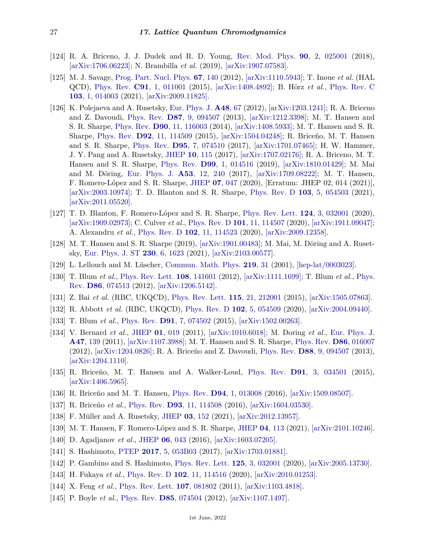- <span id="page-26-0"></span>[124] R. A. Briceno, J. J. Dudek and R. D. Young, [Rev. Mod. Phys.](http://doi.org/10.1103/RevModPhys.90.025001) **90**[, 2, 025001](http://doi.org/10.1103/RevModPhys.90.025001) (2018), [\[arXiv:1706.06223\];](https://arxiv.org/abs/1706.06223) N. Brambilla *et al.* (2019), [\[arXiv:1907.07583\].](https://arxiv.org/abs/1907.07583)
- <span id="page-26-1"></span>[125] M. J. Savage, [Prog. Part. Nucl. Phys.](http://doi.org/10.1016/j.ppnp.2011.12.008) **67**[, 140](http://doi.org/10.1016/j.ppnp.2011.12.008) (2012), [\[arXiv:1110.5943\];](https://arxiv.org/abs/1110.5943) T. Inoue *et al.* (HAL QCD), [Phys. Rev.](http://doi.org/10.1103/PhysRevC.91.011001) **C91**[, 1, 011001](http://doi.org/10.1103/PhysRevC.91.011001) (2015), [\[arXiv:1408.4892\];](https://arxiv.org/abs/1408.4892) B. Hörz *et al.*, [Phys. Rev. C](http://doi.org/10.1103/PhysRevC.103.014003) **103**[, 1, 014003](http://doi.org/10.1103/PhysRevC.103.014003) (2021), [\[arXiv:2009.11825\].](https://arxiv.org/abs/2009.11825)
- <span id="page-26-2"></span>[126] K. Polejaeva and A. Rusetsky, [Eur. Phys. J.](http://doi.org/10.1140/epja/i2012-12067-8) **[A48](http://doi.org/10.1140/epja/i2012-12067-8)**, 67 (2012), [\[arXiv:1203.1241\];](https://arxiv.org/abs/1203.1241) R. A. Briceno and Z. Davoudi, [Phys. Rev.](http://doi.org/10.1103/PhysRevD.87.094507) **D87**[, 9, 094507](http://doi.org/10.1103/PhysRevD.87.094507) (2013), [\[arXiv:1212.3398\];](https://arxiv.org/abs/1212.3398) M. T. Hansen and S. R. Sharpe, [Phys. Rev.](http://doi.org/10.1103/PhysRevD.90.116003) **D90**[, 11, 116003](http://doi.org/10.1103/PhysRevD.90.116003) (2014), [\[arXiv:1408.5933\];](https://arxiv.org/abs/1408.5933) M. T. Hansen and S. R. Sharpe, [Phys. Rev.](http://doi.org/10.1103/PhysRevD.92.114509) **D92**[, 11, 114509](http://doi.org/10.1103/PhysRevD.92.114509) (2015), [\[arXiv:1504.04248\];](https://arxiv.org/abs/1504.04248) R. Briceño, M. T. Hansen and S. R. Sharpe, [Phys. Rev.](http://doi.org/10.1103/PhysRevD.95.074510) **D95**[, 7, 074510](http://doi.org/10.1103/PhysRevD.95.074510) (2017), [\[arXiv:1701.07465\];](https://arxiv.org/abs/1701.07465) H. W. Hammer, J. Y. Pang and A. Rusetsky, [JHEP](http://doi.org/10.1007/JHEP10(2017)115) **10**[, 115](http://doi.org/10.1007/JHEP10(2017)115) (2017), [\[arXiv:1707.02176\];](https://arxiv.org/abs/1707.02176) R. A. Briceno, M. T. Hansen and S. R. Sharpe, [Phys. Rev.](http://doi.org/10.1103/PhysRevD.99.014516) **D99**[, 1, 014516](http://doi.org/10.1103/PhysRevD.99.014516) (2019), [\[arXiv:1810.01429\];](https://arxiv.org/abs/1810.01429) M. Mai and M. Döring, [Eur. Phys. J.](http://doi.org/10.1140/epja/i2017-12440-1) **A53**[, 12, 240](http://doi.org/10.1140/epja/i2017-12440-1) (2017), [\[arXiv:1709.08222\];](https://arxiv.org/abs/1709.08222) M. T. Hansen, F. Romero-López and S. R. Sharpe, [JHEP](http://doi.org/10.1007/JHEP07(2020)047) **07**[, 047](http://doi.org/10.1007/JHEP07(2020)047) (2020), [Erratum: JHEP 02, 014 (2021)], [\[arXiv:2003.10974\];](https://arxiv.org/abs/2003.10974) T. D. Blanton and S. R. Sharpe, [Phys. Rev. D](http://doi.org/10.1103/PhysRevD.103.054503) **103**[, 5, 054503](http://doi.org/10.1103/PhysRevD.103.054503) (2021), [\[arXiv:2011.05520\].](https://arxiv.org/abs/2011.05520)
- <span id="page-26-3"></span>[127] T. D. Blanton, F. Romero-López and S. R. Sharpe, [Phys. Rev. Lett.](http://doi.org/10.1103/PhysRevLett.124.032001) **124**[, 3, 032001](http://doi.org/10.1103/PhysRevLett.124.032001) (2020), [\[arXiv:1909.02973\];](https://arxiv.org/abs/1909.02973) C. Culver *et al.*, [Phys. Rev. D](http://doi.org/10.1103/PhysRevD.101.114507) **101**[, 11, 114507](http://doi.org/10.1103/PhysRevD.101.114507) (2020), [\[arXiv:1911.09047\];](https://arxiv.org/abs/1911.09047) A. Alexandru *et al.*, [Phys. Rev. D](http://doi.org/10.1103/PhysRevD.102.114523) **102**[, 11, 114523](http://doi.org/10.1103/PhysRevD.102.114523) (2020), [\[arXiv:2009.12358\].](https://arxiv.org/abs/2009.12358)
- <span id="page-26-4"></span>[128] M. T. Hansen and S. R. Sharpe (2019), [\[arXiv:1901.00483\];](https://arxiv.org/abs/1901.00483) M. Mai, M. Döring and A. Rusetsky, [Eur. Phys. J. ST](http://doi.org/10.1140/epjs/s11734-021-00146-5) **230**[, 6, 1623](http://doi.org/10.1140/epjs/s11734-021-00146-5) (2021), [\[arXiv:2103.00577\].](https://arxiv.org/abs/2103.00577)
- <span id="page-26-5"></span>[129] L. Lellouch and M. Lüscher, [Commun. Math. Phys.](http://doi.org/10.1007/s002200100410) **[219](http://doi.org/10.1007/s002200100410)**, 31 (2001), [\[hep-lat/0003023\].](https://arxiv.org/abs/hep-lat/0003023)
- <span id="page-26-6"></span>[130] T. Blum *et al.*, [Phys. Rev. Lett.](http://doi.org/10.1103/PhysRevLett.108.141601) **108**[, 141601](http://doi.org/10.1103/PhysRevLett.108.141601) (2012), [\[arXiv:1111.1699\];](https://arxiv.org/abs/1111.1699) T. Blum *et al.*, [Phys.](http://doi.org/10.1103/PhysRevD.86.074513) [Rev.](http://doi.org/10.1103/PhysRevD.86.074513) **D86**[, 074513](http://doi.org/10.1103/PhysRevD.86.074513) (2012), [\[arXiv:1206.5142\].](https://arxiv.org/abs/1206.5142)
- <span id="page-26-9"></span>[131] Z. Bai *et al.* (RBC, UKQCD), [Phys. Rev. Lett.](http://doi.org/10.1103/PhysRevLett.115.212001) **115**[, 21, 212001](http://doi.org/10.1103/PhysRevLett.115.212001) (2015), [\[arXiv:1505.07863\].](https://arxiv.org/abs/1505.07863)
- <span id="page-26-7"></span>[132] R. Abbott *et al.* (RBC, UKQCD), [Phys. Rev. D](http://doi.org/10.1103/PhysRevD.102.054509) **102**[, 5, 054509](http://doi.org/10.1103/PhysRevD.102.054509) (2020), [\[arXiv:2004.09440\].](https://arxiv.org/abs/2004.09440)
- <span id="page-26-8"></span>[133] T. Blum *et al.*, [Phys. Rev.](http://doi.org/10.1103/PhysRevD.91.074502) **D91**[, 7, 074502](http://doi.org/10.1103/PhysRevD.91.074502) (2015), [\[arXiv:1502.00263\].](https://arxiv.org/abs/1502.00263)
- <span id="page-26-10"></span>[134] V. Bernard *et al.*, [JHEP](http://doi.org/10.1007/JHEP01(2011)019) **01**[, 019](http://doi.org/10.1007/JHEP01(2011)019) (2011), [\[arXiv:1010.6018\];](https://arxiv.org/abs/1010.6018) M. Doring *et al.*, [Eur. Phys. J.](http://doi.org/10.1140/epja/i2011-11139-7) **A47**[, 139](http://doi.org/10.1140/epja/i2011-11139-7) (2011), [\[arXiv:1107.3988\];](https://arxiv.org/abs/1107.3988) M. T. Hansen and S. R. Sharpe, [Phys. Rev.](http://doi.org/10.1103/PhysRevD.86.016007) **D86**[, 016007](http://doi.org/10.1103/PhysRevD.86.016007) (2012), [\[arXiv:1204.0826\];](https://arxiv.org/abs/1204.0826) R. A. Briceño and Z. Davoudi, [Phys. Rev.](http://doi.org/10.1103/PhysRevD.88.094507) **D88**[, 9, 094507](http://doi.org/10.1103/PhysRevD.88.094507) (2013), [\[arXiv:1204.1110\].](https://arxiv.org/abs/1204.1110)
- <span id="page-26-11"></span>[135] R. Briceño, M. T. Hansen and A. Walker-Loud, [Phys. Rev.](http://doi.org/10.1103/PhysRevD.91.034501) **D91**[, 3, 034501](http://doi.org/10.1103/PhysRevD.91.034501) (2015), [\[arXiv:1406.5965\].](https://arxiv.org/abs/1406.5965)
- <span id="page-26-12"></span>[136] R. Briceño and M. T. Hansen, [Phys. Rev.](http://doi.org/10.1103/PhysRevD.94.013008) **D94**[, 1, 013008](http://doi.org/10.1103/PhysRevD.94.013008) (2016), [\[arXiv:1509.08507\].](https://arxiv.org/abs/1509.08507)
- <span id="page-26-13"></span>[137] R. Briceño *et al.*, [Phys. Rev.](http://doi.org/10.1103/PhysRevD.93.114508) **D93**[, 11, 114508](http://doi.org/10.1103/PhysRevD.93.114508) (2016), [\[arXiv:1604.03530\].](https://arxiv.org/abs/1604.03530)
- <span id="page-26-14"></span>[138] F. Müller and A. Rusetsky, [JHEP](http://doi.org/10.1007/JHEP03(2021)152) **03**[, 152](http://doi.org/10.1007/JHEP03(2021)152) (2021), [\[arXiv:2012.13957\].](https://arxiv.org/abs/2012.13957)
- <span id="page-26-15"></span>[139] M. T. Hansen, F. Romero-López and S. R. Sharpe, [JHEP](http://doi.org/10.1007/JHEP04(2021)113) **04**[, 113](http://doi.org/10.1007/JHEP04(2021)113) (2021), [\[arXiv:2101.10246\].](https://arxiv.org/abs/2101.10246)
- <span id="page-26-16"></span>[140] D. Agadjanov *et al.*, [JHEP](http://doi.org/10.1007/JHEP06(2016)043) **06**[, 043](http://doi.org/10.1007/JHEP06(2016)043) (2016), [\[arXiv:1603.07205\].](https://arxiv.org/abs/1603.07205)
- <span id="page-26-17"></span>[141] S. Hashimoto, [PTEP](http://doi.org/10.1093/ptep/ptx052) **2017**[, 5, 053B03](http://doi.org/10.1093/ptep/ptx052) (2017), [\[arXiv:1703.01881\].](https://arxiv.org/abs/1703.01881)
- <span id="page-26-18"></span>[142] P. Gambino and S. Hashimoto, [Phys. Rev. Lett.](http://doi.org/10.1103/PhysRevLett.125.032001) **125**[, 3, 032001](http://doi.org/10.1103/PhysRevLett.125.032001) (2020), [\[arXiv:2005.13730\].](https://arxiv.org/abs/2005.13730)
- <span id="page-26-19"></span>[143] H. Fukaya *et al.*, [Phys. Rev. D](http://doi.org/10.1103/PhysRevD.102.114516) **102**[, 11, 114516](http://doi.org/10.1103/PhysRevD.102.114516) (2020), [\[arXiv:2010.01253\].](https://arxiv.org/abs/2010.01253)
- <span id="page-26-20"></span>[144] X. Feng *et al.*, [Phys. Rev. Lett.](http://doi.org/10.1103/PhysRevLett.107.081802) **107**[, 081802](http://doi.org/10.1103/PhysRevLett.107.081802) (2011), [\[arXiv:1103.4818\].](https://arxiv.org/abs/1103.4818)
- [145] P. Boyle *et al.*, [Phys. Rev.](http://doi.org/10.1103/PhysRevD.85.074504) **D85**[, 074504](http://doi.org/10.1103/PhysRevD.85.074504) (2012), [\[arXiv:1107.1497\].](https://arxiv.org/abs/1107.1497)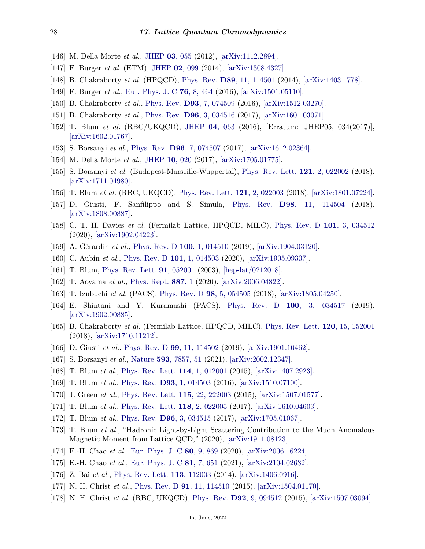- [146] M. Della Morte *et al.*, [JHEP](http://doi.org/10.1007/JHEP03(2012)055) **03**[, 055](http://doi.org/10.1007/JHEP03(2012)055) (2012), [\[arXiv:1112.2894\].](https://arxiv.org/abs/1112.2894)
- [147] F. Burger *et al.* (ETM), [JHEP](http://doi.org/10.1007/JHEP02(2014)099) **02**[, 099](http://doi.org/10.1007/JHEP02(2014)099) (2014), [\[arXiv:1308.4327\].](https://arxiv.org/abs/1308.4327)
- [148] B. Chakraborty *et al.* (HPQCD), [Phys. Rev.](http://doi.org/10.1103/PhysRevD.89.114501) **D89**[, 11, 114501](http://doi.org/10.1103/PhysRevD.89.114501) (2014), [\[arXiv:1403.1778\].](https://arxiv.org/abs/1403.1778)
- [149] F. Burger *et al.*, [Eur. Phys. J. C](http://doi.org/10.1140/epjc/s10052-016-4307-2) **76**[, 8, 464](http://doi.org/10.1140/epjc/s10052-016-4307-2) (2016), [\[arXiv:1501.05110\].](https://arxiv.org/abs/1501.05110)
- <span id="page-27-8"></span>[150] B. Chakraborty *et al.*, [Phys. Rev.](http://doi.org/10.1103/PhysRevD.93.074509) **D93**[, 7, 074509](http://doi.org/10.1103/PhysRevD.93.074509) (2016), [\[arXiv:1512.03270\].](https://arxiv.org/abs/1512.03270)
- [151] B. Chakraborty *et al.*, [Phys. Rev.](http://doi.org/10.1103/PhysRevD.96.034516) **D96**[, 3, 034516](http://doi.org/10.1103/PhysRevD.96.034516) (2017), [\[arXiv:1601.03071\].](https://arxiv.org/abs/1601.03071)
- [152] T. Blum *et al.* (RBC/UKQCD), [JHEP](http://doi.org/10.1007/JHEP05(2017)034) **04**[, 063](http://doi.org/10.1007/JHEP05(2017)034) (2016), [Erratum: JHEP05, 034(2017)], [\[arXiv:1602.01767\].](https://arxiv.org/abs/1602.01767)
- [153] S. Borsanyi *et al.*, [Phys. Rev.](http://doi.org/10.1103/PhysRevD.96.074507) **D96**[, 7, 074507](http://doi.org/10.1103/PhysRevD.96.074507) (2017), [\[arXiv:1612.02364\].](https://arxiv.org/abs/1612.02364)
- [154] M. Della Morte *et al.*, [JHEP](http://doi.org/10.1007/JHEP10(2017)020) **10**[, 020](http://doi.org/10.1007/JHEP10(2017)020) (2017), [\[arXiv:1705.01775\].](https://arxiv.org/abs/1705.01775)
- [155] S. Borsanyi *et al.* (Budapest-Marseille-Wuppertal), [Phys. Rev. Lett.](http://doi.org/10.1103/PhysRevLett.121.022002) **121**[, 2, 022002](http://doi.org/10.1103/PhysRevLett.121.022002) (2018), [\[arXiv:1711.04980\].](https://arxiv.org/abs/1711.04980)
- <span id="page-27-5"></span>[156] T. Blum *et al.* (RBC, UKQCD), [Phys. Rev. Lett.](http://doi.org/10.1103/PhysRevLett.121.022003) **121**[, 2, 022003](http://doi.org/10.1103/PhysRevLett.121.022003) (2018), [\[arXiv:1801.07224\].](https://arxiv.org/abs/1801.07224)
- [157] D. Giusti, F. Sanfilippo and S. Simula, [Phys. Rev.](http://doi.org/10.1103/PhysRevD.98.114504) **D98**[, 11, 114504](http://doi.org/10.1103/PhysRevD.98.114504) (2018), [\[arXiv:1808.00887\].](https://arxiv.org/abs/1808.00887)
- [158] C. T. H. Davies *et al.* (Fermilab Lattice, HPQCD, MILC), [Phys. Rev. D](http://doi.org/10.1103/PhysRevD.101.034512) **101**[, 3, 034512](http://doi.org/10.1103/PhysRevD.101.034512) (2020), [\[arXiv:1902.04223\].](https://arxiv.org/abs/1902.04223)
- [159] A. Gérardin *et al.*, [Phys. Rev. D](http://doi.org/10.1103/PhysRevD.100.014510) **100**[, 1, 014510](http://doi.org/10.1103/PhysRevD.100.014510) (2019), [\[arXiv:1904.03120\].](https://arxiv.org/abs/1904.03120)
- <span id="page-27-0"></span>[160] C. Aubin *et al.*, [Phys. Rev. D](http://doi.org/10.1103/PhysRevD.101.014503) **101**[, 1, 014503](http://doi.org/10.1103/PhysRevD.101.014503) (2020), [\[arXiv:1905.09307\].](https://arxiv.org/abs/1905.09307)
- <span id="page-27-1"></span>[161] T. Blum, [Phys. Rev. Lett.](http://doi.org/10.1103/PhysRevLett.91.052001) **91**[, 052001](http://doi.org/10.1103/PhysRevLett.91.052001) (2003), [\[hep-lat/0212018\].](https://arxiv.org/abs/hep-lat/0212018)
- <span id="page-27-2"></span>[162] T. Aoyama *et al.*, [Phys. Rept.](http://doi.org/10.1016/j.physrep.2020.07.006) **[887](http://doi.org/10.1016/j.physrep.2020.07.006)**, 1 (2020), [\[arXiv:2006.04822\].](https://arxiv.org/abs/2006.04822)
- <span id="page-27-3"></span>[163] T. Izubuchi *et al.* (PACS), [Phys. Rev. D](http://doi.org/10.1103/PhysRevD.98.054505) **98**[, 5, 054505](http://doi.org/10.1103/PhysRevD.98.054505) (2018), [\[arXiv:1805.04250\].](https://arxiv.org/abs/1805.04250)
- <span id="page-27-4"></span>[164] E. Shintani and Y. Kuramashi (PACS), [Phys. Rev. D](http://doi.org/10.1103/PhysRevD.100.034517) **100**[, 3, 034517](http://doi.org/10.1103/PhysRevD.100.034517) (2019), [\[arXiv:1902.00885\].](https://arxiv.org/abs/1902.00885)
- <span id="page-27-6"></span>[165] B. Chakraborty *et al.* (Fermilab Lattice, HPQCD, MILC), [Phys. Rev. Lett.](http://doi.org/10.1103/PhysRevLett.120.152001) **120**[, 15, 152001](http://doi.org/10.1103/PhysRevLett.120.152001) (2018), [\[arXiv:1710.11212\].](https://arxiv.org/abs/1710.11212)
- <span id="page-27-7"></span>[166] D. Giusti *et al.*, [Phys. Rev. D](http://doi.org/10.1103/PhysRevD.99.114502) **99**[, 11, 114502](http://doi.org/10.1103/PhysRevD.99.114502) (2019), [\[arXiv:1901.10462\].](https://arxiv.org/abs/1901.10462)
- <span id="page-27-9"></span>[167] S. Borsanyi *et al.*, [Nature](http://doi.org/10.1038/s41586-021-03418-1) **593**[, 7857, 51](http://doi.org/10.1038/s41586-021-03418-1) (2021), [\[arXiv:2002.12347\].](https://arxiv.org/abs/2002.12347)
- <span id="page-27-10"></span>[168] T. Blum *et al.*, [Phys. Rev. Lett.](http://doi.org/10.1103/PhysRevLett.114.012001) **114**[, 1, 012001](http://doi.org/10.1103/PhysRevLett.114.012001) (2015), [\[arXiv:1407.2923\].](https://arxiv.org/abs/1407.2923)
- [169] T. Blum *et al.*, [Phys. Rev.](http://doi.org/10.1103/PhysRevD.93.014503) **D93**[, 1, 014503](http://doi.org/10.1103/PhysRevD.93.014503) (2016), [\[arXiv:1510.07100\].](https://arxiv.org/abs/1510.07100)
- [170] J. Green *et al.*, [Phys. Rev. Lett.](http://doi.org/10.1103/PhysRevLett.115.222003) **115**[, 22, 222003](http://doi.org/10.1103/PhysRevLett.115.222003) (2015), [\[arXiv:1507.01577\].](https://arxiv.org/abs/1507.01577)
- [171] T. Blum *et al.*, [Phys. Rev. Lett.](http://doi.org/10.1103/PhysRevLett.118.022005) **118**[, 2, 022005](http://doi.org/10.1103/PhysRevLett.118.022005) (2017), [\[arXiv:1610.04603\].](https://arxiv.org/abs/1610.04603)
- [172] T. Blum *et al.*, [Phys. Rev.](http://doi.org/10.1103/PhysRevD.96.034515) **D96**[, 3, 034515](http://doi.org/10.1103/PhysRevD.96.034515) (2017), [\[arXiv:1705.01067\].](https://arxiv.org/abs/1705.01067)
- [173] T. Blum *et al.*, "Hadronic Light-by-Light Scattering Contribution to the Muon Anomalous Magnetic Moment from Lattice QCD," (2020), [\[arXiv:1911.08123\].](https://arxiv.org/abs/1911.08123)
- [174] E.-H. Chao *et al.*, [Eur. Phys. J. C](http://doi.org/10.1140/epjc/s10052-020-08444-3) **80**[, 9, 869](http://doi.org/10.1140/epjc/s10052-020-08444-3) (2020), [\[arXiv:2006.16224\].](https://arxiv.org/abs/2006.16224)
- <span id="page-27-11"></span>[175] E.-H. Chao *et al.*, [Eur. Phys. J. C](http://doi.org/10.1140/epjc/s10052-021-09455-4) **81**[, 7, 651](http://doi.org/10.1140/epjc/s10052-021-09455-4) (2021), [\[arXiv:2104.02632\].](https://arxiv.org/abs/2104.02632)
- <span id="page-27-12"></span>[176] Z. Bai *et al.*, [Phys. Rev. Lett.](http://doi.org/10.1103/PhysRevLett.113.112003) **113**[, 112003](http://doi.org/10.1103/PhysRevLett.113.112003) (2014), [\[arXiv:1406.0916\].](https://arxiv.org/abs/1406.0916)
- <span id="page-27-13"></span>[177] N. H. Christ *et al.*, [Phys. Rev. D](http://doi.org/10.1103/PhysRevD.91.114510) **91**[, 11, 114510](http://doi.org/10.1103/PhysRevD.91.114510) (2015), [\[arXiv:1504.01170\].](https://arxiv.org/abs/1504.01170)
- <span id="page-27-14"></span>[178] N. H. Christ *et al.* (RBC, UKQCD), [Phys. Rev.](http://doi.org/10.1103/PhysRevD.92.094512) **D92**[, 9, 094512](http://doi.org/10.1103/PhysRevD.92.094512) (2015), [\[arXiv:1507.03094\].](https://arxiv.org/abs/1507.03094)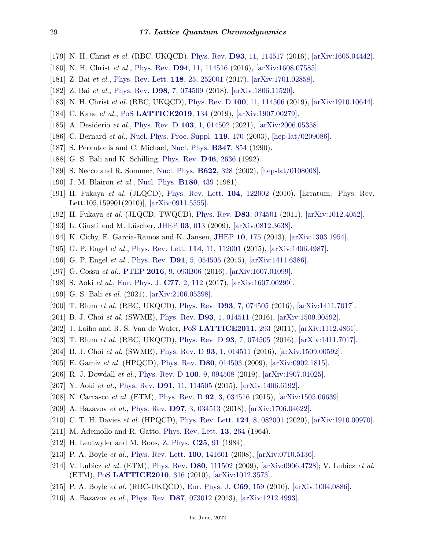- [179] N. H. Christ *et al.* (RBC, UKQCD), [Phys. Rev.](http://doi.org/10.1103/PhysRevD.93.114517) **D93**[, 11, 114517](http://doi.org/10.1103/PhysRevD.93.114517) (2016), [\[arXiv:1605.04442\].](https://arxiv.org/abs/1605.04442)
- [180] N. H. Christ *et al.*, [Phys. Rev.](http://doi.org/10.1103/PhysRevD.94.114516) **D94**[, 11, 114516](http://doi.org/10.1103/PhysRevD.94.114516) (2016), [\[arXiv:1608.07585\].](https://arxiv.org/abs/1608.07585)
- [181] Z. Bai *et al.*, [Phys. Rev. Lett.](http://doi.org/10.1103/PhysRevLett.118.252001) **118**[, 25, 252001](http://doi.org/10.1103/PhysRevLett.118.252001) (2017), [\[arXiv:1701.02858\].](https://arxiv.org/abs/1701.02858)
- [182] Z. Bai *et al.*, [Phys. Rev.](http://doi.org/10.1103/PhysRevD.98.074509) **D98**[, 7, 074509](http://doi.org/10.1103/PhysRevD.98.074509) (2018), [\[arXiv:1806.11520\].](https://arxiv.org/abs/1806.11520)
- <span id="page-28-0"></span>[183] N. H. Christ *et al.* (RBC, UKQCD), [Phys. Rev. D](http://doi.org/10.1103/PhysRevD.100.114506) **100**[, 11, 114506](http://doi.org/10.1103/PhysRevD.100.114506) (2019), [\[arXiv:1910.10644\].](https://arxiv.org/abs/1910.10644)
- <span id="page-28-1"></span>[184] C. Kane *et al.*, [PoS](http://doi.org/10.22323/1.363.0134) **[LATTICE2019](http://doi.org/10.22323/1.363.0134)**, 134 (2019), [\[arXiv:1907.00279\].](https://arxiv.org/abs/1907.00279)
- <span id="page-28-2"></span>[185] A. Desiderio *et al.*, [Phys. Rev. D](http://doi.org/10.1103/PhysRevD.103.014502) **103**[, 1, 014502](http://doi.org/10.1103/PhysRevD.103.014502) (2021), [\[arXiv:2006.05358\].](https://arxiv.org/abs/2006.05358)
- <span id="page-28-3"></span>[186] C. Bernard *et al.*, [Nucl. Phys. Proc. Suppl.](http://doi.org/10.1016/S0920-5632(03)01505-6) **119**[, 170](http://doi.org/10.1016/S0920-5632(03)01505-6) (2003), [\[hep-lat/0209086\].](https://arxiv.org/abs/hep-lat/0209086)
- <span id="page-28-4"></span>[187] S. Perantonis and C. Michael, [Nucl. Phys.](http://doi.org/10.1016/0550-3213(90)90386-R) **[B347](http://doi.org/10.1016/0550-3213(90)90386-R)**, 854 (1990).
- [188] G. S. Bali and K. Schilling, [Phys. Rev.](http://doi.org/10.1103/PhysRevD.46.2636) **D46**[, 2636](http://doi.org/10.1103/PhysRevD.46.2636) (1992).
- <span id="page-28-5"></span>[189] S. Necco and R. Sommer, [Nucl. Phys.](http://doi.org/10.1016/S0550-3213(01)00582-X) **[B622](http://doi.org/10.1016/S0550-3213(01)00582-X)**, 328 (2002), [\[hep-lat/0108008\].](https://arxiv.org/abs/hep-lat/0108008)
- <span id="page-28-6"></span>[190] J. M. Blairon *et al.*, [Nucl. Phys.](http://doi.org/10.1016/0550-3213(81)90061-4) **[B180](http://doi.org/10.1016/0550-3213(81)90061-4)**, 439 (1981).
- <span id="page-28-7"></span>[191] H. Fukaya *et al.* (JLQCD), [Phys. Rev. Lett.](http://doi.org/10.1103/PhysRevLett.104.122002) **104**[, 122002](http://doi.org/10.1103/PhysRevLett.104.122002) (2010), [Erratum: Phys. Rev. Lett.105,159901(2010)], [\[arXiv:0911.5555\].](https://arxiv.org/abs/0911.5555)
- [192] H. Fukaya *et al.* (JLQCD, TWQCD), [Phys. Rev.](http://doi.org/10.1103/PhysRevD.83.074501) **D83**[, 074501](http://doi.org/10.1103/PhysRevD.83.074501) (2011), [\[arXiv:1012.4052\].](https://arxiv.org/abs/1012.4052)
- [193] L. Giusti and M. Lüscher, [JHEP](http://doi.org/10.1088/1126-6708/2009/03/013) **03**[, 013](http://doi.org/10.1088/1126-6708/2009/03/013) (2009), [\[arXiv:0812.3638\].](https://arxiv.org/abs/0812.3638)
- [194] K. Cichy, E. Garcia-Ramos and K. Jansen, [JHEP](http://doi.org/10.1007/JHEP10(2013)175) **10**[, 175](http://doi.org/10.1007/JHEP10(2013)175) (2013), [\[arXiv:1303.1954\].](https://arxiv.org/abs/1303.1954)
- [195] G. P. Engel *et al.*, [Phys. Rev. Lett.](http://doi.org/10.1103/PhysRevLett.114.112001) **114**[, 11, 112001](http://doi.org/10.1103/PhysRevLett.114.112001) (2015), [\[arXiv:1406.4987\].](https://arxiv.org/abs/1406.4987)
- [196] G. P. Engel *et al.*, [Phys. Rev.](http://doi.org/10.1103/PhysRevD.91.054505) **D91**[, 5, 054505](http://doi.org/10.1103/PhysRevD.91.054505) (2015), [\[arXiv:1411.6386\].](https://arxiv.org/abs/1411.6386)
- <span id="page-28-8"></span>[197] G. Cossu *et al.*, [PTEP](http://doi.org/10.1093/ptep/ptw129) **2016**[, 9, 093B06](http://doi.org/10.1093/ptep/ptw129) (2016), [\[arXiv:1607.01099\].](https://arxiv.org/abs/1607.01099)
- <span id="page-28-9"></span>[198] S. Aoki *et al.*, [Eur. Phys. J.](http://doi.org/10.1140/epjc/s10052-016-4509-7) **C77**[, 2, 112](http://doi.org/10.1140/epjc/s10052-016-4509-7) (2017), [\[arXiv:1607.00299\].](https://arxiv.org/abs/1607.00299)
- <span id="page-28-10"></span>[199] G. S. Bali *et al.* (2021), [\[arXiv:2106.05398\].](https://arxiv.org/abs/2106.05398)
- <span id="page-28-11"></span>[200] T. Blum *et al.* (RBC, UKQCD), [Phys. Rev.](http://doi.org/10.1103/PhysRevD.93.074505) **D93**[, 7, 074505](http://doi.org/10.1103/PhysRevD.93.074505) (2016), [\[arXiv:1411.7017\].](https://arxiv.org/abs/1411.7017)
- <span id="page-28-12"></span>[201] B. J. Choi *et al.* (SWME), [Phys. Rev.](http://doi.org/10.1103/PhysRevD.93.014511) **D93**[, 1, 014511](http://doi.org/10.1103/PhysRevD.93.014511) (2016), [\[arXiv:1509.00592\].](https://arxiv.org/abs/1509.00592)
- <span id="page-28-13"></span>[202] J. Laiho and R. S. Van de Water, [PoS](http://doi.org/10.22323/1.139.0293) **[LATTICE2011](http://doi.org/10.22323/1.139.0293)**, 293 (2011), [\[arXiv:1112.4861\].](https://arxiv.org/abs/1112.4861)
- [203] T. Blum *et al.* (RBC, UKQCD), [Phys. Rev. D](http://doi.org/10.1103/PhysRevD.93.074505) **93**[, 7, 074505](http://doi.org/10.1103/PhysRevD.93.074505) (2016), [\[arXiv:1411.7017\].](https://arxiv.org/abs/1411.7017)
- <span id="page-28-14"></span>[204] B. J. Choi *et al.* (SWME), [Phys. Rev. D](http://doi.org/10.1103/PhysRevD.93.014511) **93**[, 1, 014511](http://doi.org/10.1103/PhysRevD.93.014511) (2016), [\[arXiv:1509.00592\].](https://arxiv.org/abs/1509.00592)
- <span id="page-28-15"></span>[205] E. Gamiz *et al.* (HPQCD), [Phys. Rev.](http://doi.org/10.1103/PhysRevD.80.014503) **D80**[, 014503](http://doi.org/10.1103/PhysRevD.80.014503) (2009), [\[arXiv:0902.1815\].](https://arxiv.org/abs/0902.1815)
- <span id="page-28-16"></span>[206] R. J. Dowdall *et al.*, [Phys. Rev. D](http://doi.org/10.1103/PhysRevD.100.094508) **100**[, 9, 094508](http://doi.org/10.1103/PhysRevD.100.094508) (2019), [\[arXiv:1907.01025\].](https://arxiv.org/abs/1907.01025)
- <span id="page-28-17"></span>[207] Y. Aoki *et al.*, [Phys. Rev.](http://doi.org/10.1103/PhysRevD.91.114505) **D91**[, 11, 114505](http://doi.org/10.1103/PhysRevD.91.114505) (2015), [\[arXiv:1406.6192\].](https://arxiv.org/abs/1406.6192)
- <span id="page-28-18"></span>[208] N. Carrasco *et al.* (ETM), [Phys. Rev. D](http://doi.org/10.1103/PhysRevD.92.034516) **92**[, 3, 034516](http://doi.org/10.1103/PhysRevD.92.034516) (2015), [\[arXiv:1505.06639\].](https://arxiv.org/abs/1505.06639)
- <span id="page-28-19"></span>[209] A. Bazavov *et al.*, [Phys. Rev.](http://doi.org/10.1103/PhysRevD.97.034513) **D97**[, 3, 034513](http://doi.org/10.1103/PhysRevD.97.034513) (2018), [\[arXiv:1706.04622\].](https://arxiv.org/abs/1706.04622)
- <span id="page-28-20"></span>[210] C. T. H. Davies *et al.* (HPQCD), [Phys. Rev. Lett.](http://doi.org/10.1103/PhysRevLett.124.082001) **124**[, 8, 082001](http://doi.org/10.1103/PhysRevLett.124.082001) (2020), [\[arXiv:1910.00970\].](https://arxiv.org/abs/1910.00970)
- <span id="page-28-21"></span>[211] M. Ademollo and R. Gatto, [Phys. Rev. Lett.](http://doi.org/10.1103/PhysRevLett.13.264) **13**[, 264](http://doi.org/10.1103/PhysRevLett.13.264) (1964).
- <span id="page-28-22"></span>[212] H. Leutwyler and M. Roos, [Z. Phys.](http://doi.org/10.1007/BF01571961) **[C25](http://doi.org/10.1007/BF01571961)**, 91 (1984).
- <span id="page-28-23"></span>[213] P. A. Boyle *et al.*, [Phys. Rev. Lett.](http://doi.org/10.1103/PhysRevLett.100.141601) **100**[, 141601](http://doi.org/10.1103/PhysRevLett.100.141601) (2008), [\[arXiv:0710.5136\].](https://arxiv.org/abs/0710.5136)
- [214] V. Lubicz *et al.* (ETM), [Phys. Rev.](http://doi.org/10.1103/PhysRevD.80.111502) **D80**[, 111502](http://doi.org/10.1103/PhysRevD.80.111502) (2009), [\[arXiv:0906.4728\];](https://arxiv.org/abs/0906.4728) V. Lubicz *et al.* (ETM), [PoS](http://doi.org/10.22323/1.105.0316) **[LATTICE2010](http://doi.org/10.22323/1.105.0316)**, 316 (2010), [\[arXiv:1012.3573\].](https://arxiv.org/abs/1012.3573)
- [215] P. A. Boyle *et al.* (RBC-UKQCD), [Eur. Phys. J.](http://doi.org/10.1140/epjc/s10052-010-1405-4) **C69**[, 159](http://doi.org/10.1140/epjc/s10052-010-1405-4) (2010), [\[arXiv:1004.0886\].](https://arxiv.org/abs/1004.0886)
- [216] A. Bazavov *et al.*, [Phys. Rev.](http://doi.org/10.1103/PhysRevD.87.073012) **D87**[, 073012](http://doi.org/10.1103/PhysRevD.87.073012) (2013), [\[arXiv:1212.4993\].](https://arxiv.org/abs/1212.4993)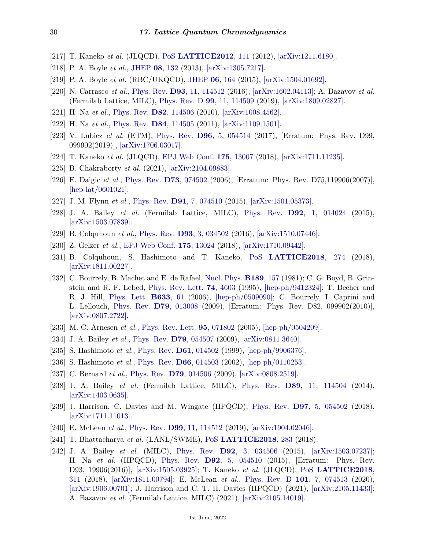- [217] T. Kaneko *et al.* (JLQCD), [PoS](http://doi.org/10.22323/1.164.0111) **[LATTICE2012](http://doi.org/10.22323/1.164.0111)**, 111 (2012), [\[arXiv:1211.6180\].](https://arxiv.org/abs/1211.6180)
- [218] P. A. Boyle *et al.*, [JHEP](http://doi.org/10.1007/JHEP08(2013)132) **08**[, 132](http://doi.org/10.1007/JHEP08(2013)132) (2013), [\[arXiv:1305.7217\].](https://arxiv.org/abs/1305.7217)
- [219] P. A. Boyle *et al.* (RBC/UKQCD), [JHEP](http://doi.org/10.1007/JHEP06(2015)164) **06**[, 164](http://doi.org/10.1007/JHEP06(2015)164) (2015), [\[arXiv:1504.01692\].](https://arxiv.org/abs/1504.01692)
- <span id="page-29-0"></span>[220] N. Carrasco *et al.*, [Phys. Rev.](http://doi.org/10.1103/PhysRevD.93.114512) **D93**[, 11, 114512](http://doi.org/10.1103/PhysRevD.93.114512) (2016), [\[arXiv:1602.04113\];](https://arxiv.org/abs/1602.04113) A. Bazavov *et al.* (Fermilab Lattice, MILC), [Phys. Rev. D](http://doi.org/10.1103/PhysRevD.99.114509) **99**[, 11, 114509](http://doi.org/10.1103/PhysRevD.99.114509) (2019), [\[arXiv:1809.02827\].](https://arxiv.org/abs/1809.02827)
- <span id="page-29-1"></span>[221] H. Na *et al.*, [Phys. Rev.](http://doi.org/10.1103/PhysRevD.82.114506) **D82**[, 114506](http://doi.org/10.1103/PhysRevD.82.114506) (2010), [\[arXiv:1008.4562\].](https://arxiv.org/abs/1008.4562)
- [222] H. Na *et al.*, [Phys. Rev.](http://doi.org/10.1103/PhysRevD.84.114505) **D84**[, 114505](http://doi.org/10.1103/PhysRevD.84.114505) (2011), [\[arXiv:1109.1501\].](https://arxiv.org/abs/1109.1501)
- [223] V. Lubicz *et al.* (ETM), [Phys. Rev.](http://doi.org/10.1103/PhysRevD.96.054514) **D96**[, 5, 054514](http://doi.org/10.1103/PhysRevD.96.054514) (2017), [Erratum: Phys. Rev. D99, 099902(2019)], [\[arXiv:1706.03017\].](https://arxiv.org/abs/1706.03017)
- [224] T. Kaneko *et al.* (JLQCD), [EPJ Web Conf.](http://doi.org/10.1051/epjconf/201817513007) **175**[, 13007](http://doi.org/10.1051/epjconf/201817513007) (2018), [\[arXiv:1711.11235\].](https://arxiv.org/abs/1711.11235)
- <span id="page-29-2"></span>[225] B. Chakraborty *et al.* (2021), [\[arXiv:2104.09883\].](https://arxiv.org/abs/2104.09883)
- <span id="page-29-3"></span>[226] E. Dalgic *et al.*, [Phys. Rev.](http://doi.org/10.1103/PhysRevD.75.119906) **D73**[, 074502](http://doi.org/10.1103/PhysRevD.75.119906) (2006), [Erratum: Phys. Rev. D75,119906(2007)], [\[hep-lat/0601021\].](https://arxiv.org/abs/hep-lat/0601021)
- [227] J. M. Flynn *et al.*, [Phys. Rev.](http://doi.org/10.1103/PhysRevD.91.074510) **D91**[, 7, 074510](http://doi.org/10.1103/PhysRevD.91.074510) (2015), [\[arXiv:1501.05373\].](https://arxiv.org/abs/1501.05373)
- [228] J. A. Bailey *et al.* (Fermilab Lattice, MILC), [Phys. Rev.](http://doi.org/10.1103/PhysRevD.92.014024) **D92**[, 1, 014024](http://doi.org/10.1103/PhysRevD.92.014024) (2015), [\[arXiv:1503.07839\].](https://arxiv.org/abs/1503.07839)
- [229] B. Colquhoun *et al.*, [Phys. Rev.](http://doi.org/10.1103/PhysRevD.93.034502) **D93**[, 3, 034502](http://doi.org/10.1103/PhysRevD.93.034502) (2016), [\[arXiv:1510.07446\].](https://arxiv.org/abs/1510.07446)
- <span id="page-29-13"></span>[230] Z. Gelzer *et al.*, [EPJ Web Conf.](http://doi.org/10.1051/epjconf/201817513024) **175**[, 13024](http://doi.org/10.1051/epjconf/201817513024) (2018), [\[arXiv:1710.09442\].](https://arxiv.org/abs/1710.09442)
- <span id="page-29-4"></span>[231] B. Colquhoun, S. Hashimoto and T. Kaneko, [PoS](http://doi.org/10.22323/1.334.0274) **[LATTICE2018](http://doi.org/10.22323/1.334.0274)**, 274 (2018), [\[arXiv:1811.00227\].](https://arxiv.org/abs/1811.00227)
- <span id="page-29-5"></span>[232] C. Bourrely, B. Machet and E. de Rafael, [Nucl. Phys.](http://doi.org/10.1016/0550-3213(81)90086-9) **[B189](http://doi.org/10.1016/0550-3213(81)90086-9)**, 157 (1981); C. G. Boyd, B. Grinstein and R. F. Lebed, [Phys. Rev. Lett.](http://doi.org/10.1103/PhysRevLett.74.4603) **74**[, 4603](http://doi.org/10.1103/PhysRevLett.74.4603) (1995), [\[hep-ph/9412324\];](https://arxiv.org/abs/hep-ph/9412324) T. Becher and R. J. Hill, [Phys. Lett.](http://doi.org/10.1016/j.physletb.2005.11.063) **[B633](http://doi.org/10.1016/j.physletb.2005.11.063)**, 61 (2006), [\[hep-ph/0509090\];](https://arxiv.org/abs/hep-ph/0509090) C. Bourrely, I. Caprini and L. Lellouch, [Phys. Rev.](http://doi.org/10.1103/PhysRevD.82.099902) **D79**[, 013008](http://doi.org/10.1103/PhysRevD.82.099902) (2009), [Erratum: Phys. Rev. D82, 099902(2010)], [\[arXiv:0807.2722\].](https://arxiv.org/abs/0807.2722)
- <span id="page-29-6"></span>[233] M. C. Arnesen *et al.*, [Phys. Rev. Lett.](http://doi.org/10.1103/PhysRevLett.95.071802) **95**[, 071802](http://doi.org/10.1103/PhysRevLett.95.071802) (2005), [\[hep-ph/0504209\].](https://arxiv.org/abs/hep-ph/0504209)
- <span id="page-29-7"></span>[234] J. A. Bailey *et al.*, [Phys. Rev.](http://doi.org/10.1103/PhysRevD.79.054507) **D79**[, 054507](http://doi.org/10.1103/PhysRevD.79.054507) (2009), [\[arXiv:0811.3640\].](https://arxiv.org/abs/0811.3640)
- <span id="page-29-8"></span>[235] S. Hashimoto *et al.*, [Phys. Rev.](http://doi.org/10.1103/PhysRevD.61.014502) **D61**[, 014502](http://doi.org/10.1103/PhysRevD.61.014502) (1999), [\[hep-ph/9906376\].](https://arxiv.org/abs/hep-ph/9906376)
- <span id="page-29-9"></span>[236] S. Hashimoto *et al.*, [Phys. Rev.](http://doi.org/10.1103/PhysRevD.66.014503) **D66**[, 014503](http://doi.org/10.1103/PhysRevD.66.014503) (2002), [\[hep-ph/0110253\].](https://arxiv.org/abs/hep-ph/0110253)
- <span id="page-29-10"></span>[237] C. Bernard *et al.*, [Phys. Rev.](http://doi.org/10.1103/PhysRevD.79.014506) **D79**[, 014506](http://doi.org/10.1103/PhysRevD.79.014506) (2009), [\[arXiv:0808.2519\].](https://arxiv.org/abs/0808.2519)
- [238] J. A. Bailey *et al.* (Fermilab Lattice, MILC), [Phys. Rev.](http://doi.org/10.1103/PhysRevD.89.114504) **D89**[, 11, 114504](http://doi.org/10.1103/PhysRevD.89.114504) (2014), [\[arXiv:1403.0635\].](https://arxiv.org/abs/1403.0635)
- [239] J. Harrison, C. Davies and M. Wingate (HPQCD), [Phys. Rev.](http://doi.org/10.1103/PhysRevD.97.054502) **D97**[, 5, 054502](http://doi.org/10.1103/PhysRevD.97.054502) (2018), [\[arXiv:1711.11013\].](https://arxiv.org/abs/1711.11013)
- [240] E. McLean *et al.*, [Phys. Rev.](http://doi.org/10.1103/PhysRevD.99.114512) **D99**[, 11, 114512](http://doi.org/10.1103/PhysRevD.99.114512) (2019), [\[arXiv:1904.02046\].](https://arxiv.org/abs/1904.02046)
- <span id="page-29-11"></span>[241] T. Bhattacharya *et al.* (LANL/SWME), [PoS](http://doi.org/10.22323/1.334.0283) **[LATTICE2018](http://doi.org/10.22323/1.334.0283)**, 283 (2018).
- <span id="page-29-12"></span>[242] J. A. Bailey *et al.* (MILC), [Phys. Rev.](http://doi.org/10.1103/PhysRevD.92.034506) **D92**[, 3, 034506](http://doi.org/10.1103/PhysRevD.92.034506) (2015), [\[arXiv:1503.07237\];](https://arxiv.org/abs/1503.07237) H. Na *et al.* (HPQCD), [Phys. Rev.](http://doi.org/10.1103/PhysRevD.93.119906) **D92**[, 5, 054510](http://doi.org/10.1103/PhysRevD.93.119906) (2015), [Erratum: Phys. Rev. D93, 19906(2016)], [\[arXiv:1505.03925\];](https://arxiv.org/abs/1505.03925) T. Kaneko *et al.* (JLQCD), [PoS](http://doi.org/10.22323/1.334.0311) **[LATTICE2018](http://doi.org/10.22323/1.334.0311)**, [311](http://doi.org/10.22323/1.334.0311) (2018), [\[arXiv:1811.00794\];](https://arxiv.org/abs/1811.00794) E. McLean *et al.*, [Phys. Rev. D](http://doi.org/10.1103/PhysRevD.101.074513) **101**[, 7, 074513](http://doi.org/10.1103/PhysRevD.101.074513) (2020), [\[arXiv:1906.00701\];](https://arxiv.org/abs/1906.00701) J. Harrison and C. T. H. Davies (HPQCD) (2021), [\[arXiv:2105.11433\];](https://arxiv.org/abs/2105.11433) A. Bazavov *et al.* (Fermilab Lattice, MILC) (2021), [\[arXiv:2105.14019\].](https://arxiv.org/abs/2105.14019)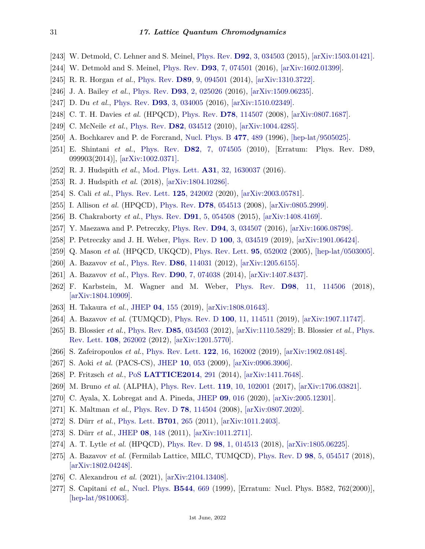- <span id="page-30-0"></span>[243] W. Detmold, C. Lehner and S. Meinel, [Phys. Rev.](http://doi.org/10.1103/PhysRevD.92.034503) **D92**[, 3, 034503](http://doi.org/10.1103/PhysRevD.92.034503) (2015), [\[arXiv:1503.01421\].](https://arxiv.org/abs/1503.01421)
- <span id="page-30-1"></span>[244] W. Detmold and S. Meinel, [Phys. Rev.](http://doi.org/10.1103/PhysRevD.93.074501) **D93**[, 7, 074501](http://doi.org/10.1103/PhysRevD.93.074501) (2016), [\[arXiv:1602.01399\].](https://arxiv.org/abs/1602.01399)
- <span id="page-30-2"></span>[245] R. R. Horgan *et al.*, [Phys. Rev.](http://doi.org/10.1103/PhysRevD.89.094501) **D89**[, 9, 094501](http://doi.org/10.1103/PhysRevD.89.094501) (2014), [\[arXiv:1310.3722\].](https://arxiv.org/abs/1310.3722)
- [246] J. A. Bailey *et al.*, [Phys. Rev.](http://doi.org/10.1103/PhysRevD.93.025026) **D93**[, 2, 025026](http://doi.org/10.1103/PhysRevD.93.025026) (2016), [\[arXiv:1509.06235\].](https://arxiv.org/abs/1509.06235)
- <span id="page-30-3"></span>[247] D. Du *et al.*, [Phys. Rev.](http://doi.org/10.1103/PhysRevD.93.034005) **D93**[, 3, 034005](http://doi.org/10.1103/PhysRevD.93.034005) (2016), [\[arXiv:1510.02349\].](https://arxiv.org/abs/1510.02349)
- <span id="page-30-4"></span>[248] C. T. H. Davies *et al.* (HPQCD), [Phys. Rev.](http://doi.org/10.1103/PhysRevD.78.114507) **D78**[, 114507](http://doi.org/10.1103/PhysRevD.78.114507) (2008), [\[arXiv:0807.1687\].](https://arxiv.org/abs/0807.1687)
- <span id="page-30-5"></span>[249] C. McNeile *et al.*, [Phys. Rev.](http://doi.org/10.1103/PhysRevD.82.034512) **D82**[, 034512](http://doi.org/10.1103/PhysRevD.82.034512) (2010), [\[arXiv:1004.4285\].](https://arxiv.org/abs/1004.4285)
- <span id="page-30-6"></span>[250] A. Bochkarev and P. de Forcrand, [Nucl. Phys. B](http://doi.org/10.1016/0550-3213(96)00396-3) **477**[, 489](http://doi.org/10.1016/0550-3213(96)00396-3) (1996), [\[hep-lat/9505025\].](https://arxiv.org/abs/hep-lat/9505025)
- <span id="page-30-7"></span>[251] E. Shintani *et al.*, [Phys. Rev.](http://doi.org/10.1103/PhysRevD.82.074505) **D82**[, 7, 074505](http://doi.org/10.1103/PhysRevD.82.074505) (2010), [Erratum: Phys. Rev. D89, 099903(2014)], [\[arXiv:1002.0371\].](https://arxiv.org/abs/1002.0371)
- [252] R. J. Hudspith *et al.*, [Mod. Phys. Lett.](http://doi.org/10.1142/S0217732316300378) **A31**[, 32, 1630037](http://doi.org/10.1142/S0217732316300378) (2016).
- [253] R. J. Hudspith *et al.* (2018), [\[arXiv:1804.10286\].](https://arxiv.org/abs/1804.10286)
- <span id="page-30-8"></span>[254] S. Cali *et al.*, [Phys. Rev. Lett.](http://doi.org/10.1103/PhysRevLett.125.242002) **125**[, 242002](http://doi.org/10.1103/PhysRevLett.125.242002) (2020), [\[arXiv:2003.05781\].](https://arxiv.org/abs/2003.05781)
- <span id="page-30-9"></span>[255] I. Allison *et al.* (HPQCD), [Phys. Rev.](http://doi.org/10.1103/PhysRevD.78.054513) **D78**[, 054513](http://doi.org/10.1103/PhysRevD.78.054513) (2008), [\[arXiv:0805.2999\].](https://arxiv.org/abs/0805.2999)
- <span id="page-30-17"></span>[256] B. Chakraborty *et al.*, [Phys. Rev.](http://doi.org/10.1103/PhysRevD.91.054508) **D91**[, 5, 054508](http://doi.org/10.1103/PhysRevD.91.054508) (2015), [\[arXiv:1408.4169\].](https://arxiv.org/abs/1408.4169)
- <span id="page-30-22"></span>[257] Y. Maezawa and P. Petreczky, [Phys. Rev.](http://doi.org/10.1103/PhysRevD.94.034507) **D94**[, 3, 034507](http://doi.org/10.1103/PhysRevD.94.034507) (2016), [\[arXiv:1606.08798\].](https://arxiv.org/abs/1606.08798)
- <span id="page-30-10"></span>[258] P. Petreczky and J. H. Weber, [Phys. Rev. D](http://doi.org/10.1103/PhysRevD.100.034519) **100**[, 3, 034519](http://doi.org/10.1103/PhysRevD.100.034519) (2019), [\[arXiv:1901.06424\].](https://arxiv.org/abs/1901.06424)
- <span id="page-30-11"></span>[259] Q. Mason *et al.* (HPQCD, UKQCD), [Phys. Rev. Lett.](http://doi.org/10.1103/PhysRevLett.95.052002) **95**[, 052002](http://doi.org/10.1103/PhysRevLett.95.052002) (2005), [\[hep-lat/0503005\].](https://arxiv.org/abs/hep-lat/0503005)
- [260] A. Bazavov *et al.*, [Phys. Rev.](http://doi.org/10.1103/PhysRevD.86.114031) **D86**[, 114031](http://doi.org/10.1103/PhysRevD.86.114031) (2012), [\[arXiv:1205.6155\].](https://arxiv.org/abs/1205.6155)
- [261] A. Bazavov *et al.*, [Phys. Rev.](http://doi.org/10.1103/PhysRevD.90.074038) **D90**[, 7, 074038](http://doi.org/10.1103/PhysRevD.90.074038) (2014), [\[arXiv:1407.8437\].](https://arxiv.org/abs/1407.8437)
- [262] F. Karbstein, M. Wagner and M. Weber, [Phys. Rev.](http://doi.org/10.1103/PhysRevD.98.114506) **D98**[, 11, 114506](http://doi.org/10.1103/PhysRevD.98.114506) (2018), [\[arXiv:1804.10909\].](https://arxiv.org/abs/1804.10909)
- [263] H. Takaura *et al.*, [JHEP](http://doi.org/10.1007/JHEP04(2019)155) **04**[, 155](http://doi.org/10.1007/JHEP04(2019)155) (2019), [\[arXiv:1808.01643\].](https://arxiv.org/abs/1808.01643)
- <span id="page-30-12"></span>[264] A. Bazavov *et al.* (TUMQCD), [Phys. Rev. D](http://doi.org/10.1103/PhysRevD.100.114511) **100**[, 11, 114511](http://doi.org/10.1103/PhysRevD.100.114511) (2019), [\[arXiv:1907.11747\].](https://arxiv.org/abs/1907.11747)
- <span id="page-30-13"></span>[265] B. Blossier *et al.*, [Phys. Rev.](http://doi.org/10.1103/PhysRevD.85.034503) **D85**[, 034503](http://doi.org/10.1103/PhysRevD.85.034503) (2012), [\[arXiv:1110.5829\];](https://arxiv.org/abs/1110.5829) B. Blossier *et al.*, [Phys.](http://doi.org/10.1103/PhysRevLett.108.262002) [Rev. Lett.](http://doi.org/10.1103/PhysRevLett.108.262002) **108**[, 262002](http://doi.org/10.1103/PhysRevLett.108.262002) (2012), [\[arXiv:1201.5770\].](https://arxiv.org/abs/1201.5770)
- <span id="page-30-14"></span>[266] S. Zafeiropoulos *et al.*, [Phys. Rev. Lett.](http://doi.org/10.1103/PhysRevLett.122.162002) **122**[, 16, 162002](http://doi.org/10.1103/PhysRevLett.122.162002) (2019), [\[arXiv:1902.08148\].](https://arxiv.org/abs/1902.08148)
- <span id="page-30-15"></span>[267] S. Aoki *et al.* (PACS-CS), [JHEP](http://doi.org/10.1088/1126-6708/2009/10/053) **10**[, 053](http://doi.org/10.1088/1126-6708/2009/10/053) (2009), [\[arXiv:0906.3906\].](https://arxiv.org/abs/0906.3906)
- [268] P. Fritzsch *et al.*, [PoS](http://doi.org/10.22323/1.214.0291) **[LATTICE2014](http://doi.org/10.22323/1.214.0291)**, 291 (2014), [\[arXiv:1411.7648\].](https://arxiv.org/abs/1411.7648)
- <span id="page-30-16"></span>[269] M. Bruno *et al.* (ALPHA), [Phys. Rev. Lett.](http://doi.org/10.1103/PhysRevLett.119.102001) **119**[, 10, 102001](http://doi.org/10.1103/PhysRevLett.119.102001) (2017), [\[arXiv:1706.03821\].](https://arxiv.org/abs/1706.03821)
- [270] C. Ayala, X. Lobregat and A. Pineda, [JHEP](http://doi.org/10.1007/JHEP09(2020)016) **09**[, 016](http://doi.org/10.1007/JHEP09(2020)016) (2020), [\[arXiv:2005.12301\].](https://arxiv.org/abs/2005.12301)
- <span id="page-30-18"></span>[271] K. Maltman *et al.*, [Phys. Rev. D](http://doi.org/10.1103/PhysRevD.78.114504) **78**[, 114504](http://doi.org/10.1103/PhysRevD.78.114504) (2008), [\[arXiv:0807.2020\].](https://arxiv.org/abs/0807.2020)
- <span id="page-30-19"></span>[272] S. Dürr *et al.*, [Phys. Lett.](http://doi.org/10.1016/j.physletb.2011.05.053) **[B701](http://doi.org/10.1016/j.physletb.2011.05.053)**, 265 (2011), [\[arXiv:1011.2403\].](https://arxiv.org/abs/1011.2403)
- [273] S. Dürr *et al.*, [JHEP](http://doi.org/10.1007/JHEP08(2011)148) **08**[, 148](http://doi.org/10.1007/JHEP08(2011)148) (2011), [\[arXiv:1011.2711\].](https://arxiv.org/abs/1011.2711)
- [274] A. T. Lytle *et al.* (HPQCD), [Phys. Rev. D](http://doi.org/10.1103/PhysRevD.98.014513) **98**[, 1, 014513](http://doi.org/10.1103/PhysRevD.98.014513) (2018), [\[arXiv:1805.06225\].](https://arxiv.org/abs/1805.06225)
- <span id="page-30-23"></span>[275] A. Bazavov *et al.* (Fermilab Lattice, MILC, TUMQCD), [Phys. Rev. D](http://doi.org/10.1103/PhysRevD.98.054517) **98**[, 5, 054517](http://doi.org/10.1103/PhysRevD.98.054517) (2018), [\[arXiv:1802.04248\].](https://arxiv.org/abs/1802.04248)
- <span id="page-30-20"></span>[276] C. Alexandrou *et al.* (2021), [\[arXiv:2104.13408\].](https://arxiv.org/abs/2104.13408)
- <span id="page-30-21"></span>[277] S. Capitani *et al.*, [Nucl. Phys.](http://doi.org/10.1016/S0550-3213(00)00163-2) **[B544](http://doi.org/10.1016/S0550-3213(00)00163-2)**, 669 (1999), [Erratum: Nucl. Phys. B582, 762(2000)], [\[hep-lat/9810063\].](https://arxiv.org/abs/hep-lat/9810063)